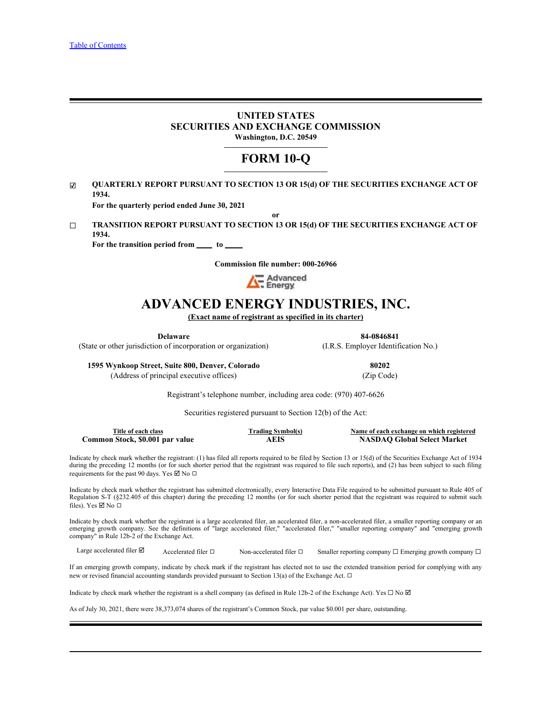## **UNITED STATES SECURITIES AND EXCHANGE COMMISSION Washington, D.C. 20549**

# **FORM 10-Q**

☑ **QUARTERLY REPORT PURSUANT TO SECTION 13 OR 15(d) OF THE SECURITIES EXCHANGE ACT OF 1934.**

**For the quarterly period ended June 30, 2021**

☐ **TRANSITION REPORT PURSUANT TO SECTION 13 OR 15(d) OF THE SECURITIES EXCHANGE ACT OF 1934.**

**For the transition period from to Commission file number: 000-26966**



# **ADVANCED ENERGY INDUSTRIES, INC.**

**(Exact name of registrant as specified in its charter)**

**Delaware 84-0846841** (State or other jurisdiction of incorporation or organization) (I.R.S. Employer Identification No.)

**or**

**1595 Wynkoop Street, Suite 800, Denver, Colorado 80202** (Address of principal executive offices) (Zip Code)

Registrant's telephone number, including area code: (970) 407-6626

Securities registered pursuant to Section 12(b) of the Act:

| mm e<br>`itl | ach class<br>ot e             | Symbol(s)<br>. adınc | '' registered<br>™change on which<br>Name of each exc |
|--------------|-------------------------------|----------------------|-------------------------------------------------------|
| -<br>ommon_  | 60.OO1<br>par value<br>Stock. | <b>FI</b><br>11 L L  | <b>Select Market</b><br>∀ilobal                       |

Indicate by check mark whether the registrant: (1) has filed all reports required to be filed by Section 13 or 15(d) of the Securities Exchange Act of 1934 during the preceding 12 months (or for such shorter period that the registrant was required to file such reports), and (2) has been subject to such filing requirements for the past 90 days. Yes  $\boxtimes$  No  $\Box$ 

Indicate by check mark whether the registrant has submitted electronically, every Interactive Data File required to be submitted pursuant to Rule 405 of Regulation S-T (§232.405 of this chapter) during the preceding 12 months (or for such shorter period that the registrant was required to submit such files). Yes  $\boxtimes$  No  $\square$ **Example 1998**<br> **Example growth company. Example accelerate accelerate accelerate accelerate accelerate accelerate accelerate accelerate accelerate accelerate accelerate accelerate accelerate accelerate accelerate accel** 

Indicate by check mark whether the registrant is a large accelerated filer, an accelerated filer, a non-accelerated filer," a smaller reporting company or an emerging growth company. See the definitions of "large accelerat company" in Rule 12b-2 of the Exchange Act.

Large accelerated filer  $\Box$  Accelerated filer  $\Box$  Non-accelerated filer  $\Box$  Smaller reporting company  $\Box$  Emerging growth company  $\Box$ 

If an emerging growth company, indicate by check mark if the registrant has elected not to use the extended transition period for complying with any new or revised financial accounting standards provided pursuant to Section 13(a) of the Exchange Act. □

Indicate by check mark whether the registrant is a shell company (as defined in Rule 12b-2 of the Exchange Act). Yes  $\Box$  No  $\Box$ 

As of July 30, 2021, there were 38,373,074 shares of the registrant's Common Stock, par value \$0.001 per share, outstanding.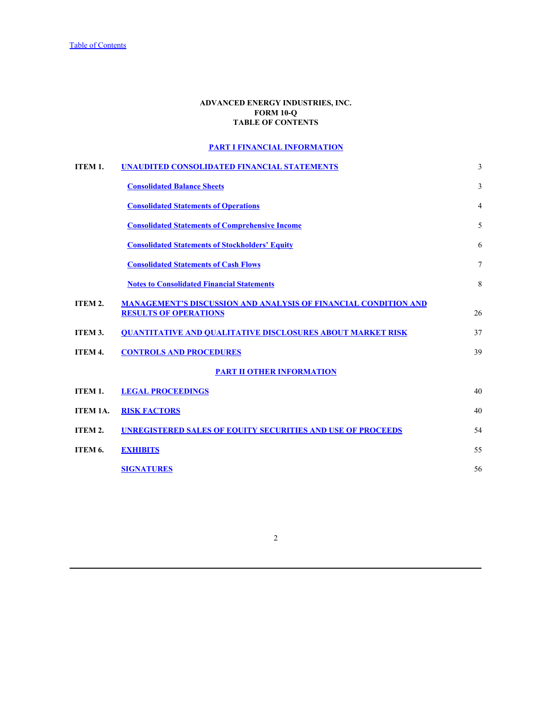## **ADVANCED ENERGY INDUSTRIES, INC. FORM 10-Q TABLE OF CONTENTS**

# **[PART I FINANCIAL INFORMATION](#page-2-0)**

<span id="page-1-0"></span>

| ITEM 1.  | <b>UNAUDITED CONSOLIDATED FINANCIAL STATEMENTS</b>                                                     | 3  |  |
|----------|--------------------------------------------------------------------------------------------------------|----|--|
|          | <b>Consolidated Balance Sheets</b>                                                                     | 3  |  |
|          | <b>Consolidated Statements of Operations</b>                                                           | 4  |  |
|          | <b>Consolidated Statements of Comprehensive Income</b>                                                 | 5  |  |
|          | <b>Consolidated Statements of Stockholders' Equity</b>                                                 | 6  |  |
|          | <b>Consolidated Statements of Cash Flows</b>                                                           | 7  |  |
|          | <b>Notes to Consolidated Financial Statements</b>                                                      | 8  |  |
| ITEM 2.  | <b>MANAGEMENT'S DISCUSSION AND ANALYSIS OF FINANCIAL CONDITION AND</b><br><b>RESULTS OF OPERATIONS</b> | 26 |  |
| ITEM 3.  | <b>OUANTITATIVE AND OUALITATIVE DISCLOSURES ABOUT MARKET RISK</b>                                      | 37 |  |
| ITEM 4.  | <b>CONTROLS AND PROCEDURES</b>                                                                         | 39 |  |
|          | <b>PART II OTHER INFORMATION</b>                                                                       |    |  |
| ITEM 1.  | <b>LEGAL PROCEEDINGS</b>                                                                               | 40 |  |
| ITEM 1A. | <b>RISK FACTORS</b>                                                                                    | 40 |  |
| ITEM 2.  | <b>UNREGISTERED SALES OF EQUITY SECURITIES AND USE OF PROCEEDS</b>                                     | 54 |  |
| ITEM 6.  | <b>EXHIBITS</b>                                                                                        | 55 |  |
|          | <b>SIGNATURES</b>                                                                                      | 56 |  |

2 a set of  $\sim$  2 a set of  $\sim$  2 a set of  $\sim$  2 a set of  $\sim$  3 a set of  $\sim$  3 a set of  $\sim$  3 a set of  $\sim$  3 a set of  $\sim$  3 a set of  $\sim$  3 a set of  $\sim$  3 a set of  $\sim$  3 a set of  $\sim$  3 a set of  $\sim$  3 a set of  $\sim$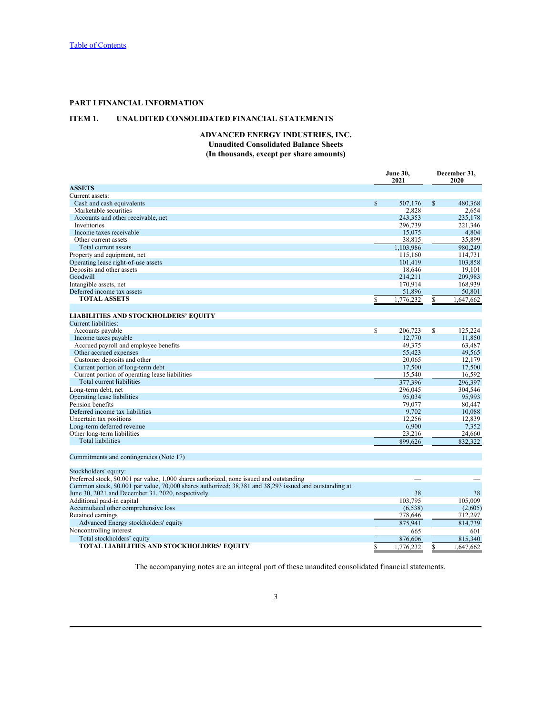## <span id="page-2-0"></span>**PART I FINANCIAL INFORMATION**

## <span id="page-2-2"></span><span id="page-2-1"></span>**ITEM 1. UNAUDITED CONSOLIDATED FINANCIAL STATEMENTS**

## **ADVANCED ENERGY INDUSTRIES, INC. Unaudited Consolidated Balance Sheets (In thousands, except per share amounts)**

|                                                                                                                                                                                                    | <b>June 30.</b><br>2021 |            | December 31,<br>2020 |           |  |
|----------------------------------------------------------------------------------------------------------------------------------------------------------------------------------------------------|-------------------------|------------|----------------------|-----------|--|
| <b>ASSETS</b>                                                                                                                                                                                      |                         |            |                      |           |  |
| Current assets:                                                                                                                                                                                    |                         |            |                      |           |  |
| Cash and cash equivalents                                                                                                                                                                          | <sup>\$</sup>           | 507,176    | $^{\circ}$           | 480,368   |  |
| Marketable securities                                                                                                                                                                              |                         | 2,828      |                      | 2.654     |  |
| Accounts and other receivable, net                                                                                                                                                                 |                         | 243,353    |                      | 235,178   |  |
| Inventories                                                                                                                                                                                        |                         | 296,739    |                      | 221,346   |  |
| Income taxes receivable                                                                                                                                                                            |                         | 15,075     |                      | 4,804     |  |
| Other current assets                                                                                                                                                                               |                         | 38,815     |                      | 35,899    |  |
| Total current assets                                                                                                                                                                               |                         |            |                      | 980,249   |  |
|                                                                                                                                                                                                    |                         | ,103,986   |                      |           |  |
| Property and equipment, net                                                                                                                                                                        |                         | 115,160    |                      | 114,731   |  |
| Operating lease right-of-use assets                                                                                                                                                                |                         | 101,419    |                      | 103,858   |  |
| Deposits and other assets                                                                                                                                                                          |                         | 18,646     |                      | 19,101    |  |
| Goodwill                                                                                                                                                                                           |                         | 214,211    |                      | 209,983   |  |
| Intangible assets, net                                                                                                                                                                             |                         | 170,914    |                      | 168,939   |  |
| Deferred income tax assets                                                                                                                                                                         |                         | 51,896     |                      | 50,801    |  |
| <b>TOTAL ASSETS</b>                                                                                                                                                                                |                         | 1,776,232  |                      | 1,647,662 |  |
|                                                                                                                                                                                                    |                         |            |                      |           |  |
| <b>LIABILITIES AND STOCKHOLDERS' EQUITY</b>                                                                                                                                                        |                         |            |                      |           |  |
| Current liabilities:                                                                                                                                                                               |                         |            |                      |           |  |
| Accounts payable                                                                                                                                                                                   | \$                      | 206,723 \$ |                      | 125,224   |  |
| Income taxes payable                                                                                                                                                                               |                         | 12,770     |                      | 11,850    |  |
| Accrued payroll and employee benefits                                                                                                                                                              |                         | 49,375     |                      | 63,487    |  |
| Other accrued expenses                                                                                                                                                                             |                         | 55,423     |                      | 49,565    |  |
| Customer deposits and other                                                                                                                                                                        |                         | 20,065     |                      | 12,179    |  |
| Current portion of long-term debt                                                                                                                                                                  |                         | 17,500     |                      | 17,500    |  |
| Current portion of operating lease liabilities                                                                                                                                                     |                         | 15,540     |                      | 16,592    |  |
| Total current liabilities                                                                                                                                                                          |                         | 377,396    |                      | 296,397   |  |
|                                                                                                                                                                                                    |                         |            |                      |           |  |
| Long-term debt, net                                                                                                                                                                                |                         | 296,045    |                      | 304,546   |  |
| Operating lease liabilities                                                                                                                                                                        |                         | 95,034     |                      | 95,993    |  |
| Pension benefits                                                                                                                                                                                   |                         | 79,077     |                      | 80,447    |  |
| Deferred income tax liabilities                                                                                                                                                                    |                         | 9,702      |                      | 10,088    |  |
| Uncertain tax positions                                                                                                                                                                            |                         | 12,256     |                      | 12,839    |  |
| Long-term deferred revenue                                                                                                                                                                         |                         | 6,900      |                      | 7,352     |  |
| Other long-term liabilities                                                                                                                                                                        |                         | 23,216     |                      | 24,660    |  |
| <b>Total liabilities</b>                                                                                                                                                                           |                         | 899,626    |                      | 832,322   |  |
|                                                                                                                                                                                                    |                         |            |                      |           |  |
| Commitments and contingencies (Note 17)                                                                                                                                                            |                         |            |                      |           |  |
|                                                                                                                                                                                                    |                         |            |                      |           |  |
| Stockholders' equity:                                                                                                                                                                              |                         |            |                      |           |  |
| Preferred stock, \$0.001 par value, 1,000 shares authorized, none issued and outstanding<br>Common stock, \$0.001 par value, 70,000 shares authorized; 38,381 and 38,293 issued and outstanding at |                         |            |                      |           |  |
| June 30, 2021 and December 31, 2020, respectively                                                                                                                                                  |                         | 38         |                      | 38        |  |
| Additional paid-in capital                                                                                                                                                                         |                         | 103,795    |                      | 105,009   |  |
| Accumulated other comprehensive loss                                                                                                                                                               |                         | (6, 538)   |                      | (2,605)   |  |
| Retained earnings                                                                                                                                                                                  |                         | 778,646    |                      | 712,297   |  |
| Advanced Energy stockholders' equity                                                                                                                                                               |                         | 875,941    |                      | 814,739   |  |
| Noncontrolling interest                                                                                                                                                                            |                         | 665        |                      | 601       |  |
|                                                                                                                                                                                                    |                         |            |                      |           |  |
| Total stockholders' equity                                                                                                                                                                         |                         | 876,606    |                      | 815,340   |  |
| TOTAL LIABILITIES AND STOCKHOLDERS' EQUITY                                                                                                                                                         |                         | 1,776,232  | \$.                  | 1.647.662 |  |

The accompanying notes are an integral part of these unaudited consolidated financial statements.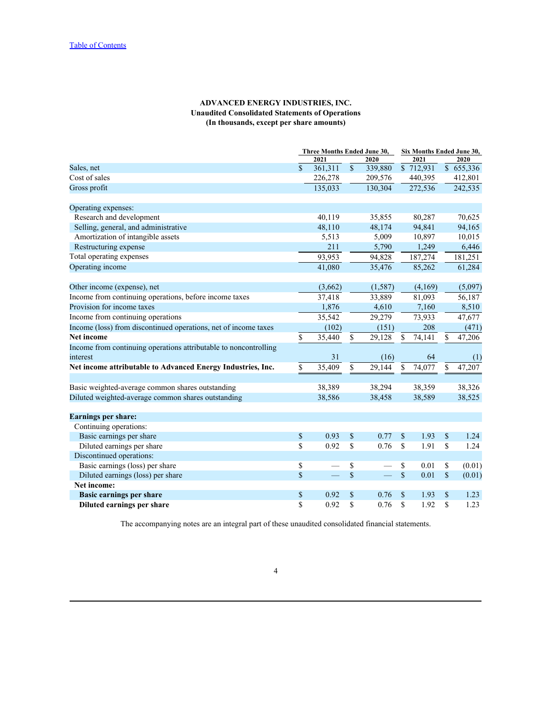## **ADVANCED ENERGY INDUSTRIES, INC. Unaudited Consolidated Statements of Operations (In thousands, except per share amounts)**

<span id="page-3-0"></span>

|                                                                  |              | Three Months Ended June 30, |               |         |               |           |                           | Six Months Ended June 30, |  |
|------------------------------------------------------------------|--------------|-----------------------------|---------------|---------|---------------|-----------|---------------------------|---------------------------|--|
|                                                                  |              | 2021                        |               | 2020    |               | 2021      |                           | $\frac{2020}{ }$          |  |
| Sales, net                                                       | $\mathbb{S}$ | 361,311                     | $\mathbf{s}$  | 339,880 |               | \$712,931 | $\mathbb{S}$              | 655,336                   |  |
| Cost of sales                                                    |              | 226,278                     |               | 209,576 |               | 440,395   |                           | 412,801                   |  |
| Gross profit                                                     |              | 135,033                     |               | 130,304 |               | 272,536   |                           | 242,535                   |  |
|                                                                  |              |                             |               |         |               |           |                           |                           |  |
| Operating expenses:                                              |              |                             |               |         |               |           |                           |                           |  |
| Research and development                                         |              | 40,119                      |               | 35,855  |               | 80,287    |                           | 70,625                    |  |
| Selling, general, and administrative                             |              | 48,110                      |               | 48,174  |               | 94,841    |                           | 94,165                    |  |
| Amortization of intangible assets                                |              | 5,513                       |               | 5,009   |               | 10,897    |                           | 10,015                    |  |
| Restructuring expense                                            |              | 211                         |               | 5,790   |               | 1,249     |                           | 6,446                     |  |
| Total operating expenses                                         |              | 93,953                      |               | 94,828  |               | 187,274   |                           | 181,251                   |  |
| Operating income                                                 |              | 41,080                      |               | 35,476  |               | 85,262    |                           | 61,284                    |  |
|                                                                  |              |                             |               |         |               |           |                           |                           |  |
| Other income (expense), net                                      |              | (3,662)                     |               | (1,587) |               | (4,169)   |                           | (5,097)                   |  |
| Income from continuing operations, before income taxes           |              | 37,418                      |               | 33,889  |               | 81,093    |                           | 56,187                    |  |
| Provision for income taxes                                       |              | 1,876                       |               | 4,610   |               | 7,160     |                           | 8,510                     |  |
| Income from continuing operations                                |              | 35,542                      |               | 29,279  |               | 73,933    |                           | 47,677                    |  |
| Income (loss) from discontinued operations, net of income taxes  |              | (102)                       |               | (151)   |               | 208       |                           | (471)                     |  |
| Net income                                                       | \$           | 35,440                      | -S            | 29,128  | <sup>S</sup>  | 74,141    | <sup>\$</sup>             | 47,206                    |  |
| Income from continuing operations attributable to noncontrolling |              |                             |               |         |               |           |                           |                           |  |
| interest                                                         |              | 31                          |               | (16)    |               | 64        |                           | (1)                       |  |
| Net income attributable to Advanced Energy Industries, Inc.      | S.           | 35,409                      | \$.           | 29,144  | <sup>S</sup>  | 74,077    | $\mathbb{S}$              | 47,207                    |  |
|                                                                  |              |                             |               |         |               |           |                           |                           |  |
| Basic weighted-average common shares outstanding                 |              | 38,389                      |               | 38,294  |               | 38,359    |                           | 38,326                    |  |
| Diluted weighted-average common shares outstanding               |              | 38,586                      |               | 38,458  |               | 38,589    |                           | 38,525                    |  |
| <b>Earnings per share:</b>                                       |              |                             |               |         |               |           |                           |                           |  |
| Continuing operations:                                           |              |                             |               |         |               |           |                           |                           |  |
| Basic earnings per share                                         | \$           | 0.93                        | $\mathbb{S}$  | 0.77    | -S            | 1.93      | $\mathcal{S}$             | 1.24                      |  |
| Diluted earnings per share                                       | \$           | 0.92                        | $\mathbf{\$}$ | 0.76    | $\mathcal{S}$ | 1.91      | $\mathbf{\$}$             | 1.24                      |  |
| Discontinued operations:                                         |              |                             |               |         |               |           |                           |                           |  |
|                                                                  |              |                             |               |         |               | 0.01      |                           |                           |  |
| Basic earnings (loss) per share                                  | \$           | $\qquad \qquad$             | <sup>\$</sup> |         |               |           | -\$                       | (0.01)                    |  |
| Diluted earnings (loss) per share                                | $\mathbb{S}$ | $\overline{\phantom{0}}$    | $\mathcal{S}$ |         | -S            | 0.01      | $\boldsymbol{\mathsf{S}}$ | (0.01)                    |  |
| Net income:                                                      |              | 0.92                        |               | 0.76    |               | 1.93      |                           | 1.23                      |  |
| Basic earnings per share                                         | \$           |                             | -\$           |         |               |           |                           |                           |  |
| Diluted earnings per share                                       | \$           | 0.92                        | \$            | 0.76    | <sup>\$</sup> | 1.92      | -S                        | 1.23                      |  |

The accompanying notes are an integral part of these unaudited consolidated financial statements.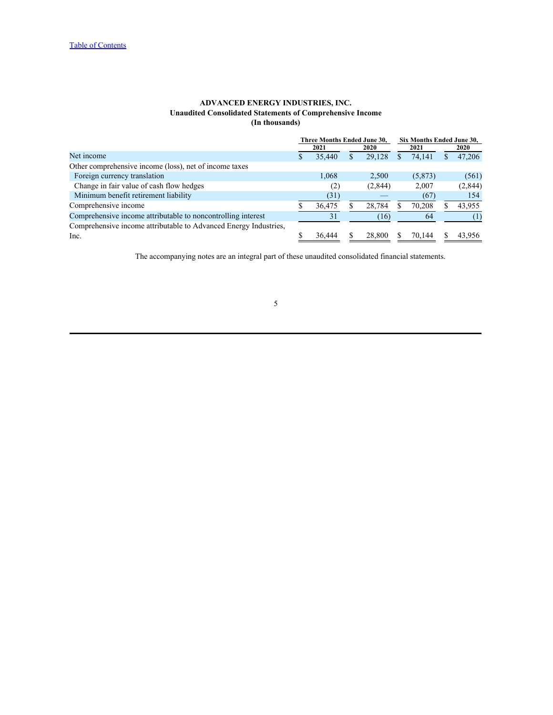## **ADVANCED ENERGY INDUSTRIES, INC. Unaudited Consolidated Statements of Comprehensive Income (In thousands)**

<span id="page-4-0"></span>

|                                                                  | Three Months Ended June 30, |  |         |  | Six Months Ended June 30, |  |             |  |  |  |
|------------------------------------------------------------------|-----------------------------|--|---------|--|---------------------------|--|-------------|--|--|--|
|                                                                  | 2021                        |  | 2020    |  | 2021                      |  | <b>2020</b> |  |  |  |
| Net income                                                       | 35.440                      |  | 29,128  |  | 74,141                    |  | 47,206      |  |  |  |
| Other comprehensive income (loss), net of income taxes           |                             |  |         |  |                           |  |             |  |  |  |
| Foreign currency translation                                     | 1,068                       |  | 2,500   |  | (5,873)                   |  | (561)       |  |  |  |
| Change in fair value of cash flow hedges                         | (2)                         |  | (2,844) |  | 2,007                     |  | (2,844)     |  |  |  |
| Minimum benefit retirement liability                             | (31)                        |  | $-$     |  | (67)                      |  | 154         |  |  |  |
| Comprehensive income                                             | 36,475                      |  | 28.784  |  | 70,208                    |  | 43,955      |  |  |  |
| Comprehensive income attributable to noncontrolling interest     | 31                          |  | (16)    |  | 64                        |  |             |  |  |  |
| Comprehensive income attributable to Advanced Energy Industries, |                             |  |         |  |                           |  |             |  |  |  |
| lnc.                                                             | 36.444                      |  | 28.800  |  | 70.144                    |  | 43,956      |  |  |  |

The accompanying notes are an integral part of these unaudited consolidated financial statements.

 $5<sub>5</sub>$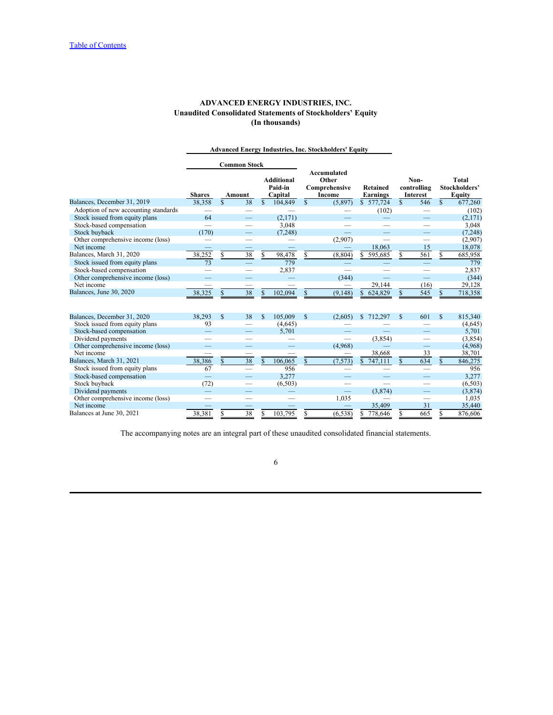## **ADVANCED ENERGY INDUSTRIES, INC. Unaudited Consolidated Statements of Stockholders' Equity (In thousands)**

<span id="page-5-0"></span>

|                                      |                                 |                                  |    |                                         |                    | <b>Advanced Energy Industries, Inc. Stockholders' Equity</b> |                             |              |                                        |               |                                  |
|--------------------------------------|---------------------------------|----------------------------------|----|-----------------------------------------|--------------------|--------------------------------------------------------------|-----------------------------|--------------|----------------------------------------|---------------|----------------------------------|
|                                      | <b>Common Stock</b>             |                                  |    |                                         |                    |                                                              |                             |              |                                        |               |                                  |
|                                      | <b>Shares</b>                   | Amount                           |    | <b>Additional</b><br>Paid-in<br>Capital |                    | Accumulated<br>Other<br>Comprehensive<br>Income              | <b>Retained</b><br>Earnings |              | Non-<br>controlling<br><b>Interest</b> |               | Total<br>Stockholders'<br>Equity |
| Balances, December 31, 2019          | 38,358                          | 38<br>$\mathbf{s}$               |    | 104.849                                 | $\mathbf{s}$       | (5,897)                                                      | \$577,724                   | $\mathbb{S}$ | 546                                    | <sup>S</sup>  | 677,260                          |
| Adoption of new accounting standards |                                 |                                  |    | $\overline{\phantom{a}}$                |                    | $\overbrace{\phantom{12333}}$                                | (102)                       |              | $\hspace{0.1mm}-\hspace{0.1mm}$        |               | (102)                            |
| Stock issued from equity plans       | 64                              |                                  |    | (2,171)                                 |                    |                                                              | $\equiv$                    |              |                                        |               | (2,171)                          |
| Stock-based compensation             | $\overline{\phantom{0}}$        | $\overline{\phantom{0}}$         |    | 3,048                                   |                    |                                                              |                             |              |                                        |               | 3,048                            |
| Stock buyback                        | (170)                           |                                  |    | (7,248)                                 |                    | $\overline{\phantom{m}}$                                     |                             |              |                                        |               | (7, 248)                         |
| Other comprehensive income (loss)    |                                 | $\hspace{0.1mm}-\hspace{0.1mm}$  |    | $\overbrace{\phantom{12322111}}$        |                    | (2,907)                                                      |                             |              |                                        |               | (2,907)                          |
| Net income                           | $\hspace{0.1mm}-\hspace{0.1mm}$ | $\hspace{0.1mm}-\hspace{0.1mm}$  |    | $\hspace{0.1mm}-\hspace{0.1mm}$         |                    | $\hspace{0.1mm}-\hspace{0.1mm}$                              | 18,063                      |              | 15                                     |               | 18,078                           |
| Balances, March 31, 2020             | 38,252                          | 38<br>S.                         |    | 98,478                                  | \$                 | (8, 804)                                                     | 595,685                     | S.           | 561                                    | <sup>\$</sup> | 685,958                          |
| Stock issued from equity plans       | 73                              |                                  |    | 779                                     |                    |                                                              |                             |              |                                        |               | 779                              |
| Stock-based compensation             |                                 | $\overline{\phantom{0}}$         |    | 2,837                                   |                    | $\overline{\phantom{0}}$                                     |                             |              | $\hspace{0.1mm}-\hspace{0.1mm}$        |               | 2,837                            |
| Other comprehensive income (loss)    |                                 |                                  |    |                                         |                    | (344)                                                        |                             |              | $\hspace{0.1mm}-\hspace{0.1mm}$        |               | (344)                            |
| Net income                           |                                 |                                  |    | $\overline{\phantom{a}}$                |                    |                                                              | 29,144                      |              | (16)                                   |               | 29,128                           |
| Balances, June 30, 2020              | 38,325                          | 38<br>$\mathbf{s}$               |    | 102,094                                 |                    | (9,148)                                                      | 624,829                     |              | 545                                    |               | 718,358                          |
|                                      |                                 |                                  |    |                                         |                    |                                                              |                             |              |                                        |               |                                  |
| Balances, December 31, 2020          | 38,293                          | 38<br><sup>S</sup>               | -S | 105,009                                 | $\mathbf{\hat{s}}$ | (2,605)                                                      | 712.297<br>-S               |              | 601                                    | -S            | 815,340                          |
| Stock issued from equity plans       | 93                              | $\overbrace{\phantom{12322111}}$ |    | (4,645)                                 |                    |                                                              |                             |              |                                        |               | (4,645)                          |
| Stock-based compensation             | $\overline{\phantom{m}}$        |                                  |    | 5,701                                   |                    | $\overline{\phantom{m}}$                                     | $\overline{\phantom{m}}$    |              | $\overline{\phantom{m}}$               |               | 5,701                            |
| Dividend payments                    | $\overline{\phantom{0}}$        |                                  |    | $\overbrace{\phantom{12322111}}$        |                    | $\overline{\phantom{m}}$                                     | (3, 854)                    |              | $\hspace{0.1mm}-\hspace{0.1mm}$        |               | (3,854)                          |
| Other comprehensive income (loss)    |                                 |                                  |    |                                         |                    | (4,968)                                                      |                             |              | $\overline{\phantom{m}}$               |               | (4,968)                          |
| Net income                           | –                               |                                  |    |                                         |                    |                                                              | 38,668                      |              | 33                                     |               | 38,701                           |
| Balances, March 31, 2021             | 38,386                          | 38                               |    | 106,065                                 | $\mathbf{\hat{x}}$ | (7,573)                                                      | 747,111                     |              | 634                                    | $\mathcal{S}$ | 846,275                          |
| Stock issued from equity plans       | 67                              | $\overline{\phantom{0}}$         |    | 956                                     |                    |                                                              | $\overline{\phantom{m}}$    |              |                                        |               | 956                              |
| Stock-based compensation             |                                 |                                  |    | 3,277                                   |                    |                                                              |                             |              |                                        |               | 3,277                            |
| Stock buyback                        | (72)                            | $\hspace{0.1mm}-\hspace{0.1mm}$  |    | (6,503)                                 |                    |                                                              |                             |              | $\overline{\phantom{0}}$               |               | (6, 503)                         |
| Dividend payments                    |                                 |                                  |    |                                         |                    | $\hspace{0.1mm}-\hspace{0.1mm}$                              | (3,874)                     |              | $\overline{\phantom{m}}$               |               | (3,874)                          |
| Other comprehensive income (loss)    |                                 | $\overline{\phantom{0}}$         |    |                                         |                    | 1,035                                                        | $\overline{\phantom{m}}$    |              | $\overbrace{\phantom{12332}}$          |               | 1,035                            |
| Net income                           |                                 |                                  |    |                                         |                    | $\overline{\phantom{m}}$                                     | 35,409                      |              | 31                                     |               | 35,440                           |
| Balances at June 30, 2021            | 38,381                          | 38                               |    | 103,795                                 |                    | (6, 538)                                                     | 778,646                     |              | 665                                    | <sup>S</sup>  | 876,606                          |
|                                      |                                 |                                  |    |                                         |                    |                                                              |                             |              |                                        |               |                                  |

The accompanying notes are an integral part of these unaudited consolidated financial statements.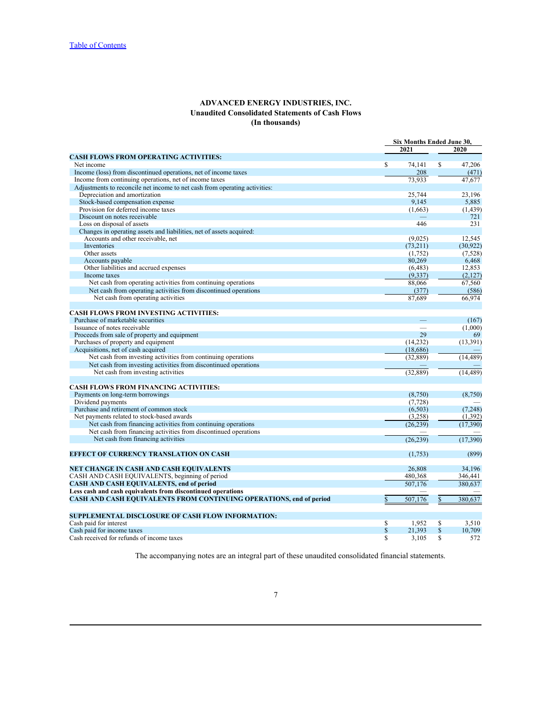## **ADVANCED ENERGY INDUSTRIES, INC. Unaudited Consolidated Statements of Cash Flows (In thousands)**

<span id="page-6-0"></span>

|                                                                            | Six Months Ended June 30, |           |                    |           |  |  |
|----------------------------------------------------------------------------|---------------------------|-----------|--------------------|-----------|--|--|
|                                                                            |                           | 2021      |                    | 2020      |  |  |
| <b>CASH FLOWS FROM OPERATING ACTIVITIES:</b>                               |                           |           |                    |           |  |  |
| Net income                                                                 | <sup>\$</sup>             | 74,141    | $\mathbf{s}$       | 47,206    |  |  |
| Income (loss) from discontinued operations, net of income taxes            |                           | 208       |                    | (471)     |  |  |
| Income from continuing operations, net of income taxes                     |                           | 73,933    |                    | 47,677    |  |  |
| Adjustments to reconcile net income to net cash from operating activities: |                           |           |                    |           |  |  |
| Depreciation and amortization                                              |                           | 25,744    |                    | 23,196    |  |  |
| Stock-based compensation expense                                           |                           | 9,145     |                    | 5,885     |  |  |
| Provision for deferred income taxes                                        |                           | (1,663)   |                    | (1, 439)  |  |  |
| Discount on notes receivable                                               |                           |           |                    | 721       |  |  |
|                                                                            |                           | 446       |                    | 231       |  |  |
| Loss on disposal of assets                                                 |                           |           |                    |           |  |  |
| Changes in operating assets and liabilities, net of assets acquired:       |                           |           |                    |           |  |  |
| Accounts and other receivable, net                                         |                           | (9,025)   |                    | 12.545    |  |  |
| Inventories                                                                |                           | (73,211)  |                    | (30, 922) |  |  |
| Other assets                                                               |                           | (1,752)   |                    | (7,528)   |  |  |
| Accounts payable                                                           |                           | 80,269    |                    | 6,468     |  |  |
| Other liabilities and accrued expenses                                     |                           | (6, 483)  |                    | 12,853    |  |  |
| Income taxes                                                               |                           | (9,337)   |                    | (2,127)   |  |  |
| Net cash from operating activities from continuing operations              |                           | 88,066    |                    | 67,560    |  |  |
| Net cash from operating activities from discontinued operations            |                           | (377)     |                    | (586)     |  |  |
| Net cash from operating activities                                         |                           | 87,689    |                    | 66,974    |  |  |
|                                                                            |                           |           |                    |           |  |  |
| <b>CASH FLOWS FROM INVESTING ACTIVITIES:</b>                               |                           |           |                    |           |  |  |
| Purchase of marketable securities                                          |                           |           |                    | (167)     |  |  |
| Issuance of notes receivable                                               |                           |           |                    |           |  |  |
|                                                                            |                           |           |                    | (1,000)   |  |  |
| Proceeds from sale of property and equipment                               |                           | 29        |                    | 69        |  |  |
| Purchases of property and equipment                                        |                           | (14,232)  |                    | (13,391)  |  |  |
| Acquisitions, net of cash acquired                                         |                           | (18,686)  |                    |           |  |  |
| Net cash from investing activities from continuing operations              |                           | (32,889)  |                    | (14, 489) |  |  |
| Net cash from investing activities from discontinued operations            |                           |           |                    |           |  |  |
| Net cash from investing activities                                         |                           | (32,889)  |                    | (14, 489) |  |  |
|                                                                            |                           |           |                    |           |  |  |
| <b>CASH FLOWS FROM FINANCING ACTIVITIES:</b>                               |                           |           |                    |           |  |  |
| Payments on long-term borrowings                                           |                           | (8,750)   |                    | (8,750)   |  |  |
| Dividend payments                                                          |                           | (7, 728)  |                    |           |  |  |
| Purchase and retirement of common stock                                    |                           | (6,503)   |                    | (7, 248)  |  |  |
| Net payments related to stock-based awards                                 |                           | (3,258)   |                    | (1,392)   |  |  |
| Net cash from financing activities from continuing operations              |                           |           |                    |           |  |  |
|                                                                            |                           | (26, 239) |                    | (17, 390) |  |  |
| Net cash from financing activities from discontinued operations            |                           |           |                    |           |  |  |
| Net cash from financing activities                                         |                           | (26,239)  |                    | (17,390)  |  |  |
|                                                                            |                           |           |                    |           |  |  |
| <b>EFFECT OF CURRENCY TRANSLATION ON CASH</b>                              |                           | (1,753)   |                    | (899)     |  |  |
|                                                                            |                           |           |                    |           |  |  |
| NET CHANGE IN CASH AND CASH EQUIVALENTS                                    |                           | 26,808    |                    | 34,196    |  |  |
| CASH AND CASH EQUIVALENTS, beginning of period                             |                           | 480,368   |                    | 346,441   |  |  |
| CASH AND CASH EQUIVALENTS, end of period                                   |                           | 507,176   |                    | 380,637   |  |  |
| Less cash and cash equivalents from discontinued operations                |                           |           |                    |           |  |  |
| CASH AND CASH EQUIVALENTS FROM CONTINUING OPERATIONS, end of period        |                           | 507,176   |                    | 380,637   |  |  |
|                                                                            |                           |           |                    |           |  |  |
|                                                                            |                           |           |                    |           |  |  |
| <b>SUPPLEMENTAL DISCLOSURE OF CASH FLOW INFORMATION:</b>                   |                           |           |                    |           |  |  |
| Cash paid for interest                                                     | S.                        | 1,952     | -S                 | 3,510     |  |  |
| Cash paid for income taxes                                                 |                           | 21,393    | $\mathbf{\hat{s}}$ | 10,709    |  |  |
| Cash received for refunds of income taxes                                  | S.                        | 3,105     | -S                 | 572       |  |  |

The accompanying notes are an integral part of these unaudited consolidated financial statements.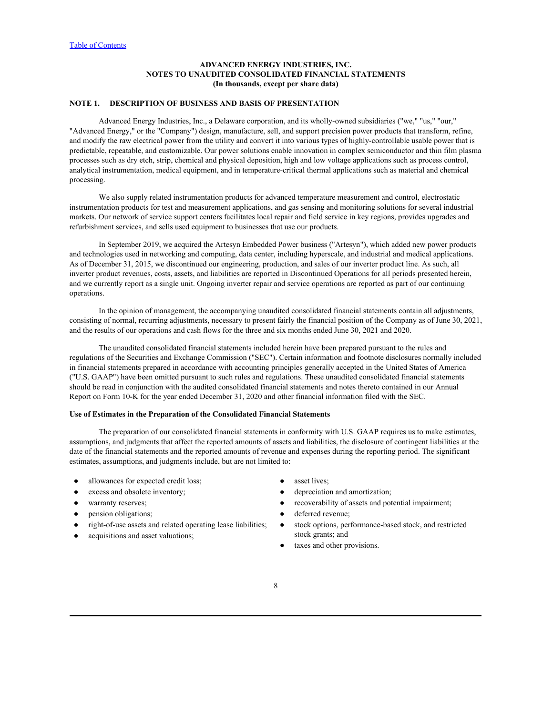## <span id="page-7-0"></span>**NOTE 1. DESCRIPTION OF BUSINESS AND BASIS OF PRESENTATION**

Advanced Energy Industries, Inc., a Delaware corporation, and its wholly-owned subsidiaries ("we," "us," "our," "Advanced Energy," or the "Company") design, manufacture, sell, and support precision power products that transform, refine, and modify the raw electrical power from the utility and convert it into various types of highly-controllable usable power that is predictable, repeatable, and customizable. Our power solutions enable innovation in complex semiconductor and thin film plasma processes such as dry etch, strip, chemical and physical deposition, high and low voltage applications such as process control, analytical instrumentation, medical equipment, and in temperature-critical thermal applications such as material and chemical processing.

We also supply related instrumentation products for advanced temperature measurement and control, electrostatic instrumentation products for test and measurement applications, and gas sensing and monitoring solutions for several industrial markets. Our network of service support centers facilitates local repair and field service in key regions, provides upgrades and refurbishment services, and sells used equipment to businesses that use our products.

In September 2019, we acquired the Artesyn Embedded Power business ("Artesyn"), which added new power products and technologies used in networking and computing, data center, including hyperscale, and industrial and medical applications. As of December 31, 2015, we discontinued our engineering, production, and sales of our inverter product line. As such, all inverter product revenues, costs, assets, and liabilities are reported in Discontinued Operations for all periods presented herein, and we currently report as a single unit. Ongoing inverter repair and service operations are reported as part of our continuing operations.

In the opinion of management, the accompanying unaudited consolidated financial statements contain all adjustments, consisting of normal, recurring adjustments, necessary to present fairly the financial position of the Company as of June 30, 2021, and the results of our operations and cash flows for the three and six months ended June 30, 2021 and 2020.

The unaudited consolidated financial statements included herein have been prepared pursuant to the rules and regulations of the Securities and Exchange Commission ("SEC"). Certain information and footnote disclosures normally included in financial statements prepared in accordance with accounting principles generally accepted in the United States of America ("U.S. GAAP") have been omitted pursuant to such rules and regulations. These unaudited consolidated financial statements should be read in conjunction with the audited consolidated financial statements and notes thereto contained in our Annual Report on Form 10-K for the year ended December 31, 2020 and other financial information filed with the SEC.

#### **Use of Estimates in the Preparation of the Consolidated Financial Statements**

The preparation of our consolidated financial statements in conformity with U.S. GAAP requires us to make estimates, assumptions, and judgments that affect the reported amounts of assets and liabilities, the disclosure of contingent liabilities at the date of the financial statements and the reported amounts of revenue and expenses during the reporting period. The significant estimates, assumptions, and judgments include, but are not limited to:

- allowances for expected credit loss; expected credit loss;
- 
- 
- 
- 
- 
- 
- excess and obsolete inventory;  $\bullet$  depreciation and amortization;
- warranty reserves;<br> **•** recoverability of assets and potential impairment;
- pension obligations;  $\bullet$  deferred revenue;
- right-of-use assets and related operating lease liabilities;  $\bullet$  stock options, performance-based stock, and restricted • allowances for expected credit loss;<br>
• excess and obsolete inventory;<br>
• warranty reserves;<br>
• recoverability of assets and potential impairment;<br>
• recoverability of assets and potential impairment;<br>
• deferred re stock grants; and
	- taxes and other provisions.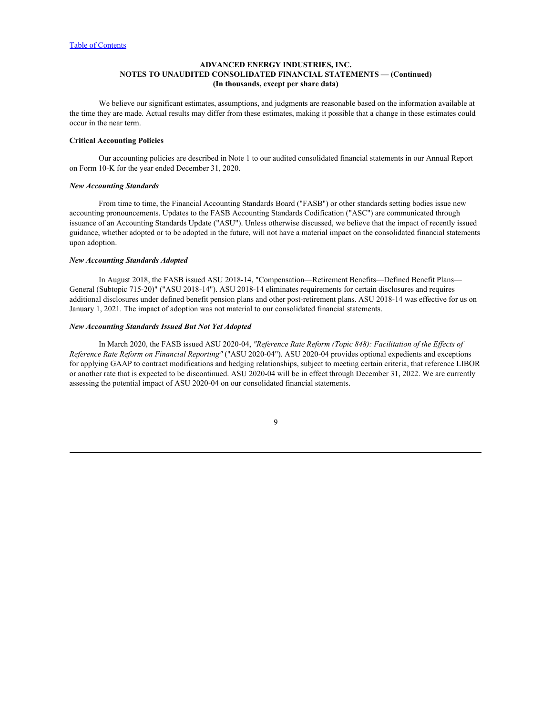We believe our significant estimates, assumptions, and judgments are reasonable based on the information available at the time they are made. Actual results may differ from these estimates, making it possible that a change in these estimates could occur in the near term.

### **Critical Accounting Policies**

Our accounting policies are described in Note 1 to our audited consolidated financial statements in our Annual Report on Form 10-K for the year ended December 31, 2020.

#### *New Accounting Standards*

From time to time, the Financial Accounting Standards Board ("FASB") or other standards setting bodies issue new accounting pronouncements. Updates to the FASB Accounting Standards Codification ("ASC") are communicated through issuance of an Accounting Standards Update ("ASU"). Unless otherwise discussed, we believe that the impact of recently issued guidance, whether adopted or to be adopted in the future, will not have a material impact on the consolidated financial statements upon adoption.

#### *New Accounting Standards Adopted*

In August 2018, the FASB issued ASU 2018-14, "Compensation—Retirement Benefits—Defined Benefit Plans— General (Subtopic 715-20)" ("ASU 2018-14"). ASU 2018-14 eliminates requirements for certain disclosures and requires additional disclosures under defined benefit pension plans and other post-retirement plans. ASU 2018-14 was effective for us on January 1, 2021. The impact of adoption was not material to our consolidated financial statements.

### *New Accounting Standards Issued But Not Yet Adopted*

In March 2020, the FASB issued ASU 2020-04, *"Reference Rate Reform (Topic 848): Facilitation of the Effects of Reference Rate Reform on Financial Reporting"* ("ASU 2020-04"). ASU 2020-04 provides optional expedients and exceptions for applying GAAP to contract modifications and hedging relationships, subject to meeting certain criteria, that reference LIBOR or another rate that is expected to be discontinued. ASU 2020-04 will be in effect through December 31, 2022. We are currently assessing the potential impact of ASU 2020-04 on our consolidated financial statements.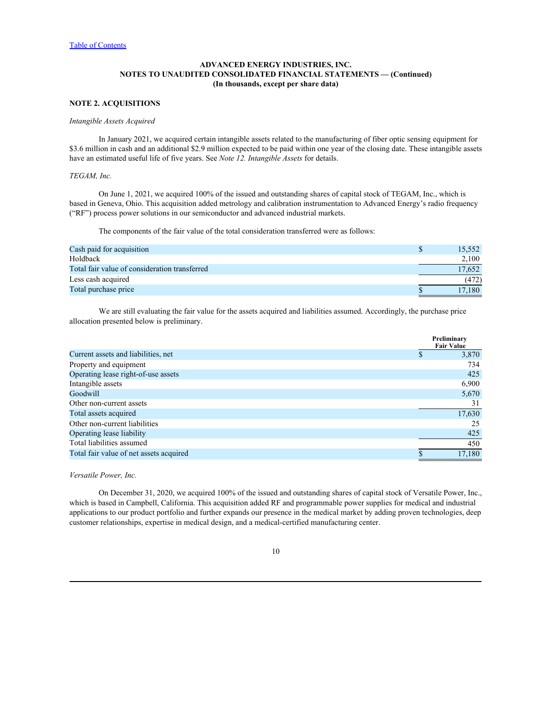## **NOTE 2. ACQUISITIONS**

#### *Intangible Assets Acquired*

In January 2021, we acquired certain intangible assets related to the manufacturing of fiber optic sensing equipment for \$3.6 million in cash and an additional \$2.9 million expected to be paid within one year of the closing date. These intangible assets have an estimated useful life of five years. See *Note 12. Intangible Assets* for details.

#### *TEGAM, Inc.*

On June 1, 2021, we acquired 100% of the issued and outstanding shares of capital stock of TEGAM, Inc., which is based in Geneva, Ohio. This acquisition added metrology and calibration instrumentation to Advanced Energy's radio frequency ("RF") process power solutions in our semiconductor and advanced industrial markets.

The components of the fair value of the total consideration transferred were as follows:

| Cash paid for acquisition                     | 15,552 |
|-----------------------------------------------|--------|
| Holdback                                      | 2,100  |
| Total fair value of consideration transferred | 17,652 |
| Less cash acquired                            | (472)  |
| Total purchase price                          | 17,180 |

We are still evaluating the fair value for the assets acquired and liabilities assumed. Accordingly, the purchase price allocation presented below is preliminary.

|                                         | Preliminary<br><b>Fair Value</b> |
|-----------------------------------------|----------------------------------|
| Current assets and liabilities, net     | 3,870                            |
| Property and equipment                  | 734                              |
| Operating lease right-of-use assets     | 425                              |
| Intangible assets                       | 6,900                            |
| Goodwill                                | 5,670                            |
| Other non-current assets                |                                  |
| Total assets acquired                   | 17,630                           |
| Other non-current liabilities           | 25                               |
| Operating lease liability               | 425                              |
| Total liabilities assumed               | 450                              |
| Total fair value of net assets acquired | 17,180                           |
|                                         |                                  |

### *Versatile Power, Inc.*

On December 31, 2020, we acquired 100% of the issued and outstanding shares of capital stock of Versatile Power, Inc., which is based in Campbell, California. This acquisition added RF and programmable power supplies for medical and industrial applications to our product portfolio and further expands our presence in the medical market by adding proven technologies, deep customer relationships, expertise in medical design, and a medical-certified manufacturing center.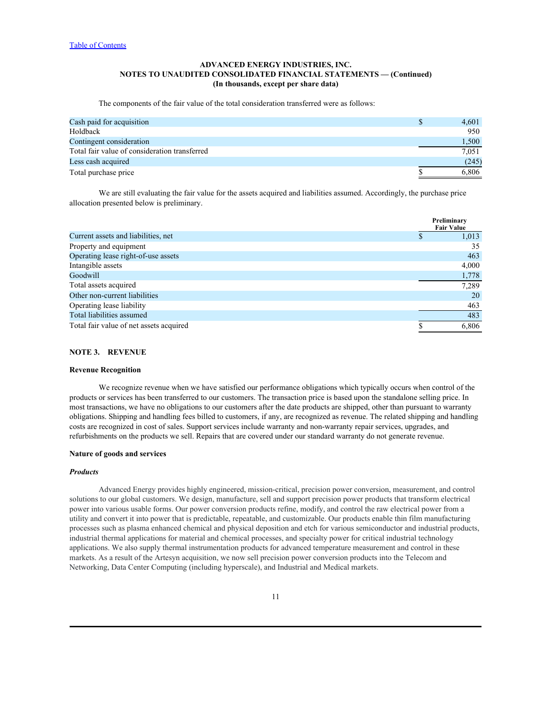The components of the fair value of the total consideration transferred were as follows:

| Cash paid for acquisition                     | 4,601 |
|-----------------------------------------------|-------|
| Holdback                                      | 950   |
| Contingent consideration                      | 1,500 |
| Total fair value of consideration transferred | 7,051 |
| Less cash acquired                            | (245) |
| Total purchase price                          | 6,806 |
|                                               |       |

We are still evaluating the fair value for the assets acquired and liabilities assumed. Accordingly, the purchase price allocation presented below is preliminary.

|                                         | Preliminary<br><b>Fair Value</b> |
|-----------------------------------------|----------------------------------|
| Current assets and liabilities, net     | 1,013                            |
| Property and equipment                  | 35                               |
| Operating lease right-of-use assets     | 463                              |
| Intangible assets                       | 4,000                            |
| Goodwill                                | 1,778                            |
| Total assets acquired                   | 7,289                            |
| Other non-current liabilities           | 20                               |
| Operating lease liability               | 463                              |
| Total liabilities assumed               | 483                              |
| Total fair value of net assets acquired | 6,806                            |

### **NOTE 3. REVENUE**

#### **Revenue Recognition**

We recognize revenue when we have satisfied our performance obligations which typically occurs when control of the products or services has been transferred to our customers. The transaction price is based upon the standalone selling price. In most transactions, we have no obligations to our customers after the date products are shipped, other than pursuant to warranty obligations. Shipping and handling fees billed to customers, if any, are recognized as revenue. The related shipping and handling costs are recognized in cost of sales. Support services include warranty and non-warranty repair services, upgrades, and refurbishments on the products we sell. Repairs that are covered under our standard warranty do not generate revenue.

### **Nature of goods and services**

#### *Products*

Advanced Energy provides highly engineered, mission-critical, precision power conversion, measurement, and control solutions to our global customers. We design, manufacture, sell and support precision power products that transform electrical power into various usable forms. Our power conversion products refine, modify, and control the raw electrical power from a utility and convert it into power that is predictable, repeatable, and customizable. Our products enable thin film manufacturing processes such as plasma enhanced chemical and physical deposition and etch for various semiconductor and industrial products, industrial thermal applications for material and chemical processes, and specialty power for critical industrial technology applications. We also supply thermal instrumentation products for advanced temperature measurement and control in these markets. As a result of the Artesyn acquisition, we now sell precision power conversion products into the Telecom and Networking, Data Center Computing (including hyperscale), and Industrial and Medical markets.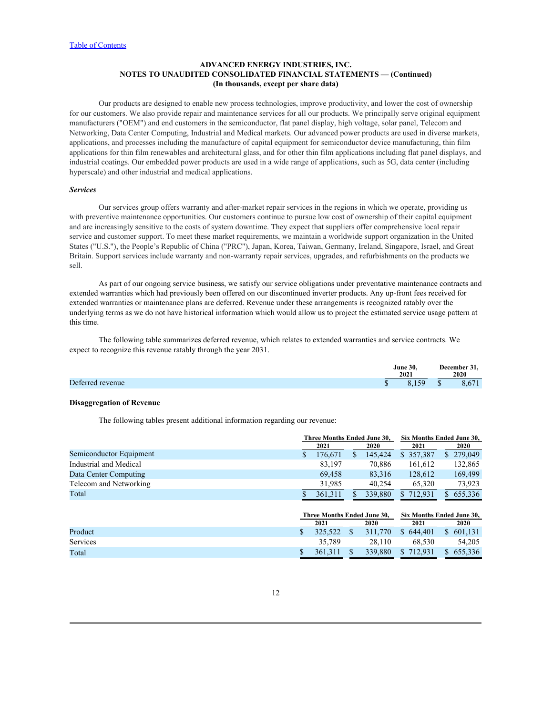Our products are designed to enable new process technologies, improve productivity, and lower the cost of ownership for our customers. We also provide repair and maintenance services for all our products. We principally serve original equipment manufacturers ("OEM") and end customers in the semiconductor, flat panel display, high voltage, solar panel, Telecom and Networking, Data Center Computing, Industrial and Medical markets. Our advanced power products are used in diverse markets, applications, and processes including the manufacture of capital equipment for semiconductor device manufacturing, thin film applications for thin film renewables and architectural glass, and for other thin film applications including flat panel displays, and industrial coatings. Our embedded power products are used in a wide range of applications, such as 5G, data center (including hyperscale) and other industrial and medical applications.

#### *Services*

Our services group offers warranty and after-market repair services in the regions in which we operate, providing us with preventive maintenance opportunities. Our customers continue to pursue low cost of ownership of their capital equipment and are increasingly sensitive to the costs of system downtime. They expect that suppliers offer comprehensive local repair service and customer support. To meet these market requirements, we maintain a worldwide support organization in the United States ("U.S."), the People's Republic of China ("PRC"), Japan, Korea, Taiwan, Germany, Ireland, Singapore, Israel, and Great Britain. Support services include warranty and non-warranty repair services, upgrades, and refurbishments on the products we sell.

As part of our ongoing service business, we satisfy our service obligations under preventative maintenance contracts and extended warranties which had previously been offered on our discontinued inverter products. Any up-front fees received for extended warranties or maintenance plans are deferred. Revenue under these arrangements is recognized ratably over the underlying terms as we do not have historical information which would allow us to project the estimated service usage pattern at this time.

The following table summarizes deferred revenue, which relates to extended warranties and service contracts. We expect to recognize this revenue ratably through the year 2031.

|                  | <b>June 30,<br/>2021</b> | $\sim$<br>December 31,<br>2020             |
|------------------|--------------------------|--------------------------------------------|
| Deferred revenue | 2159<br>0.12.            | $\sqrt{771}$<br>$\delta$ , $\delta$ ,<br>. |

#### **Disaggregation of Revenue**

The following tables present additional information regarding our revenue:

|                         | Three Months Ended June 30, |                             |  |             |                           | Six Months Ended June 30, |             |  |
|-------------------------|-----------------------------|-----------------------------|--|-------------|---------------------------|---------------------------|-------------|--|
|                         |                             | 2021                        |  | <b>2020</b> | 2021                      |                           | <b>2020</b> |  |
| Semiconductor Equipment |                             | 176,671                     |  | 145,424     | \$357,387                 |                           | 279,049     |  |
| Industrial and Medical  |                             | 83,197                      |  | 70,886      | 161,612                   |                           | 132,865     |  |
| Data Center Computing   |                             | 69,458                      |  | 83,316      | 128,612                   |                           | 169,499     |  |
| Telecom and Networking  |                             | 31,985                      |  | 40,254      | 65,320                    |                           | 73,923      |  |
| Total                   |                             | 361,311                     |  | 339,880     | \$712,931                 |                           | 655,336     |  |
|                         |                             |                             |  |             |                           |                           |             |  |
|                         |                             | Three Months Ended June 30, |  |             | Six Months Ended June 30, |                           |             |  |
|                         |                             | 2021                        |  | 2020        | 2021                      |                           | <b>2020</b> |  |
| Product                 |                             | 325,522                     |  | 311,770     | \$644,401                 |                           | 601,131     |  |
| Services                |                             | 35,789                      |  | 28,110      | 68,530                    |                           | 54,205      |  |
| Total                   |                             | 361,311                     |  | 339,880     | \$712,931                 |                           | 655,336     |  |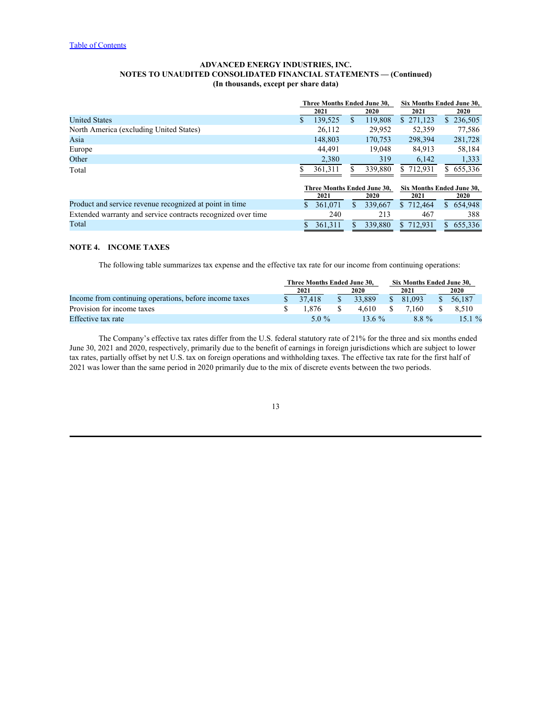| 2021       |      | <b>2020</b> | 2021                                |                                     | <b>2020</b>               |  |  |
|------------|------|-------------|-------------------------------------|-------------------------------------|---------------------------|--|--|
| 139,525    |      | 119,808     | \$271,123                           |                                     | 236,505                   |  |  |
| 26,112     |      | 29,952      | 52,359                              |                                     | 77,586                    |  |  |
| 148,803    |      | 170,753     | 298,394                             |                                     | 281,728                   |  |  |
| 44,491     |      | 19,048      | 84,913                              |                                     | 58,184                    |  |  |
| 2,380      |      | 319         | 6,142                               |                                     | 1,333                     |  |  |
| 361,311    |      | 339,880     | \$712,931                           |                                     | \$655,336                 |  |  |
|            |      |             |                                     |                                     |                           |  |  |
|            |      |             | Six Months Ended June 30,           |                                     |                           |  |  |
|            |      |             |                                     |                                     | <b>2020</b>               |  |  |
| \$ 361,071 |      | 339,667     | \$712,464                           | S.                                  | 654,948                   |  |  |
| 240        |      | 213         | 467                                 |                                     | 388                       |  |  |
| 361,311    |      | 339,880     | \$712,931                           |                                     | \$655,336                 |  |  |
|            | 2021 |             | Three Months Ended June 30,<br>2020 | Three Months Ended June 30,<br>2021 | Six Months Ended June 30, |  |  |

## **NOTE 4. INCOME TAXES**

The following table summarizes tax expense and the effective tax rate for our income from continuing operations:

|                                                        | Three Months Ended June 30. |        | Six Months Ended June 30. |  |           |  |
|--------------------------------------------------------|-----------------------------|--------|---------------------------|--|-----------|--|
|                                                        | 2021                        | 2020   | 2021                      |  | 2020      |  |
| Income from continuing operations, before income taxes | 37,418                      | 33,889 | 81.093                    |  | 56,187    |  |
| Provision for income taxes                             | . 876                       | 4.610  | 7,160                     |  | 8,510     |  |
| Effective tax rate                                     | $5.0 \%$                    | 3.6 %  | $8.8\%$                   |  | $15.1 \%$ |  |

The Company's effective tax rates differ from the U.S. federal statutory rate of 21% for the three and six months ended June 30, 2021 and 2020, respectively, primarily due to the benefit of earnings in foreign jurisdictions which are subject to lower tax rates, partially offset by net U.S. tax on foreign operations and withholding taxes. The effective tax rate for the first half of 2021 was lower than the same period in 2020 primarily due to the mix of discrete events between the two periods.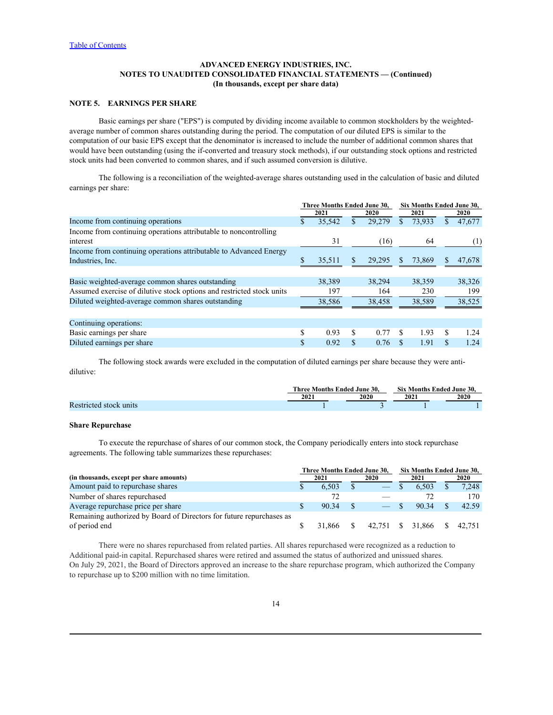## **NOTE 5. EARNINGS PER SHARE**

Basic earnings per share ("EPS") is computed by dividing income available to common stockholders by the weightedaverage number of common shares outstanding during the period. The computation of our diluted EPS is similar to the computation of our basic EPS except that the denominator is increased to include the number of additional common shares that would have been outstanding (using the if-converted and treasury stock methods), if our outstanding stock options and restricted stock units had been converted to common shares, and if such assumed conversion is dilutive.

The following is a reconciliation of the weighted-average shares outstanding used in the calculation of basic and diluted earnings per share:

|                                                                       | Three Months Ended June 30, |        |  |        |               | Six Months Ended June 30, |  |             |  |  |  |  |
|-----------------------------------------------------------------------|-----------------------------|--------|--|--------|---------------|---------------------------|--|-------------|--|--|--|--|
|                                                                       |                             | 2021   |  | 2020   |               | 2021                      |  | <b>2020</b> |  |  |  |  |
| Income from continuing operations                                     |                             | 35,542 |  | 29,279 |               | 73,933                    |  | 47,677      |  |  |  |  |
| Income from continuing operations attributable to noncontrolling      |                             |        |  |        |               |                           |  |             |  |  |  |  |
| interest                                                              |                             | 31     |  | (16)   |               | 64                        |  | (1)         |  |  |  |  |
| Income from continuing operations attributable to Advanced Energy     |                             |        |  |        |               |                           |  |             |  |  |  |  |
| Industries, Inc.                                                      |                             | 35,511 |  | 29,295 | $\mathcal{L}$ | 73,869                    |  | 47,678      |  |  |  |  |
|                                                                       |                             |        |  |        |               |                           |  |             |  |  |  |  |
| Basic weighted-average common shares outstanding                      |                             | 38,389 |  | 38,294 |               | 38,359                    |  | 38,326      |  |  |  |  |
| Assumed exercise of dilutive stock options and restricted stock units |                             | 197    |  | 164    |               | 230                       |  | 199         |  |  |  |  |
| Diluted weighted-average common shares outstanding                    |                             | 38,586 |  | 38,458 |               | 38,589                    |  | 38,525      |  |  |  |  |
|                                                                       |                             |        |  |        |               |                           |  |             |  |  |  |  |
| Continuing operations:                                                |                             |        |  |        |               |                           |  |             |  |  |  |  |
| Basic earnings per share                                              |                             | 0.93   |  | 0.77   |               | .93                       |  | 24          |  |  |  |  |
| Diluted earnings per share                                            |                             | 0.92   |  |        |               | 1.91                      |  | 1.24        |  |  |  |  |
|                                                                       |                             |        |  |        |               |                           |  |             |  |  |  |  |

The following stock awards were excluded in the computation of diluted earnings per share because they were antidilutive:

|                        | man a<br>l hree<br>Months | $\sim$<br>- Ended June 30. | $\sim$<br>Months Ended June 30.<br>SIX |      |  |  |  |
|------------------------|---------------------------|----------------------------|----------------------------------------|------|--|--|--|
|                        | 2021                      | 2020                       | 202                                    | 2020 |  |  |  |
| Restricted stock units |                           |                            |                                        |      |  |  |  |

### **Share Repurchase**

To execute the repurchase of shares of our common stock, the Company periodically enters into stock repurchase agreements. The following table summarizes these repurchases:

|                                                                      | Three Months Ended June 30, |        | Six Months Ended June 30, |        |                      |  |        |  |  |
|----------------------------------------------------------------------|-----------------------------|--------|---------------------------|--------|----------------------|--|--------|--|--|
| (in thousands, except per share amounts)                             |                             | 2021   |                           | 2020   | 2021                 |  | 2020   |  |  |
| Amount paid to repurchase shares                                     |                             | 6,503  |                           |        | 6,503                |  | 7,248  |  |  |
| Number of shares repurchased                                         |                             |        |                           |        |                      |  | 170    |  |  |
| Average repurchase price per share                                   |                             | 90.34  |                           |        | 90.34                |  | 42.59  |  |  |
| Remaining authorized by Board of Directors for future repurchases as |                             |        |                           |        |                      |  |        |  |  |
| of period end                                                        |                             | 31.866 |                           | 42.751 | $\sim$ 31,866 $\sim$ |  | 42.751 |  |  |

There were no shares repurchased from related parties. All shares repurchased were recognized as a reduction to Additional paid-in capital. Repurchased shares were retired and assumed the status of authorized and unissued shares. On July 29, 2021, the Board of Directors approved an increase to the share repurchase program, which authorized the Company to repurchase up to \$200 million with no time limitation.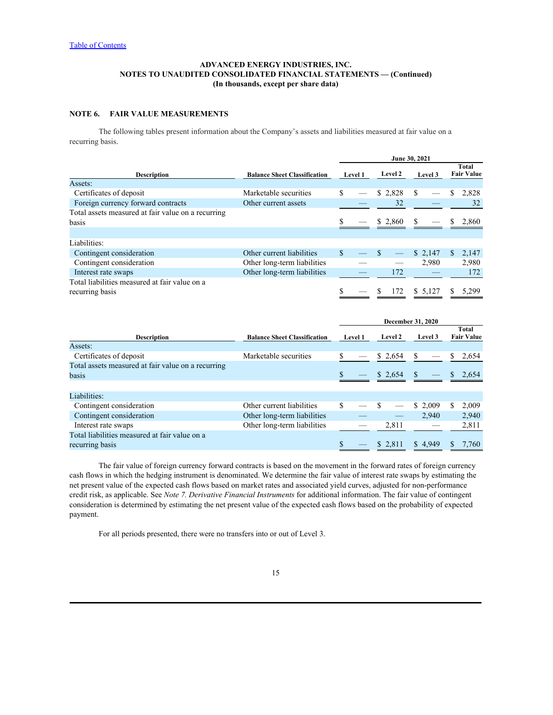## **NOTE 6. FAIR VALUE MEASUREMENTS**

The following tables present information about the Company's assets and liabilities measured at fair value on a recurring basis.

|                                                    |                                     |         |                | June 30, 2021            |                            |
|----------------------------------------------------|-------------------------------------|---------|----------------|--------------------------|----------------------------|
| <b>Description</b>                                 | <b>Balance Sheet Classification</b> | Level 1 | <b>Level 2</b> | <b>Level 3</b>           | Total<br><b>Fair Value</b> |
| Assets:                                            |                                     |         |                |                          |                            |
| Certificates of deposit                            | Marketable securities               |         | 2.828          | $\overline{\phantom{0}}$ | \$2,828                    |
| Foreign currency forward contracts                 | Other current assets                |         | 32             |                          | 32                         |
| Total assets measured at fair value on a recurring |                                     |         |                |                          |                            |
| basis                                              |                                     |         | \$2,860        |                          | \$2,860                    |
|                                                    |                                     |         |                |                          |                            |
| Liabilities:                                       |                                     |         |                |                          |                            |
| Contingent consideration                           | Other current liabilities           |         |                | \$2,147                  | $\frac{\$}{2,147}$         |
| Contingent consideration                           | Other long-term liabilities         |         |                | 2,980                    | 2,980                      |
| Interest rate swaps                                | Other long-term liabilities         |         | 172            |                          | 172                        |
| Total liabilities measured at fair value on a      |                                     |         |                |                          |                            |
| recurring basis                                    |                                     |         | 72             | \$5,127                  | 5,299                      |

|                                                    |                                     |         |                | December 31, 2020 |                            |
|----------------------------------------------------|-------------------------------------|---------|----------------|-------------------|----------------------------|
| <b>Description</b>                                 | <b>Balance Sheet Classification</b> | Level 1 | <b>Level 2</b> | Level 3           | Total<br><b>Fair Value</b> |
| Assets:                                            |                                     |         |                |                   |                            |
| Certificates of deposit                            | Marketable securities               |         | \$2,654        |                   | \$2,654                    |
| Total assets measured at fair value on a recurring |                                     |         |                |                   |                            |
| basis                                              |                                     |         | \$2.654        |                   | 2,654                      |
|                                                    |                                     |         |                |                   |                            |
| Liabilities:                                       |                                     |         |                |                   |                            |
| Contingent consideration                           | Other current liabilities           |         |                | \$2,009           | 2,009                      |
| Contingent consideration                           | Other long-term liabilities         |         | —              | 2,940             | 2,940                      |
| Interest rate swaps                                | Other long-term liabilities         |         | 2,811          |                   | 2,811                      |
| Total liabilities measured at fair value on a      |                                     |         |                |                   |                            |
| recurring basis                                    |                                     |         | \$ 2,811       | \$4,949           | 7,760                      |

The fair value of foreign currency forward contracts is based on the movement in the forward rates of foreign currency cash flows in which the hedging instrument is denominated. We determine the fair value of interest rate swaps by estimating the net present value of the expected cash flows based on market rates and associated yield curves, adjusted for non-performance credit risk, as applicable. See *Note 7. Derivative Financial Instruments* for additional information. The fair value of contingent consideration is determined by estimating the net present value of the expected cash flows based on the probability of expected payment.

For all periods presented, there were no transfers into or out of Level 3.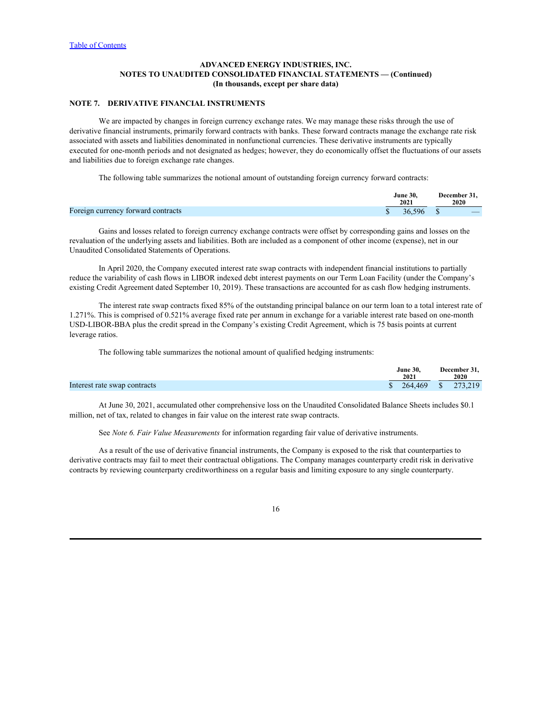## **NOTE 7. DERIVATIVE FINANCIAL INSTRUMENTS**

We are impacted by changes in foreign currency exchange rates. We may manage these risks through the use of derivative financial instruments, primarily forward contracts with banks. These forward contracts manage the exchange rate risk associated with assets and liabilities denominated in nonfunctional currencies. These derivative instruments are typically executed for one-month periods and not designated as hedges; however, they do economically offset the fluctuations of our assets and liabilities due to foreign exchange rate changes.

The following table summarizes the notional amount of outstanding foreign currency forward contracts:

Gains and losses related to foreign currency exchange contracts were offset by corresponding gains and losses on the revaluation of the underlying assets and liabilities. Both are included as a component of other income (expense), net in our Unaudited Consolidated Statements of Operations.

In April 2020, the Company executed interest rate swap contracts with independent financial institutions to partially reduce the variability of cash flows in LIBOR indexed debt interest payments on our Term Loan Facility (under the Company's existing Credit Agreement dated September 10, 2019). These transactions are accounted for as cash flow hedging instruments.

The interest rate swap contracts fixed 85% of the outstanding principal balance on our term loan to a total interest rate of 1.271%. This is comprised of 0.521% average fixed rate per annum in exchange for a variable interest rate based on one-month USD-LIBOR-BBA plus the credit spread in the Company's existing Credit Agreement, which is 75 basis points at current leverage ratios.

The following table summarizes the notional amount of qualified hedging instruments:

| <b>June 30.</b><br>2021                 |      | December 31.<br>2020 |
|-----------------------------------------|------|----------------------|
| Interest rate swap contracts<br>264,469 | - 11 | 273.219              |

At June 30, 2021, accumulated other comprehensive loss on the Unaudited Consolidated Balance Sheets includes \$0.1 million, net of tax, related to changes in fair value on the interest rate swap contracts.

See *Note 6. Fair Value Measurements* for information regarding fair value of derivative instruments.

As a result of the use of derivative financial instruments, the Company is exposed to the risk that counterparties to derivative contracts may fail to meet their contractual obligations. The Company manages counterparty credit risk in derivative contracts by reviewing counterparty creditworthiness on a regular basis and limiting exposure to any single counterparty.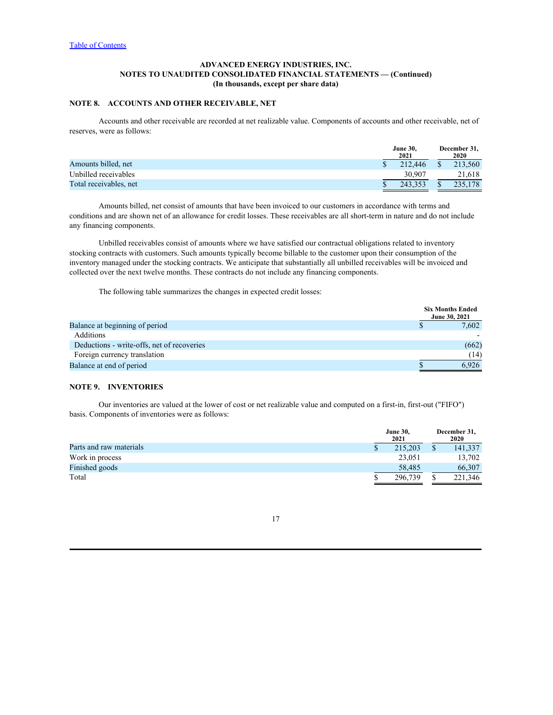## **NOTE 8. ACCOUNTS AND OTHER RECEIVABLE, NET**

Accounts and other receivable are recorded at net realizable value. Components of accounts and other receivable, net of reserves, were as follows:

|                        | <b>June 30,</b><br>2021 | December 31,<br><b>2020</b> |
|------------------------|-------------------------|-----------------------------|
| Amounts billed, net    | 212,446                 | 213,560                     |
| Unbilled receivables   | 30,907                  | 21,618                      |
| Total receivables, net | 243,353                 | 235,178                     |

Amounts billed, net consist of amounts that have been invoiced to our customers in accordance with terms and conditions and are shown net of an allowance for credit losses. These receivables are all short-term in nature and do not include any financing components.

Unbilled receivables consist of amounts where we have satisfied our contractual obligations related to inventory stocking contracts with customers. Such amounts typically become billable to the customer upon their consumption of the inventory managed under the stocking contracts. We anticipate that substantially all unbilled receivables will be invoiced and collected over the next twelve months. These contracts do not include any financing components.

The following table summarizes the changes in expected credit losses:

| 7,602                                    |
|------------------------------------------|
|                                          |
| (662)                                    |
| (14)                                     |
| 6,926                                    |
| <b>Six Months Ended</b><br>June 30, 2021 |

## **NOTE 9. INVENTORIES**

Our inventories are valued at the lower of cost or net realizable value and computed on a first-in, first-out ("FIFO") basis. Components of inventories were as follows:

|                         | <b>June 30,</b><br>2021 | December 31,<br>2020 |
|-------------------------|-------------------------|----------------------|
| Parts and raw materials | 215,203                 | 141,337              |
| Work in process         | 23,051                  | 13,702               |
| Finished goods          | 58,485                  | 66,307               |
| Total                   | 296,739                 | 221,346              |
|                         |                         |                      |

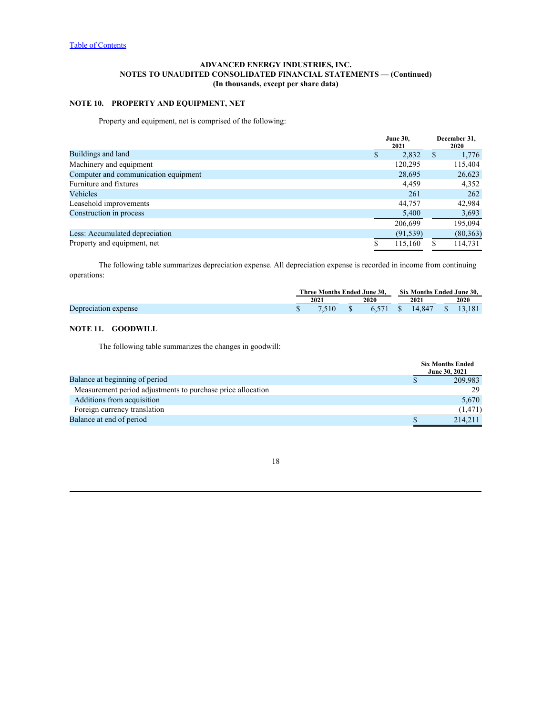## **NOTE 10. PROPERTY AND EQUIPMENT, NET**

Property and equipment, net is comprised of the following:

|                                      | <b>June 30,</b><br>2021 | December 31,<br><b>2020</b> |
|--------------------------------------|-------------------------|-----------------------------|
| Buildings and land                   | 2,832                   | 1,776                       |
| Machinery and equipment              | 120,295                 | 115,404                     |
| Computer and communication equipment | 28,695                  | 26,623                      |
| Furniture and fixtures               | 4,459                   | 4,352                       |
| Vehicles                             | 261                     | 262                         |
| Leasehold improvements               | 44,757                  | 42,984                      |
| Construction in process              | 5,400                   | 3,693                       |
|                                      | 206,699                 | 195,094                     |
| Less: Accumulated depreciation       | (91, 539)               | (80, 363)                   |
| Property and equipment, net          | 115,160                 | 114,731                     |

The following table summarizes depreciation expense. All depreciation expense is recorded in income from continuing operations:

|                                | rma . | $\sim$ $\sim$<br>$\sim$<br>Months Ended June 30.<br><b>Three</b> |  | Six Months Ended June 30. |                           |     |                        |  |
|--------------------------------|-------|------------------------------------------------------------------|--|---------------------------|---------------------------|-----|------------------------|--|
|                                |       | 2021                                                             |  | 2020                      | 2021                      |     | 2020                   |  |
| $\sim$<br>Depreciation expense |       | 7,510                                                            |  | $- - -$<br>$0, \circ$     | 1.01 <sup>2</sup><br>4.04 | . . | 101<br>$\sim$<br>0.101 |  |

## **NOTE 11. GOODWILL**

The following table summarizes the changes in goodwill:

|                                                             | <b>Six Months Ended</b><br>June 30, 2021 |
|-------------------------------------------------------------|------------------------------------------|
| Balance at beginning of period                              | 209,983                                  |
| Measurement period adjustments to purchase price allocation | 29                                       |
| Additions from acquisition                                  | 5,670                                    |
| Foreign currency translation                                | (1, 471)                                 |
| Balance at end of period                                    | 214,211                                  |
|                                                             |                                          |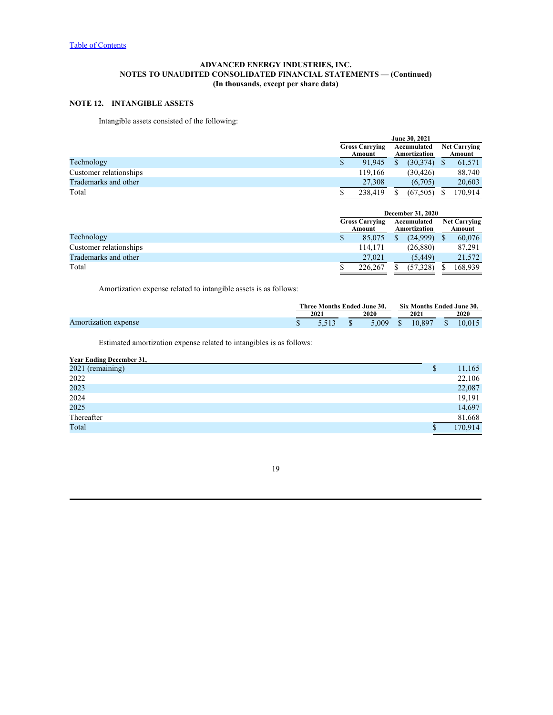## **NOTE 12. INTANGIBLE ASSETS**

Intangible assets consisted of the following:

|                        |                                 | June 30, 2021               |                               |
|------------------------|---------------------------------|-----------------------------|-------------------------------|
|                        | <b>Gross Carrying</b><br>Amount | Accumulated<br>Amortization | <b>Net Carrying</b><br>Amount |
| Technology             | 91,945                          | (30, 374)                   | 61,571                        |
| Customer relationships | 119,166                         | (30, 426)                   | 88,740                        |
| Trademarks and other   | 27,308                          | (6,705)                     | 20,603                        |
| Total                  | 238,419                         | (67, 505)                   | 170,914                       |

|                        |                       |         | <b>December 31, 2020</b> |           |                             |                  |                     |  |
|------------------------|-----------------------|---------|--------------------------|-----------|-----------------------------|------------------|---------------------|--|
|                        | <b>Gross Carrying</b> |         | Amount                   |           | Accumulated<br>Amortization |                  | <b>Net Carrying</b> |  |
| Technology             |                       | 85,075  |                          | (24,999)  |                             | Amount<br>60,076 |                     |  |
| Customer relationships |                       | 114,171 |                          | (26, 880) |                             | 87,291           |                     |  |
| Trademarks and other   |                       | 27,021  |                          | (5, 449)  |                             | 21,572           |                     |  |
| Total                  |                       | 226,267 |                          | (57, 328) |                             | 168,939          |                     |  |

Amortization expense related to intangible assets is as follows:

|                      | $\sim$<br>Months Ended June 30.<br>hree |  |       | $\sim$<br>$\sim$<br>- Six Months Ended June 30. |       |   |        |  |
|----------------------|-----------------------------------------|--|-------|-------------------------------------------------|-------|---|--------|--|
|                      | 2021                                    |  | 2020  |                                                 | 2021  |   | 2020   |  |
| Amortization expense | $-11$<br>້~~                            |  | 0.009 |                                                 | 0.897 | ш | 10,015 |  |

Estimated amortization expense related to intangibles is as follows:

| <b>Year Ending December 31,</b> |         |
|---------------------------------|---------|
| 2021 (remaining)                | 11,165  |
| 2022                            | 22,106  |
| 2023                            | 22,087  |
| 2024                            | 19,191  |
| 2025                            | 14,697  |
| Thereafter                      | 81,668  |
| Total                           | 170,914 |

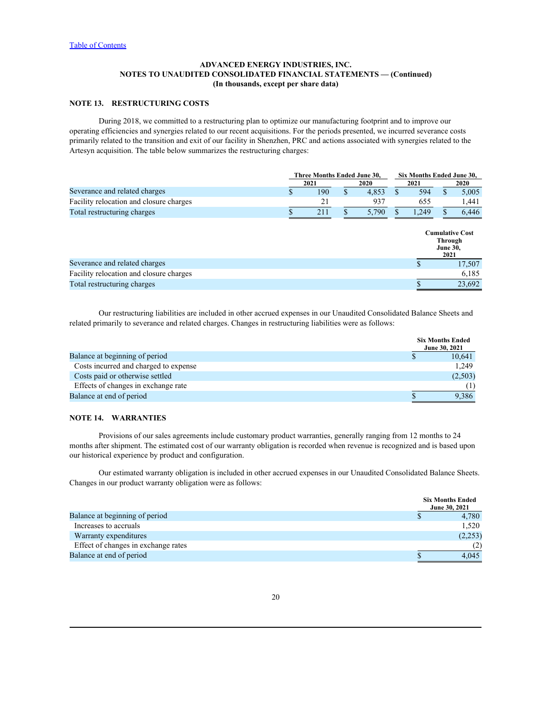## **NOTE 13. RESTRUCTURING COSTS**

During 2018, we committed to a restructuring plan to optimize our manufacturing footprint and to improve our operating efficiencies and synergies related to our recent acquisitions. For the periods presented, we incurred severance costs primarily related to the transition and exit of our facility in Shenzhen, PRC and actions associated with synergies related to the Artesyn acquisition. The table below summarizes the restructuring charges:

|                                         | Three Months Ended June 30. |     |  | <b>Six Months Ended June 30.</b> |  |      |  |       |
|-----------------------------------------|-----------------------------|-----|--|----------------------------------|--|------|--|-------|
|                                         | 2021                        |     |  | 2020                             |  | 2021 |  | 2020  |
| Severance and related charges           |                             | 190 |  | 4,853                            |  | 594  |  | 5,005 |
| Facility relocation and closure charges |                             | ∸ ∙ |  | 93'                              |  | 65.  |  | 1.441 |
| Total restructuring charges             |                             | 211 |  | .790                             |  | .249 |  | 6,446 |

|                                         | <b>Cumulative Cost</b><br>Through<br><b>June 30,</b><br>2021 |
|-----------------------------------------|--------------------------------------------------------------|
| Severance and related charges           | 17,507                                                       |
| Facility relocation and closure charges | 6,185                                                        |
| Total restructuring charges             | 23,692                                                       |

Our restructuring liabilities are included in other accrued expenses in our Unaudited Consolidated Balance Sheets and related primarily to severance and related charges. Changes in restructuring liabilities were as follows:

|                                       |  | <b>Six Months Ended</b><br>June 30, 2021 |
|---------------------------------------|--|------------------------------------------|
| Balance at beginning of period        |  | 10,641                                   |
| Costs incurred and charged to expense |  | 1,249                                    |
| Costs paid or otherwise settled       |  | (2, 503)                                 |
| Effects of changes in exchange rate   |  |                                          |
| Balance at end of period              |  | 9,386                                    |

## **NOTE 14. WARRANTIES**

Provisions of our sales agreements include customary product warranties, generally ranging from 12 months to 24 months after shipment. The estimated cost of our warranty obligation is recorded when revenue is recognized and is based upon our historical experience by product and configuration.

Our estimated warranty obligation is included in other accrued expenses in our Unaudited Consolidated Balance Sheets. Changes in our product warranty obligation were as follows:

|                                     | <b>Six Months Ended</b><br>June 30, 2021 |
|-------------------------------------|------------------------------------------|
| Balance at beginning of period      | 4,780                                    |
| Increases to accruals               | 1,520                                    |
| Warranty expenditures               | (2, 253)                                 |
| Effect of changes in exchange rates |                                          |
| Balance at end of period            | 4,045                                    |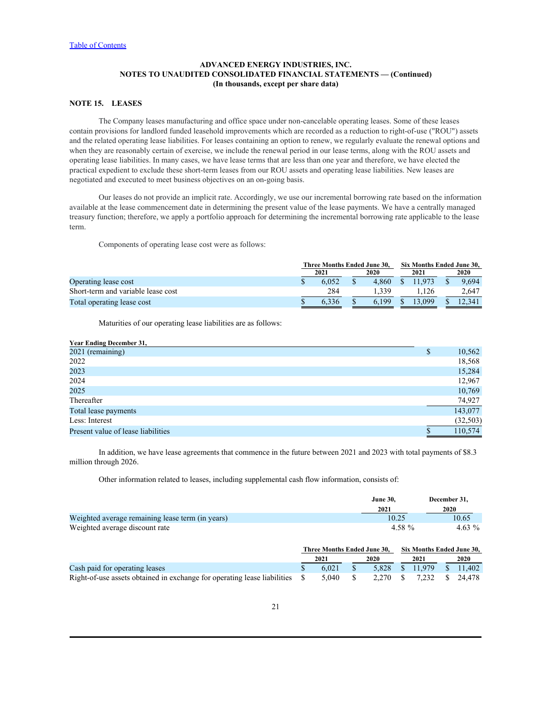## **NOTE 15. LEASES**

The Company leases manufacturing and office space under non-cancelable operating leases. Some of these leases contain provisions for landlord funded leasehold improvements which are recorded as a reduction to right-of-use ("ROU") assets and the related operating lease liabilities. For leases containing an option to renew, we regularly evaluate the renewal options and when they are reasonably certain of exercise, we include the renewal period in our lease terms, along with the ROU assets and operating lease liabilities. In many cases, we have lease terms that are less than one year and therefore, we have elected the practical expedient to exclude these short-term leases from our ROU assets and operating lease liabilities. New leases are negotiated and executed to meet business objectives on an on-going basis.

Our leases do not provide an implicit rate. Accordingly, we use our incremental borrowing rate based on the information available at the lease commencement date in determining the present value of the lease payments. We have a centrally managed treasury function; therefore, we apply a portfolio approach for determining the incremental borrowing rate applicable to the lease term.

Components of operating lease cost were as follows:

|                                    | Three Months Ended June 30. |       |  |              |  | Six Months Ended June 30. |  |             |  |  |
|------------------------------------|-----------------------------|-------|--|--------------|--|---------------------------|--|-------------|--|--|
|                                    |                             | 2021  |  | 2020         |  | 2021                      |  | <b>2020</b> |  |  |
| Operating lease cost               |                             | 6,052 |  | 4,860        |  | 1.973                     |  | 9,694       |  |  |
| Short-term and variable lease cost |                             | 284   |  | 339<br>ر ب ب |  | .126                      |  | 2,647       |  |  |
| Total operating lease cost         |                             | 6,336 |  | 199          |  | 3,099                     |  | 12.341      |  |  |

Maturities of our operating lease liabilities are as follows:

| Year Ending December 31,           |           |
|------------------------------------|-----------|
| 2021 (remaining)                   | 10,562    |
| 2022                               | 18,568    |
| 2023                               | 15,284    |
| 2024                               | 12,967    |
| 2025                               | 10,769    |
| Thereafter                         | 74,927    |
| Total lease payments               | 143,077   |
| Less: Interest                     | (32, 503) |
| Present value of lease liabilities | 110,574   |

In addition, we have lease agreements that commence in the future between 2021 and 2023 with total payments of \$8.3 million through 2026.

Other information related to leases, including supplemental cash flow information, consists of:

|                                                  | <b>June 30,</b> | December 31, |
|--------------------------------------------------|-----------------|--------------|
|                                                  | 2021            | 2020         |
| Weighted average remaining lease term (in years) | 10.25           | 10.65        |
| Weighted average discount rate                   | 4.58 $%$        | 4.63 %       |

|                                                                          | Three Months Ended June 30. |  |       |  | Six Months Ended June 30. |  |             |  |  |
|--------------------------------------------------------------------------|-----------------------------|--|-------|--|---------------------------|--|-------------|--|--|
|                                                                          | 2021                        |  | 2020  |  | 2021                      |  | <b>2020</b> |  |  |
| Cash paid for operating leases                                           | 6.021                       |  | .828  |  | 1.979                     |  | 1.402       |  |  |
| Right-of-use assets obtained in exchange for operating lease liabilities | 5.040                       |  | 2.270 |  | 7.232                     |  | 24.478      |  |  |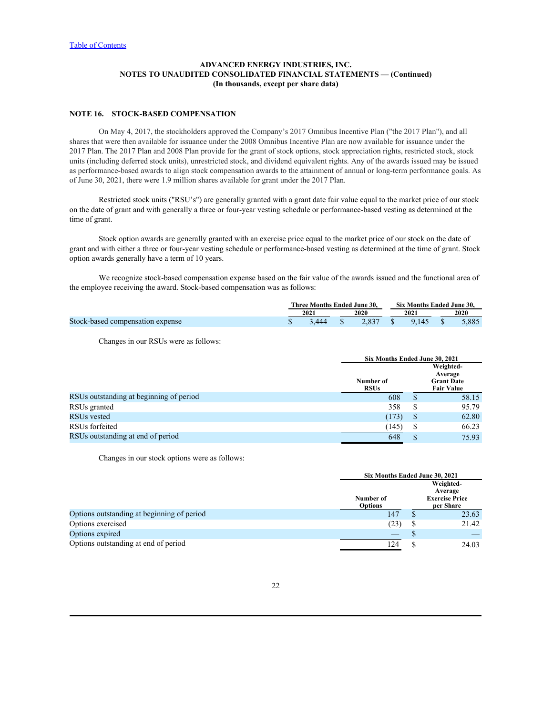### **NOTE 16. STOCK-BASED COMPENSATION**

On May 4, 2017, the stockholders approved the Company's 2017 Omnibus Incentive Plan ("the 2017 Plan"), and all shares that were then available for issuance under the 2008 Omnibus Incentive Plan are now available for issuance under the 2017 Plan. The 2017 Plan and 2008 Plan provide for the grant of stock options, stock appreciation rights, restricted stock, stock units (including deferred stock units), unrestricted stock, and dividend equivalent rights. Any of the awards issued may be issued as performance-based awards to align stock compensation awards to the attainment of annual or long-term performance goals. As of June 30, 2021, there were 1.9 million shares available for grant under the 2017 Plan.

Restricted stock units ("RSU's") are generally granted with a grant date fair value equal to the market price of our stock on the date of grant and with generally a three or four-year vesting schedule or performance-based vesting as determined at the time of grant.

Stock option awards are generally granted with an exercise price equal to the market price of our stock on the date of grant and with either a three or four-year vesting schedule or performance-based vesting as determined at the time of grant. Stock option awards generally have a term of 10 years.

We recognize stock-based compensation expense based on the fair value of the awards issued and the functional area of the employee receiving the award. Stock-based compensation was as follows:

|                                  | mark in<br>Months Ended June 30. |      |  | r.<br>'v Months Ended June 30.<br>SIX |  |      |  |              |
|----------------------------------|----------------------------------|------|--|---------------------------------------|--|------|--|--------------|
|                                  |                                  | 2021 |  | 2020                                  |  | 2021 |  | 2020         |
| Stock-based compensation expense |                                  |      |  | י המי<br>2.09                         |  |      |  | OOC<br>5.005 |

Changes in our RSUs were as follows:

|                                         | Six Months Ended June 30, 2021<br>Weighted-<br>Average |  |                                        |  |  |  |
|-----------------------------------------|--------------------------------------------------------|--|----------------------------------------|--|--|--|
|                                         |                                                        |  |                                        |  |  |  |
|                                         | Number of<br><b>RSUs</b>                               |  | <b>Grant Date</b><br><b>Fair Value</b> |  |  |  |
| RSUs outstanding at beginning of period | 608                                                    |  | 58.15                                  |  |  |  |
| RSUs granted                            | 358                                                    |  | 95.79                                  |  |  |  |
| RSUs vested                             | (173)                                                  |  | 62.80                                  |  |  |  |
| RSUs forfeited                          | (145)                                                  |  | 66.23                                  |  |  |  |
| RSUs outstanding at end of period       | 648                                                    |  | 75.93                                  |  |  |  |

Changes in our stock options were as follows:

|                                            | Six Months Ended June 30, 2021 |                                    |  |  |
|--------------------------------------------|--------------------------------|------------------------------------|--|--|
|                                            |                                | Weighted-                          |  |  |
|                                            |                                | Average                            |  |  |
|                                            | Number of<br><b>Options</b>    | <b>Exercise Price</b><br>per Share |  |  |
|                                            |                                |                                    |  |  |
| Options outstanding at beginning of period | 147                            | 23.63                              |  |  |
| Options exercised                          | (23)                           | 21.42                              |  |  |
| Options expired                            | $\overline{\phantom{a}}$       | <b>Contract Contract Contract</b>  |  |  |
| Options outstanding at end of period       | 124                            | 24.03                              |  |  |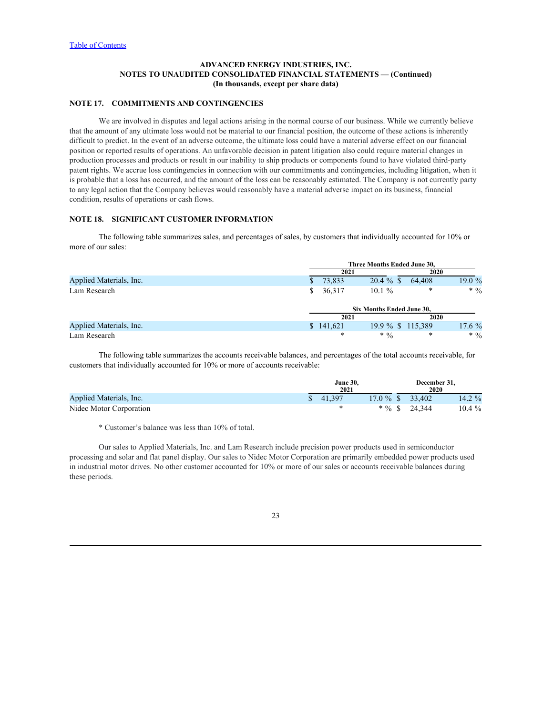## **NOTE 17. COMMITMENTS AND CONTINGENCIES**

We are involved in disputes and legal actions arising in the normal course of our business. While we currently believe that the amount of any ultimate loss would not be material to our financial position, the outcome of these actions is inherently difficult to predict. In the event of an adverse outcome, the ultimate loss could have a material adverse effect on our financial position or reported results of operations. An unfavorable decision in patent litigation also could require material changes in production processes and products or result in our inability to ship products or components found to have violated third-party patent rights. We accrue loss contingencies in connection with our commitments and contingencies, including litigation, when it is probable that a loss has occurred, and the amount of the loss can be reasonably estimated. The Company is not currently party to any legal action that the Company believes would reasonably have a material adverse impact on its business, financial condition, results of operations or cash flows.

### **NOTE 18. SIGNIFICANT CUSTOMER INFORMATION**

The following table summarizes sales, and percentages of sales, by customers that individually accounted for 10% or more of our sales:

|                         | Three Months Ended June 30, |                           |      |                 |  |
|-------------------------|-----------------------------|---------------------------|------|-----------------|--|
|                         | 2021                        |                           | 2020 |                 |  |
| Applied Materials, Inc. | 73,833                      | 20.4 % \$ 64,408          |      | 19.0%           |  |
| Lam Research            | \$36,317                    | $10.1 \%$                 |      | $* \frac{9}{0}$ |  |
|                         |                             | Six Months Ended June 30, |      |                 |  |
|                         | 2021                        |                           | 2020 |                 |  |
| Applied Materials, Inc. | \$141,621                   | 19.9 % \$ 115,389         |      | 17.6%           |  |
| Lam Research            |                             | * $\frac{9}{0}$           |      | $* \frac{9}{0}$ |  |

The following table summarizes the accounts receivable balances, and percentages of the total accounts receivable, for customers that individually accounted for 10% or more of accounts receivable:

|                         | <b>June 30,</b><br>2021 |              | December 31,<br>2020 |                               |
|-------------------------|-------------------------|--------------|----------------------|-------------------------------|
| Applied Materials, Inc. | 41,397                  | $17.0 \%$ \$ | 33,402               | $1 \wedge 2 \vee 0$<br>14.2 % |
| Nidec Motor Corporation |                         | $* 0/2$      | 24,344               | 10.4 %                        |

\* Customer's balance was less than 10% of total.

Our sales to Applied Materials, Inc. and Lam Research include precision power products used in semiconductor processing and solar and flat panel display. Our sales to Nidec Motor Corporation are primarily embedded power products used in industrial motor drives. No other customer accounted for 10% or more of our sales or accounts receivable balances during these periods.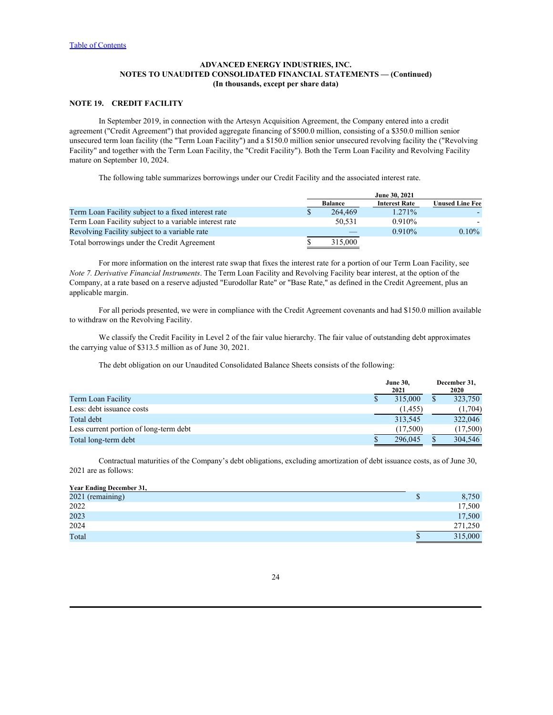## **NOTE 19. CREDIT FACILITY**

In September 2019, in connection with the Artesyn Acquisition Agreement, the Company entered into a credit agreement ("Credit Agreement") that provided aggregate financing of \$500.0 million, consisting of a \$350.0 million senior unsecured term loan facility (the "Term Loan Facility") and a \$150.0 million senior unsecured revolving facility the ("Revolving Facility" and together with the Term Loan Facility, the "Credit Facility"). Both the Term Loan Facility and Revolving Facility mature on September 10, 2024.

The following table summarizes borrowings under our Credit Facility and the associated interest rate.

|                                                        |                | June 30, 2021        |                 |  |
|--------------------------------------------------------|----------------|----------------------|-----------------|--|
|                                                        | <b>Balance</b> | <b>Interest Rate</b> | Unused Line Fee |  |
| Term Loan Facility subject to a fixed interest rate    | 264,469        | 1.271%               |                 |  |
| Term Loan Facility subject to a variable interest rate | 50,531         | 0.910%               |                 |  |
| Revolving Facility subject to a variable rate          |                | 0.910%               | $0.10\%$        |  |
| Total borrowings under the Credit Agreement            | 315.000        |                      |                 |  |

For more information on the interest rate swap that fixes the interest rate for a portion of our Term Loan Facility, see *Note 7. Derivative Financial Instruments*. The Term Loan Facility and Revolving Facility bear interest, at the option of the Company, at a rate based on a reserve adjusted "Eurodollar Rate" or "Base Rate," as defined in the Credit Agreement, plus an applicable margin.

For all periods presented, we were in compliance with the Credit Agreement covenants and had \$150.0 million available to withdraw on the Revolving Facility.

We classify the Credit Facility in Level 2 of the fair value hierarchy. The fair value of outstanding debt approximates the carrying value of \$313.5 million as of June 30, 2021.

The debt obligation on our Unaudited Consolidated Balance Sheets consists of the following:

|                                        | <b>June 30,</b> |  | December 31, |
|----------------------------------------|-----------------|--|--------------|
|                                        | 2021            |  | <b>2020</b>  |
| Term Loan Facility                     | 315,000         |  | 323,750      |
| Less: debt issuance costs              | (1, 455)        |  | (1,704)      |
| Total debt                             | 313,545         |  | 322,046      |
| Less current portion of long-term debt | (17,500)        |  | (17,500)     |
| Total long-term debt                   | 296,045         |  | 304,546      |

Contractual maturities of the Company's debt obligations, excluding amortization of debt issuance costs, as of June 30, 2021 are as follows:

| <b>Year Ending December 31,</b> |         |
|---------------------------------|---------|
| 2021 (remaining)                | 8,750   |
| 2022                            | 17,500  |
| 2023                            | 17,500  |
| 2024                            | 271,250 |
| Total                           | 315,000 |
|                                 |         |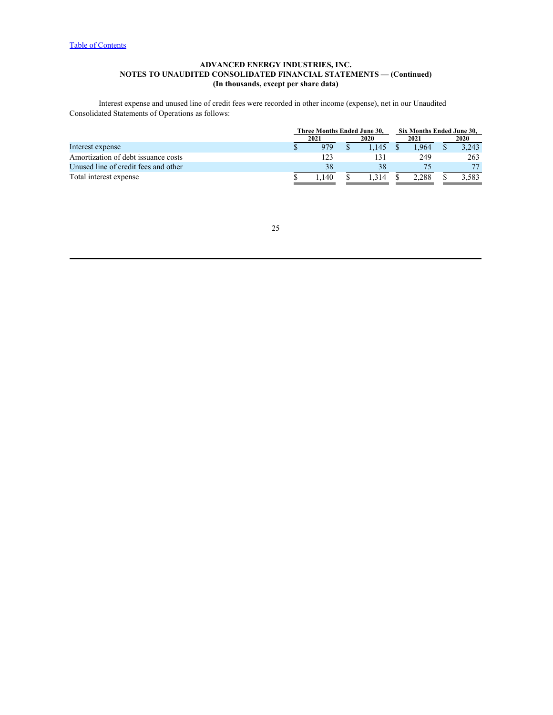Interest expense and unused line of credit fees were recorded in other income (expense), net in our Unaudited Consolidated Statements of Operations as follows:

|                                      | Three Months Ended June 30. |      | Six Months Ended June 30. |             |
|--------------------------------------|-----------------------------|------|---------------------------|-------------|
|                                      | 2021                        | 2020 | 2021                      | <b>2020</b> |
| Interest expense                     | 979                         | .145 | .964                      | 3,243       |
| Amortization of debt issuance costs  | 123                         | 131  | 249                       | 263         |
| Unused line of credit fees and other | 38                          | 38   |                           |             |
| Total interest expense               | 1,140                       | .314 | 2.288                     | 3,583       |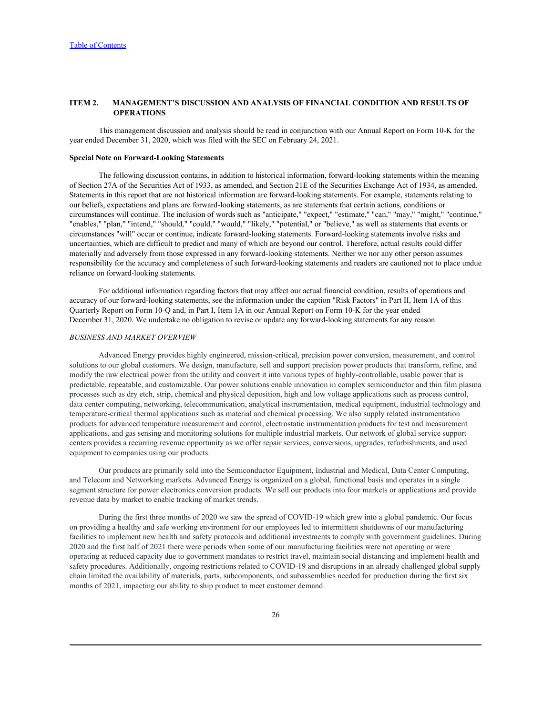### <span id="page-25-0"></span>**ITEM 2. MANAGEMENT'S DISCUSSION AND ANALYSIS OF FINANCIAL CONDITION AND RESULTS OF OPERATIONS**

This management discussion and analysis should be read in conjunction with our Annual Report on Form 10-K for the year ended December 31, 2020, which was filed with the SEC on February 24, 2021.

### **Special Note on Forward-Looking Statements**

The following discussion contains, in addition to historical information, forward-looking statements within the meaning of Section 27A of the Securities Act of 1933, as amended, and Section 21E of the Securities Exchange Act of 1934, as amended. Statements in this report that are not historical information are forward-looking statements. For example, statements relating to our beliefs, expectations and plans are forward-looking statements, as are statements that certain actions, conditions or circumstances will continue. The inclusion of words such as "anticipate," "expect," "estimate," "can," "may," "might," "continue," "enables," "plan," "intend," "should," "could," "would," "likely," "potential," or "believe," as well as statements that events or circumstances "will" occur or continue, indicate forward-looking statements. Forward-looking statements involve risks and uncertainties, which are difficult to predict and many of which are beyond our control. Therefore, actual results could differ materially and adversely from those expressed in any forward-looking statements. Neither we nor any other person assumes responsibility for the accuracy and completeness of such forward-looking statements and readers are cautioned not to place undue reliance on forward-looking statements.

For additional information regarding factors that may affect our actual financial condition, results of operations and accuracy of our forward-looking statements, see the information under the caption "Risk Factors" in Part II, Item 1A of this Quarterly Report on Form 10-Q and, in Part I, Item 1A in our Annual Report on Form 10-K for the year ended December 31, 2020. We undertake no obligation to revise or update any forward-looking statements for any reason.

#### *BUSINESS AND MARKET OVERVIEW*

Advanced Energy provides highly engineered, mission-critical, precision power conversion, measurement, and control solutions to our global customers. We design, manufacture, sell and support precision power products that transform, refine, and modify the raw electrical power from the utility and convert it into various types of highly-controllable, usable power that is predictable, repeatable, and customizable. Our power solutions enable innovation in complex semiconductor and thin film plasma processes such as dry etch, strip, chemical and physical deposition, high and low voltage applications such as process control, data center computing, networking, telecommunication, analytical instrumentation, medical equipment, industrial technology and temperature-critical thermal applications such as material and chemical processing. We also supply related instrumentation products for advanced temperature measurement and control, electrostatic instrumentation products for test and measurement applications, and gas sensing and monitoring solutions for multiple industrial markets. Our network of global service support centers provides a recurring revenue opportunity as we offer repair services, conversions, upgrades, refurbishments, and used equipment to companies using our products.

Our products are primarily sold into the Semiconductor Equipment, Industrial and Medical, Data Center Computing, and Telecom and Networking markets. Advanced Energy is organized on a global, functional basis and operates in a single segment structure for power electronics conversion products. We sell our products into four markets or applications and provide revenue data by market to enable tracking of market trends.

During the first three months of 2020 we saw the spread of COVID-19 which grew into a global pandemic. Our focus on providing a healthy and safe working environment for our employees led to intermittent shutdowns of our manufacturing facilities to implement new health and safety protocols and additional investments to comply with government guidelines. During 2020 and the first half of 2021 there were periods when some of our manufacturing facilities were not operating or were operating at reduced capacity due to government mandates to restrict travel, maintain social distancing and implement health and safety procedures. Additionally, ongoing restrictions related to COVID-19 and disruptions in an already challenged global supply chain limited the availability of materials, parts, subcomponents, and subassemblies needed for production during the first six months of 2021, impacting our ability to ship product to meet customer demand.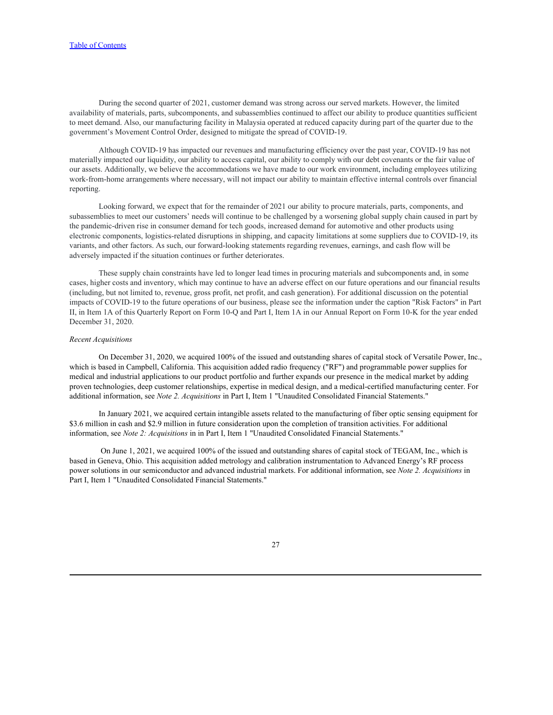During the second quarter of 2021, customer demand was strong across our served markets. However, the limited availability of materials, parts, subcomponents, and subassemblies continued to affect our ability to produce quantities sufficient to meet demand. Also, our manufacturing facility in Malaysia operated at reduced capacity during part of the quarter due to the government's Movement Control Order, designed to mitigate the spread of COVID-19.

Although COVID-19 has impacted our revenues and manufacturing efficiency over the past year, COVID-19 has not materially impacted our liquidity, our ability to access capital, our ability to comply with our debt covenants or the fair value of our assets. Additionally, we believe the accommodations we have made to our work environment, including employees utilizing work-from-home arrangements where necessary, will not impact our ability to maintain effective internal controls over financial reporting.

Looking forward, we expect that for the remainder of 2021 our ability to procure materials, parts, components, and subassemblies to meet our customers' needs will continue to be challenged by a worsening global supply chain caused in part by the pandemic-driven rise in consumer demand for tech goods, increased demand for automotive and other products using electronic components, logistics-related disruptions in shipping, and capacity limitations at some suppliers due to COVID-19, its variants, and other factors. As such, our forward-looking statements regarding revenues, earnings, and cash flow will be adversely impacted if the situation continues or further deteriorates.

These supply chain constraints have led to longer lead times in procuring materials and subcomponents and, in some cases, higher costs and inventory, which may continue to have an adverse effect on our future operations and our financial results (including, but not limited to, revenue, gross profit, net profit, and cash generation). For additional discussion on the potential impacts of COVID-19 to the future operations of our business, please see the information under the caption "Risk Factors" in Part II, in Item 1A of this Quarterly Report on Form 10-Q and Part I, Item 1A in our Annual Report on Form 10-K for the year ended December 31, 2020.

#### *Recent Acquisitions*

On December 31, 2020, we acquired 100% of the issued and outstanding shares of capital stock of Versatile Power, Inc., which is based in Campbell, California. This acquisition added radio frequency ("RF") and programmable power supplies for medical and industrial applications to our product portfolio and further expands our presence in the medical market by adding proven technologies, deep customer relationships, expertise in medical design, and a medical-certified manufacturing center. For additional information, see *Note 2. Acquisitions* in Part I, Item 1 "Unaudited Consolidated Financial Statements."

In January 2021, we acquired certain intangible assets related to the manufacturing of fiber optic sensing equipment for \$3.6 million in cash and \$2.9 million in future consideration upon the completion of transition activities. For additional information, see *Note 2: Acquisitions* in in Part I, Item 1 "Unaudited Consolidated Financial Statements."

 On June 1, 2021, we acquired 100% of the issued and outstanding shares of capital stock of TEGAM, Inc., which is based in Geneva, Ohio. This acquisition added metrology and calibration instrumentation to Advanced Energy's RF process power solutions in our semiconductor and advanced industrial markets. For additional information, see *Note 2. Acquisitions* in Part I, Item 1 "Unaudited Consolidated Financial Statements."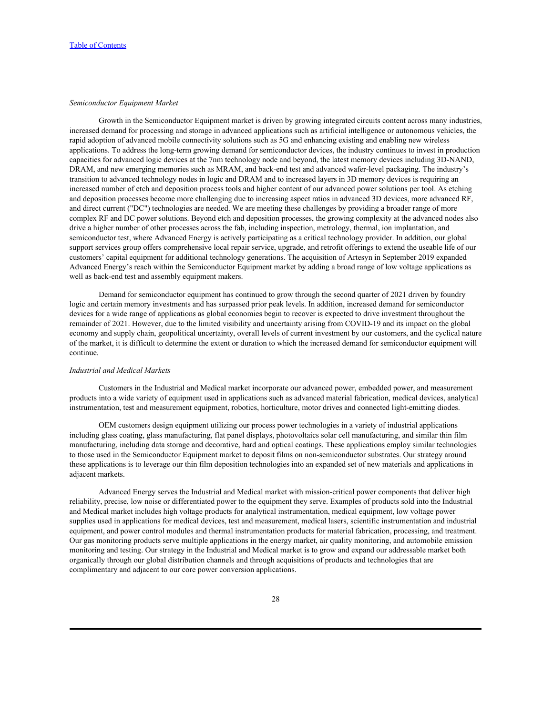### *Semiconductor Equipment Market*

Growth in the Semiconductor Equipment market is driven by growing integrated circuits content across many industries, increased demand for processing and storage in advanced applications such as artificial intelligence or autonomous vehicles, the rapid adoption of advanced mobile connectivity solutions such as 5G and enhancing existing and enabling new wireless applications. To address the long-term growing demand for semiconductor devices, the industry continues to invest in production capacities for advanced logic devices at the 7nm technology node and beyond, the latest memory devices including 3D-NAND, DRAM, and new emerging memories such as MRAM, and back-end test and advanced wafer-level packaging. The industry's transition to advanced technology nodes in logic and DRAM and to increased layers in 3D memory devices is requiring an increased number of etch and deposition process tools and higher content of our advanced power solutions per tool. As etching and deposition processes become more challenging due to increasing aspect ratios in advanced 3D devices, more advanced RF, and direct current ("DC") technologies are needed. We are meeting these challenges by providing a broader range of more complex RF and DC power solutions. Beyond etch and deposition processes, the growing complexity at the advanced nodes also drive a higher number of other processes across the fab, including inspection, metrology, thermal, ion implantation, and semiconductor test, where Advanced Energy is actively participating as a critical technology provider. In addition, our global support services group offers comprehensive local repair service, upgrade, and retrofit offerings to extend the useable life of our customers' capital equipment for additional technology generations. The acquisition of Artesyn in September 2019 expanded Advanced Energy's reach within the Semiconductor Equipment market by adding a broad range of low voltage applications as well as back-end test and assembly equipment makers.

Demand for semiconductor equipment has continued to grow through the second quarter of 2021 driven by foundry logic and certain memory investments and has surpassed prior peak levels. In addition, increased demand for semiconductor devices for a wide range of applications as global economies begin to recover is expected to drive investment throughout the remainder of 2021. However, due to the limited visibility and uncertainty arising from COVID-19 and its impact on the global economy and supply chain, geopolitical uncertainty, overall levels of current investment by our customers, and the cyclical nature of the market, it is difficult to determine the extent or duration to which the increased demand for semiconductor equipment will continue.

### *Industrial and Medical Markets*

Customers in the Industrial and Medical market incorporate our advanced power, embedded power, and measurement products into a wide variety of equipment used in applications such as advanced material fabrication, medical devices, analytical instrumentation, test and measurement equipment, robotics, horticulture, motor drives and connected light-emitting diodes.

OEM customers design equipment utilizing our process power technologies in a variety of industrial applications including glass coating, glass manufacturing, flat panel displays, photovoltaics solar cell manufacturing, and similar thin film manufacturing, including data storage and decorative, hard and optical coatings. These applications employ similar technologies to those used in the Semiconductor Equipment market to deposit films on non-semiconductor substrates. Our strategy around these applications is to leverage our thin film deposition technologies into an expanded set of new materials and applications in adjacent markets.

Advanced Energy serves the Industrial and Medical market with mission-critical power components that deliver high reliability, precise, low noise or differentiated power to the equipment they serve. Examples of products sold into the Industrial and Medical market includes high voltage products for analytical instrumentation, medical equipment, low voltage power supplies used in applications for medical devices, test and measurement, medical lasers, scientific instrumentation and industrial equipment, and power control modules and thermal instrumentation products for material fabrication, processing, and treatment. Our gas monitoring products serve multiple applications in the energy market, air quality monitoring, and automobile emission monitoring and testing. Our strategy in the Industrial and Medical market is to grow and expand our addressable market both organically through our global distribution channels and through acquisitions of products and technologies that are complimentary and adjacent to our core power conversion applications.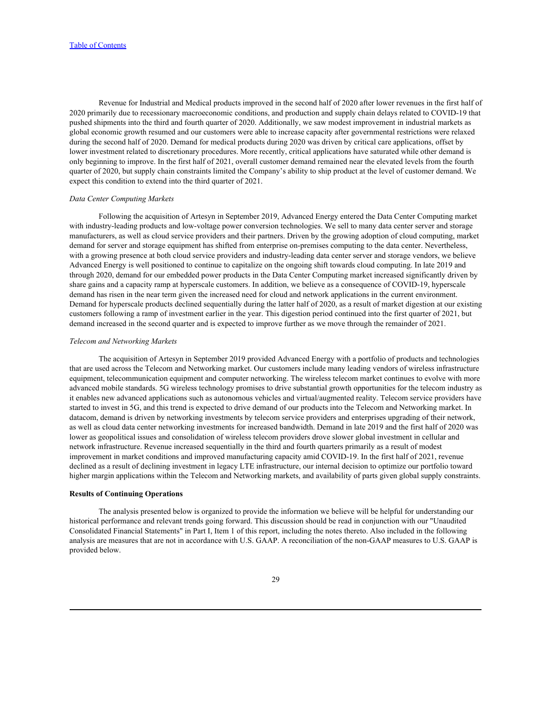Revenue for Industrial and Medical products improved in the second half of 2020 after lower revenues in the first half of 2020 primarily due to recessionary macroeconomic conditions, and production and supply chain delays related to COVID-19 that pushed shipments into the third and fourth quarter of 2020. Additionally, we saw modest improvement in industrial markets as global economic growth resumed and our customers were able to increase capacity after governmental restrictions were relaxed during the second half of 2020. Demand for medical products during 2020 was driven by critical care applications, offset by lower investment related to discretionary procedures. More recently, critical applications have saturated while other demand is only beginning to improve. In the first half of 2021, overall customer demand remained near the elevated levels from the fourth quarter of 2020, but supply chain constraints limited the Company's ability to ship product at the level of customer demand. We expect this condition to extend into the third quarter of 2021.

### *Data Center Computing Markets*

Following the acquisition of Artesyn in September 2019, Advanced Energy entered the Data Center Computing market with industry-leading products and low-voltage power conversion technologies. We sell to many data center server and storage manufacturers, as well as cloud service providers and their partners. Driven by the growing adoption of cloud computing, market demand for server and storage equipment has shifted from enterprise on-premises computing to the data center. Nevertheless, with a growing presence at both cloud service providers and industry-leading data center server and storage vendors, we believe Advanced Energy is well positioned to continue to capitalize on the ongoing shift towards cloud computing. In late 2019 and through 2020, demand for our embedded power products in the Data Center Computing market increased significantly driven by share gains and a capacity ramp at hyperscale customers. In addition, we believe as a consequence of COVID-19, hyperscale demand has risen in the near term given the increased need for cloud and network applications in the current environment. Demand for hyperscale products declined sequentially during the latter half of 2020, as a result of market digestion at our existing customers following a ramp of investment earlier in the year. This digestion period continued into the first quarter of 2021, but demand increased in the second quarter and is expected to improve further as we move through the remainder of 2021.

### *Telecom and Networking Markets*

The acquisition of Artesyn in September 2019 provided Advanced Energy with a portfolio of products and technologies that are used across the Telecom and Networking market. Our customers include many leading vendors of wireless infrastructure equipment, telecommunication equipment and computer networking. The wireless telecom market continues to evolve with more advanced mobile standards. 5G wireless technology promises to drive substantial growth opportunities for the telecom industry as it enables new advanced applications such as autonomous vehicles and virtual/augmented reality. Telecom service providers have started to invest in 5G, and this trend is expected to drive demand of our products into the Telecom and Networking market. In datacom, demand is driven by networking investments by telecom service providers and enterprises upgrading of their network, as well as cloud data center networking investments for increased bandwidth. Demand in late 2019 and the first half of 2020 was lower as geopolitical issues and consolidation of wireless telecom providers drove slower global investment in cellular and network infrastructure. Revenue increased sequentially in the third and fourth quarters primarily as a result of modest improvement in market conditions and improved manufacturing capacity amid COVID-19. In the first half of 2021, revenue declined as a result of declining investment in legacy LTE infrastructure, our internal decision to optimize our portfolio toward higher margin applications within the Telecom and Networking markets, and availability of parts given global supply constraints.

#### **Results of Continuing Operations**

The analysis presented below is organized to provide the information we believe will be helpful for understanding our historical performance and relevant trends going forward. This discussion should be read in conjunction with our "Unaudited Consolidated Financial Statements" in Part I, Item 1 of this report, including the notes thereto. Also included in the following analysis are measures that are not in accordance with U.S. GAAP. A reconciliation of the non-GAAP measures to U.S. GAAP is provided below.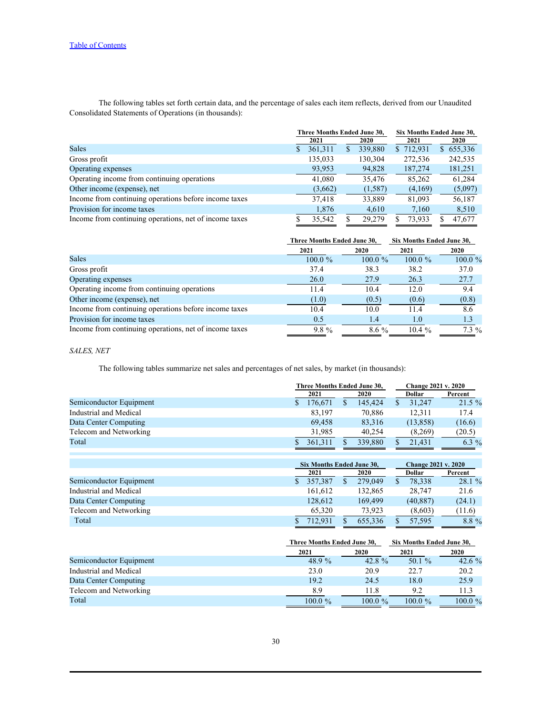The following tables set forth certain data, and the percentage of sales each item reflects, derived from our Unaudited Consolidated Statements of Operations (in thousands):

|                                                        | Three Months Ended June 30. |             | Six Months Ended June 30, |             |
|--------------------------------------------------------|-----------------------------|-------------|---------------------------|-------------|
|                                                        | 2021                        | <b>2020</b> | 2021                      | <b>2020</b> |
| <b>Sales</b>                                           | 361,311                     | 339,880     | \$712,931                 | \$655,336   |
| Gross profit                                           | 135,033                     | 130,304     | 272,536                   | 242,535     |
| Operating expenses                                     | 93,953                      | 94,828      | 187,274                   | 181,251     |
| Operating income from continuing operations            | 41.080                      | 35,476      | 85,262                    | 61,284      |
| Other income (expense), net                            | (3,662)                     | (1,587)     | (4,169)                   | (5,097)     |
| Income from continuing operations before income taxes  | 37.418                      | 33,889      | 81,093                    | 56,187      |
| Provision for income taxes                             | 1,876                       | 4,610       | 7,160                     | 8,510       |
| Income from continuing operations, net of income taxes | 35,542                      | 29.279      | 73,933                    | 47.677      |

|                                                        | Three Months Ended June 30. |            | Six Months Ended June 30. |            |
|--------------------------------------------------------|-----------------------------|------------|---------------------------|------------|
|                                                        | 2021                        | 2020       | 2021                      | 2020       |
| <b>Sales</b>                                           | $100.0 \%$                  | $100.0 \%$ | $100.0 \%$                | $100.0 \%$ |
| Gross profit                                           | 37.4                        | 38.3       | 38.2                      | 37.0       |
| Operating expenses                                     | 26.0                        | 27.9       | 26.3                      | 27.7       |
| Operating income from continuing operations            | . 1.4                       | 10.4       | 12.0                      | 9.4        |
| Other income (expense), net                            | (1.0)                       | (0.5)      | (0.6)                     | (0.8)      |
| Income from continuing operations before income taxes  | 10.4                        | 10.0       | 1.4                       | 8.6        |
| Provision for income taxes                             | 0.5                         | 1.4        | $1.0\,$                   |            |
| Income from continuing operations, net of income taxes | $9.8\%$                     | $8.6\%$    | $10.4\%$                  | $7.3\%$    |

## *SALES, NET*

The following tables summarize net sales and percentages of net sales, by market (in thousands):

|                         | Three Months Ended June 30, |         | Change 2021 v. 2020        |         |
|-------------------------|-----------------------------|---------|----------------------------|---------|
|                         | 2021                        | 2020    | Dollar                     | Percent |
| Semiconductor Equipment | 176,671                     | 145,424 | 31,247                     | 21.5 %  |
| Industrial and Medical  | 83,197                      | 70,886  | 12,311                     | 17.4    |
| Data Center Computing   | 69,458                      | 83,316  | (13,858)                   | (16.6)  |
| Telecom and Networking  | 31,985                      | 40,254  | (8,269)                    | (20.5)  |
| Total                   | 361,311                     | 339,880 | 21,431                     | 6.3 $%$ |
|                         |                             |         |                            |         |
|                         | Six Months Ended June 30,   |         | <b>Change 2021 v. 2020</b> |         |
|                         | 2021                        | 2020    | Dollar                     | Percent |
|                         |                             |         |                            |         |
| Semiconductor Equipment | 357,387                     | 279,049 | 78,338                     | 28.1 %  |
| Industrial and Medical  | 161,612                     | 132,865 | 28,747                     | 21.6    |
| Data Center Computing   | 128,612                     | 169,499 | (40, 887)                  | (24.1)  |
| Telecom and Networking  | 65,320                      | 73,923  | (8,603)                    | (11.6)  |
| Total                   | 712,931                     | 655,336 | 57,595                     | 8.8 %   |

| 2021   | 2020 | 2021                        | 2020                                              |
|--------|------|-----------------------------|---------------------------------------------------|
| 48.9%  |      | 50.1 $%$                    | 42.6 $%$                                          |
| 23.0   | 20.9 | 22.7                        | 20.2                                              |
| 19.2   | 24.5 | 18.0                        | 25.9                                              |
|        | 11.8 | 9.2                         |                                                   |
| 100.0% |      | $100.0 \%$                  | 100.0%                                            |
|        |      | Three Months Ended June 30, | Six Months Ended June 30,<br>42.8 %<br>$100.0 \%$ |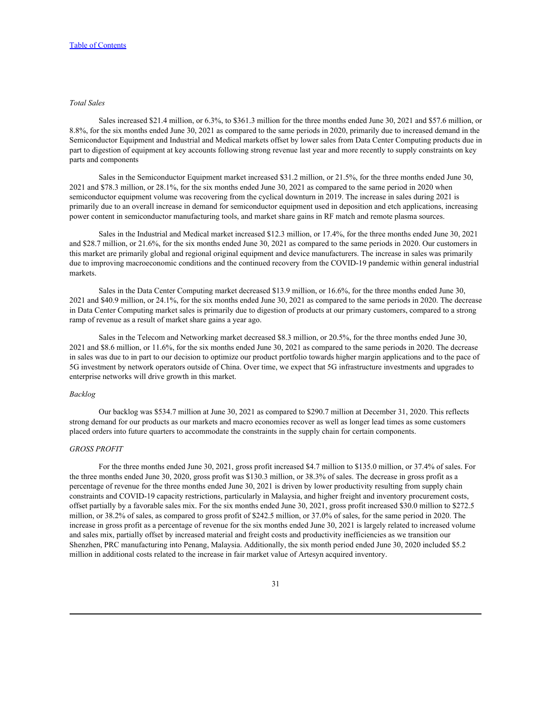### *Total Sales*

Sales increased \$21.4 million, or 6.3%, to \$361.3 million for the three months ended June 30, 2021 and \$57.6 million, or 8.8%, for the six months ended June 30, 2021 as compared to the same periods in 2020, primarily due to increased demand in the Semiconductor Equipment and Industrial and Medical markets offset by lower sales from Data Center Computing products due in part to digestion of equipment at key accounts following strong revenue last year and more recently to supply constraints on key parts and components

Sales in the Semiconductor Equipment market increased \$31.2 million, or 21.5%, for the three months ended June 30, 2021 and \$78.3 million, or 28.1%, for the six months ended June 30, 2021 as compared to the same period in 2020 when semiconductor equipment volume was recovering from the cyclical downturn in 2019. The increase in sales during 2021 is primarily due to an overall increase in demand for semiconductor equipment used in deposition and etch applications, increasing power content in semiconductor manufacturing tools, and market share gains in RF match and remote plasma sources.

Sales in the Industrial and Medical market increased \$12.3 million, or 17.4%, for the three months ended June 30, 2021 and \$28.7 million, or 21.6%, for the six months ended June 30, 2021 as compared to the same periods in 2020. Our customers in this market are primarily global and regional original equipment and device manufacturers. The increase in sales was primarily due to improving macroeconomic conditions and the continued recovery from the COVID-19 pandemic within general industrial markets.

Sales in the Data Center Computing market decreased \$13.9 million, or 16.6%, for the three months ended June 30, 2021 and \$40.9 million, or 24.1%, for the six months ended June 30, 2021 as compared to the same periods in 2020. The decrease in Data Center Computing market sales is primarily due to digestion of products at our primary customers, compared to a strong ramp of revenue as a result of market share gains a year ago.

Sales in the Telecom and Networking market decreased \$8.3 million, or 20.5%, for the three months ended June 30, 2021 and \$8.6 million, or 11.6%, for the six months ended June 30, 2021 as compared to the same periods in 2020. The decrease in sales was due to in part to our decision to optimize our product portfolio towards higher margin applications and to the pace of 5G investment by network operators outside of China. Over time, we expect that 5G infrastructure investments and upgrades to enterprise networks will drive growth in this market.

#### *Backlog*

Our backlog was \$534.7 million at June 30, 2021 as compared to \$290.7 million at December 31, 2020. This reflects strong demand for our products as our markets and macro economies recover as well as longer lead times as some customers placed orders into future quarters to accommodate the constraints in the supply chain for certain components.

### *GROSS PROFIT*

For the three months ended June 30, 2021, gross profit increased \$4.7 million to \$135.0 million, or 37.4% of sales. For the three months ended June 30, 2020, gross profit was \$130.3 million, or 38.3% of sales. The decrease in gross profit as a percentage of revenue for the three months ended June 30, 2021 is driven by lower productivity resulting from supply chain constraints and COVID-19 capacity restrictions, particularly in Malaysia, and higher freight and inventory procurement costs, offset partially by a favorable sales mix. For the six months ended June 30, 2021, gross profit increased \$30.0 million to \$272.5 million, or 38.2% of sales, as compared to gross profit of \$242.5 million, or 37.0% of sales, for the same period in 2020. The increase in gross profit as a percentage of revenue for the six months ended June 30, 2021 is largely related to increased volume and sales mix, partially offset by increased material and freight costs and productivity inefficiencies as we transition our Shenzhen, PRC manufacturing into Penang, Malaysia. Additionally, the six month period ended June 30, 2020 included \$5.2 million in additional costs related to the increase in fair market value of Artesyn acquired inventory.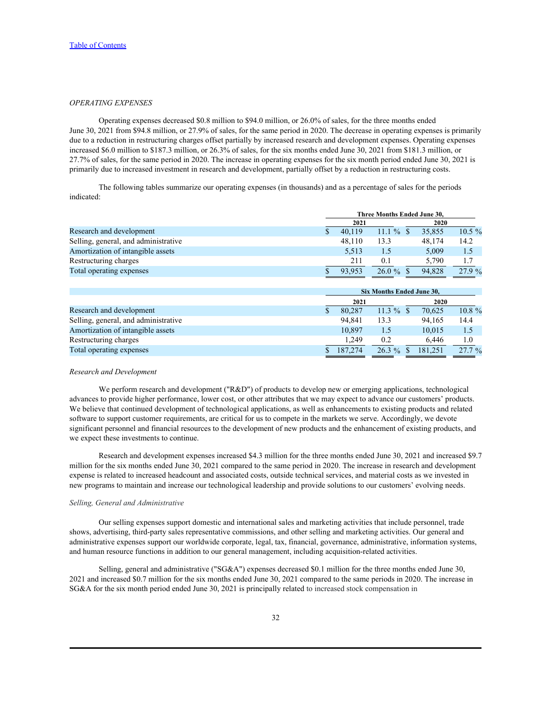### *OPERATING EXPENSES*

Operating expenses decreased \$0.8 million to \$94.0 million, or 26.0% of sales, for the three months ended June 30, 2021 from \$94.8 million, or 27.9% of sales, for the same period in 2020. The decrease in operating expenses is primarily due to a reduction in restructuring charges offset partially by increased research and development expenses. Operating expenses increased \$6.0 million to \$187.3 million, or 26.3% of sales, for the six months ended June 30, 2021 from \$181.3 million, or 27.7% of sales, for the same period in 2020. The increase in operating expenses for the six month period ended June 30, 2021 is primarily due to increased investment in research and development, partially offset by a reduction in restructuring costs.

The following tables summarize our operating expenses (in thousands) and as a percentage of sales for the periods indicated:

|                                      |        |            |              | Three Months Ended June 30, |           |
|--------------------------------------|--------|------------|--------------|-----------------------------|-----------|
|                                      |        | 2021       |              | 2020                        |           |
| Research and development             | 40,119 |            | $11.1\%$ \$  | 35,855                      | $10.5 \%$ |
| Selling, general, and administrative | 48,110 | 13.3       |              | 48,174                      | 14.2      |
| Amortization of intangible assets    |        | 5,513      | 1.5          | 5,009                       | 1.5       |
| Restructuring charges                |        | 211<br>0.1 |              | 5.790                       |           |
| Total operating expenses             | 93,953 |            | $26.0 \%$ \$ | 94.828                      | 27.9 %    |
|                                      |        |            |              |                             |           |

|                                      |         | Six Months Ended June 30, |         |           |
|--------------------------------------|---------|---------------------------|---------|-----------|
|                                      | 2021    |                           | 2020    |           |
| Research and development             | 80,287  | $11.3 \%$ \$              | 70,625  | $10.8 \%$ |
| Selling, general, and administrative | 94,841  | 13.3                      | 94,165  | 14.4      |
| Amortization of intangible assets    | 10,897  | 1.5                       | 10,015  | 1.5       |
| Restructuring charges                | .249    | 0.2                       | 6,446   | 0.1       |
| Total operating expenses             | 187,274 | $26.3 \%$ \$              | 181,251 | $27.7\%$  |

#### *Research and Development*

We perform research and development ("R&D") of products to develop new or emerging applications, technological advances to provide higher performance, lower cost, or other attributes that we may expect to advance our customers' products. We believe that continued development of technological applications, as well as enhancements to existing products and related software to support customer requirements, are critical for us to compete in the markets we serve. Accordingly, we devote significant personnel and financial resources to the development of new products and the enhancement of existing products, and we expect these investments to continue.

Research and development expenses increased \$4.3 million for the three months ended June 30, 2021 and increased \$9.7 million for the six months ended June 30, 2021 compared to the same period in 2020. The increase in research and development expense is related to increased headcount and associated costs, outside technical services, and material costs as we invested in new programs to maintain and increase our technological leadership and provide solutions to our customers' evolving needs.

#### *Selling, General and Administrative*

Our selling expenses support domestic and international sales and marketing activities that include personnel, trade shows, advertising, third-party sales representative commissions, and other selling and marketing activities. Our general and administrative expenses support our worldwide corporate, legal, tax, financial, governance, administrative, information systems, and human resource functions in addition to our general management, including acquisition-related activities.

Selling, general and administrative ("SG&A") expenses decreased \$0.1 million for the three months ended June 30, 2021 and increased \$0.7 million for the six months ended June 30, 2021 compared to the same periods in 2020. The increase in SG&A for the six month period ended June 30, 2021 is principally related to increased stock compensation in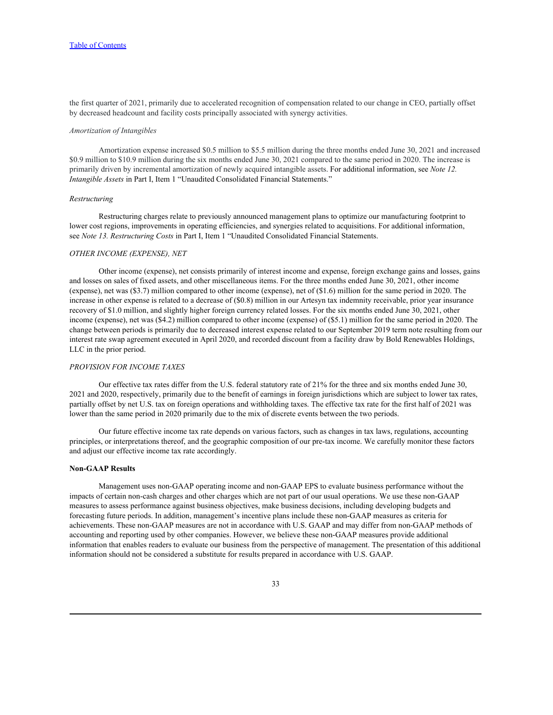the first quarter of 2021, primarily due to accelerated recognition of compensation related to our change in CEO, partially offset by decreased headcount and facility costs principally associated with synergy activities.

#### *Amortization of Intangibles*

Amortization expense increased \$0.5 million to \$5.5 million during the three months ended June 30, 2021 and increased \$0.9 million to \$10.9 million during the six months ended June 30, 2021 compared to the same period in 2020. The increase is primarily driven by incremental amortization of newly acquired intangible assets. For additional information, see *Note 12. Intangible Assets* in Part I, Item 1 "Unaudited Consolidated Financial Statements."

### *Restructuring*

Restructuring charges relate to previously announced management plans to optimize our manufacturing footprint to lower cost regions, improvements in operating efficiencies, and synergies related to acquisitions. For additional information, see *Note 13. Restructuring Costs* in Part I, Item 1 "Unaudited Consolidated Financial Statements.

### *OTHER INCOME (EXPENSE), NET*

Other income (expense), net consists primarily of interest income and expense, foreign exchange gains and losses, gains and losses on sales of fixed assets, and other miscellaneous items. For the three months ended June 30, 2021, other income (expense), net was (\$3.7) million compared to other income (expense), net of (\$1.6) million for the same period in 2020. The increase in other expense is related to a decrease of (\$0.8) million in our Artesyn tax indemnity receivable, prior year insurance recovery of \$1.0 million, and slightly higher foreign currency related losses. For the six months ended June 30, 2021, other income (expense), net was (\$4.2) million compared to other income (expense) of (\$5.1) million for the same period in 2020. The change between periods is primarily due to decreased interest expense related to our September 2019 term note resulting from our interest rate swap agreement executed in April 2020, and recorded discount from a facility draw by Bold Renewables Holdings, LLC in the prior period.

### *PROVISION FOR INCOME TAXES*

Our effective tax rates differ from the U.S. federal statutory rate of 21% for the three and six months ended June 30, 2021 and 2020, respectively, primarily due to the benefit of earnings in foreign jurisdictions which are subject to lower tax rates, partially offset by net U.S. tax on foreign operations and withholding taxes. The effective tax rate for the first half of 2021 was lower than the same period in 2020 primarily due to the mix of discrete events between the two periods.

Our future effective income tax rate depends on various factors, such as changes in tax laws, regulations, accounting principles, or interpretations thereof, and the geographic composition of our pre-tax income. We carefully monitor these factors and adjust our effective income tax rate accordingly.

#### **Non-GAAP Results**

Management uses non-GAAP operating income and non-GAAP EPS to evaluate business performance without the impacts of certain non-cash charges and other charges which are not part of our usual operations. We use these non-GAAP measures to assess performance against business objectives, make business decisions, including developing budgets and forecasting future periods. In addition, management's incentive plans include these non-GAAP measures as criteria for achievements. These non-GAAP measures are not in accordance with U.S. GAAP and may differ from non-GAAP methods of accounting and reporting used by other companies. However, we believe these non-GAAP measures provide additional information that enables readers to evaluate our business from the perspective of management. The presentation of this additional information should not be considered a substitute for results prepared in accordance with U.S. GAAP.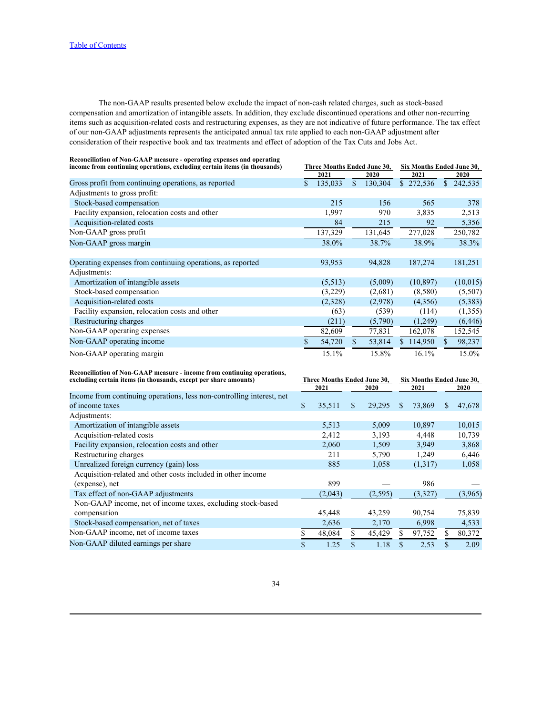The non-GAAP results presented below exclude the impact of non-cash related charges, such as stock-based compensation and amortization of intangible assets. In addition, they exclude discontinued operations and other non-recurring items such as acquisition-related costs and restructuring expenses, as they are not indicative of future performance. The tax effect of our non-GAAP adjustments represents the anticipated annual tax rate applied to each non-GAAP adjustment after consideration of their respective book and tax treatments and effect of adoption of the Tax Cuts and Jobs Act.

| Reconciliation of Non-GAAP measure - operating expenses and operating<br>income from continuing operations, excluding certain items (in thousands) | 2021    |         | Three Months Ended June 30,<br>2020 | 2021      | Six Months Ended June 30,<br>2020 |
|----------------------------------------------------------------------------------------------------------------------------------------------------|---------|---------|-------------------------------------|-----------|-----------------------------------|
| Gross profit from continuing operations, as reported                                                                                               | 135,033 |         | 130,304                             | \$272,536 | \$242,535                         |
| Adjustments to gross profit:                                                                                                                       |         |         |                                     |           |                                   |
| Stock-based compensation                                                                                                                           |         | 215     | 156                                 | 565       | 378                               |
| Facility expansion, relocation costs and other                                                                                                     |         | 1,997   | 970                                 | 3,835     | 2,513                             |
| Acquisition-related costs                                                                                                                          |         | 84      | 215                                 | 92        | 5,356                             |
| Non-GAAP gross profit                                                                                                                              | 137,329 |         | 131,645                             | 277,028   | 250,782                           |
| Non-GAAP gross margin                                                                                                                              |         | 38.0%   | 38.7%                               | 38.9%     | 38.3%                             |
|                                                                                                                                                    |         |         |                                     |           |                                   |
| Operating expenses from continuing operations, as reported                                                                                         | 93,953  |         | 94,828                              | 187,274   | 181,251                           |
| Adjustments:                                                                                                                                       |         |         |                                     |           |                                   |
| Amortization of intangible assets                                                                                                                  |         | (5,513) | (5,009)                             | (10, 897) | (10,015)                          |
| Stock-based compensation                                                                                                                           |         | (3,229) | (2,681)                             | (8,580)   | (5,507)                           |
| Acquisition-related costs                                                                                                                          |         | (2,328) | (2,978)                             | (4,356)   | (5,383)                           |
| Facility expansion, relocation costs and other                                                                                                     |         | (63)    | (539)                               | (114)     | (1,355)                           |
| Restructuring charges                                                                                                                              |         | (211)   | (5,790)                             | (1,249)   | (6, 446)                          |
| Non-GAAP operating expenses                                                                                                                        | 82,609  |         | 77,831                              | 162,078   | 152,545                           |
| Non-GAAP operating income                                                                                                                          |         | 54,720  | 53,814                              | 114,950   | 98,237                            |
| Non-GAAP operating margin                                                                                                                          |         | 15.1%   | 15.8%                               | 16.1%     | 15.0%                             |
|                                                                                                                                                    |         |         |                                     |           |                                   |

**Reconciliation of Non-GAAP measure - income from continuing operations,<br>excluding certain items (in thousands, except per share amounts)** Three Months Ended June 30, Six Months Ended June 30,  $\textbf{excluding certain items}$  (in thousands, except per share amounts)

| 2021    | 2020     | 2021    | 2020    |
|---------|----------|---------|---------|
|         |          |         |         |
| 35,51   | 29,295   | 73,869  | 47,678  |
|         |          |         |         |
| 5,513   | 5,009    | 10,897  | 10,015  |
| 2,412   | 3,193    | 4,448   | 10,739  |
| 2,060   | 1,509    | 3,949   | 3,868   |
| 211     | 5,790    | 1,249   | 6,446   |
| 885     | 1,058    | (1,317) | 1,058   |
|         |          |         |         |
| 899     |          | 986     |         |
| (2,043) | (2, 595) | (3,327) | (3,965) |
|         |          |         |         |
| 45,448  | 43,259   | 90,754  | 75,839  |
| 2,636   | 2,170    | 6,998   | 4,533   |
| 48,084  | 45,429   | 97,752  | 80,372  |
| 1.25    | 1.18     | 2.53    | 2.09    |
|         |          |         |         |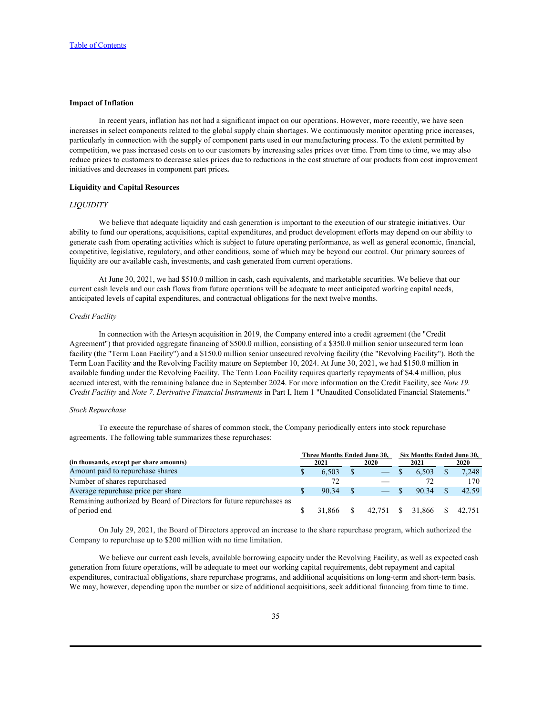### **Impact of Inflation**

In recent years, inflation has not had a significant impact on our operations. However, more recently, we have seen increases in select components related to the global supply chain shortages. We continuously monitor operating price increases, particularly in connection with the supply of component parts used in our manufacturing process. To the extent permitted by competition, we pass increased costs on to our customers by increasing sales prices over time. From time to time, we may also reduce prices to customers to decrease sales prices due to reductions in the cost structure of our products from cost improvement initiatives and decreases in component part prices**.**

#### **Liquidity and Capital Resources**

### *LIQUIDITY*

We believe that adequate liquidity and cash generation is important to the execution of our strategic initiatives. Our ability to fund our operations, acquisitions, capital expenditures, and product development efforts may depend on our ability to generate cash from operating activities which is subject to future operating performance, as well as general economic, financial, competitive, legislative, regulatory, and other conditions, some of which may be beyond our control. Our primary sources of liquidity are our available cash, investments, and cash generated from current operations.

At June 30, 2021, we had \$510.0 million in cash, cash equivalents, and marketable securities. We believe that our current cash levels and our cash flows from future operations will be adequate to meet anticipated working capital needs, anticipated levels of capital expenditures, and contractual obligations for the next twelve months.

#### *Credit Facility*

In connection with the Artesyn acquisition in 2019, the Company entered into a credit agreement (the "Credit Agreement") that provided aggregate financing of \$500.0 million, consisting of a \$350.0 million senior unsecured term loan facility (the "Term Loan Facility") and a \$150.0 million senior unsecured revolving facility (the "Revolving Facility"). Both the Term Loan Facility and the Revolving Facility mature on September 10, 2024. At June 30, 2021, we had \$150.0 million in available funding under the Revolving Facility. The Term Loan Facility requires quarterly repayments of \$4.4 million, plus accrued interest, with the remaining balance due in September 2024. For more information on the Credit Facility, see *Note 19. Credit Facility* and *Note 7. Derivative Financial Instruments* in Part I, Item 1 "Unaudited Consolidated Financial Statements."

#### *Stock Repurchase*

To execute the repurchase of shares of common stock, the Company periodically enters into stock repurchase agreements. The following table summarizes these repurchases:

| 2021   | 2020                     |                             | 2021  | 2020                                          |
|--------|--------------------------|-----------------------------|-------|-----------------------------------------------|
| 6.503  | $\overline{\phantom{0}}$ |                             | 6.503 | 7,248                                         |
|        |                          |                             |       | 170                                           |
| 90.34  | المستد                   |                             | 90.34 | 42.59                                         |
|        |                          |                             |       |                                               |
| 31.866 | 42.751                   |                             |       | 42.751                                        |
|        |                          | Three Months Ended June 30, |       | <b>Six Months Ended June 30,</b><br>31.866 \$ |

On July 29, 2021, the Board of Directors approved an increase to the share repurchase program, which authorized the Company to repurchase up to \$200 million with no time limitation.

We believe our current cash levels, available borrowing capacity under the Revolving Facility, as well as expected cash generation from future operations, will be adequate to meet our working capital requirements, debt repayment and capital expenditures, contractual obligations, share repurchase programs, and additional acquisitions on long-term and short-term basis. We may, however, depending upon the number or size of additional acquisitions, seek additional financing from time to time.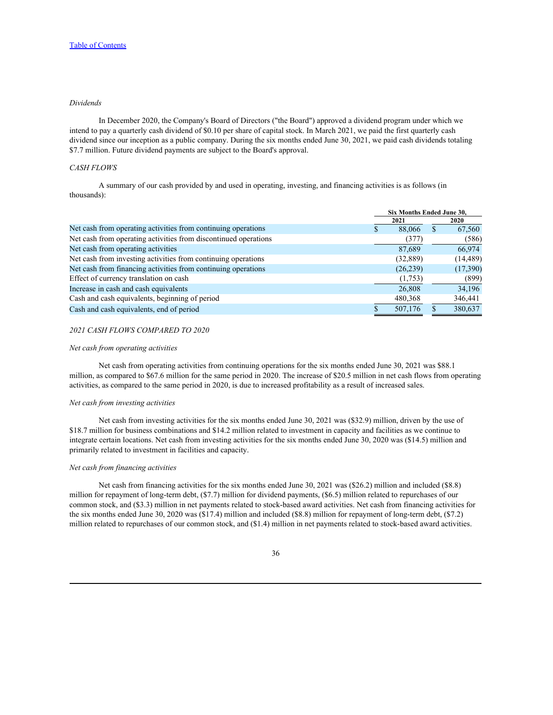### *Dividends*

In December 2020, the Company's Board of Directors ("the Board") approved a dividend program under which we intend to pay a quarterly cash dividend of \$0.10 per share of capital stock. In March 2021, we paid the first quarterly cash dividend since our inception as a public company. During the six months ended June 30, 2021, we paid cash dividends totaling \$7.7 million. Future dividend payments are subject to the Board's approval.

## *CASH FLOWS*

A summary of our cash provided by and used in operating, investing, and financing activities is as follows (in thousands):

|                                                                 | Six Months Ended June 30. |             |
|-----------------------------------------------------------------|---------------------------|-------------|
|                                                                 | 2021                      | <b>2020</b> |
| Net cash from operating activities from continuing operations   | 88,066                    | 67,560      |
| Net cash from operating activities from discontinued operations | (377)                     | (586)       |
| Net cash from operating activities                              | 87.689                    | 66,974      |
| Net cash from investing activities from continuing operations   | (32,889)                  | (14, 489)   |
| Net cash from financing activities from continuing operations   | (26, 239)                 | (17,390)    |
| Effect of currency translation on cash                          | (1,753)                   | (899)       |
| Increase in cash and cash equivalents                           | 26,808                    | 34,196      |
| Cash and cash equivalents, beginning of period                  | 480,368                   | 346,441     |
| Cash and cash equivalents, end of period                        | 507,176                   | 380,637     |
|                                                                 |                           |             |

#### *2021 CASH FLOWS COMPARED TO 2020*

### *Net cash from operating activities*

Net cash from operating activities from continuing operations for the six months ended June 30, 2021 was \$88.1 million, as compared to \$67.6 million for the same period in 2020. The increase of \$20.5 million in net cash flows from operating activities, as compared to the same period in 2020, is due to increased profitability as a result of increased sales.

#### *Net cash from investing activities*

Net cash from investing activities for the six months ended June 30, 2021 was (\$32.9) million, driven by the use of \$18.7 million for business combinations and \$14.2 million related to investment in capacity and facilities as we continue to integrate certain locations. Net cash from investing activities for the six months ended June 30, 2020 was (\$14.5) million and primarily related to investment in facilities and capacity.

#### *Net cash from financing activities*

Net cash from financing activities for the six months ended June 30, 2021 was (\$26.2) million and included (\$8.8) million for repayment of long-term debt, (\$7.7) million for dividend payments, (\$6.5) million related to repurchases of our common stock, and (\$3.3) million in net payments related to stock-based award activities. Net cash from financing activities for the six months ended June 30, 2020 was (\$17.4) million and included (\$8.8) million for repayment of long-term debt, (\$7.2) million related to repurchases of our common stock, and (\$1.4) million in net payments related to stock-based award activities.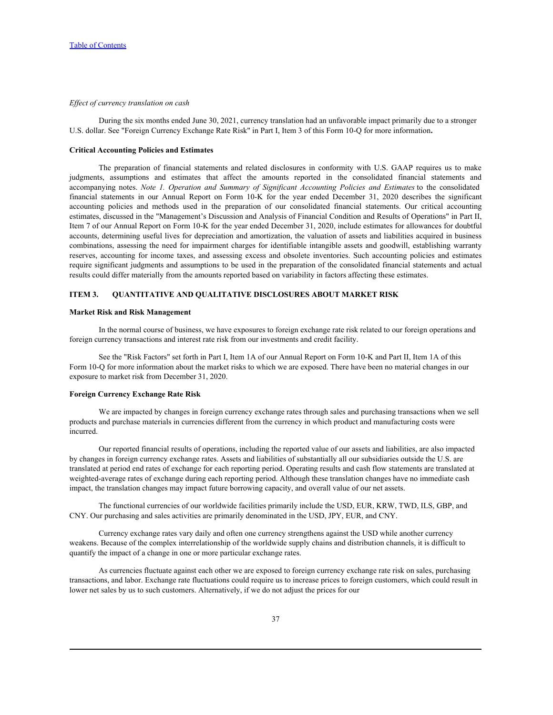### *Effect of currency translation on cash*

During the six months ended June 30, 2021, currency translation had an unfavorable impact primarily due to a stronger U.S. dollar. See "Foreign Currency Exchange Rate Risk" in Part I, Item 3 of this Form 10-Q for more information**.**

#### **Critical Accounting Policies and Estimates**

Contents<br>
The preparation on easth<br>
During the six months ended June 30, 2021, currency translation had an unfavorable impact primarily due to a stronger<br>
are. See "Foreign Currency Exchange Rate Risk" in Part I, Item 3 of Figherof contents<br>
During the six months ended June 30, 2021, currency translation had an unfavorable impact primarily due to a stronger<br>
U.S. dollar. See "Poreign Currency Exchange Rate Risk" in Part I, Item 3 of this Fo Accounting the set meants and the 1. Operation and Summary of Contents and Summary of Contents and Summary of Contents. Scholar, See Toreign Currency Exchange Rate Risk<sup>1</sup> in Part I, Item 3 of this Form 10-Q for more infor Fighter of contents<br>
In our Annual Report on Fighter and Report on Taxis and Annual Report on Fighter on Fighter of the statements in our Annual Report of Foreign Currency Exchange Rate Risk" in Part I, Item 3 of this For Fighte of Contents<br>
During the six months ended June 30, 2021, currency translation had an unfavorable impact primarily due to a stronger<br>
U.S. dollar. See "Foreign Currency Fischange Rate Risk" in Part I, Item 3 of this F estimates, discussed in the "Management's Discussion and Analysis of Financial Condition and Results of Operations" in Part II, Item 7 of our Annual Report on Form 10-K for the year ended December 31, 2020, include estimates for allowances for doubtful accounts, determining useful lives for depreciation and amortization, the valuation of assets and liabilities acquired in business combinations, assessing the need for impairment charges for identifiable intangible assets and goodwill, establishing warranty Table of Contents<br>
Effect of currency translation on cash<br>
During the six months ended June 30, 2021, currency translation had an unfavorable impact primarily due to a stronger<br>
U.S. dollar. See "Foreign Currency Exchange require significant judgments and assumptions to be used in the preparation of the consolidated financial statements and actual results could differ materially from the amounts reported based on variability in factors affecting these estimates.

### <span id="page-36-0"></span>**ITEM 3. QUANTITATIVE AND QUALITATIVE DISCLOSURES ABOUT MARKET RISK**

### **Market Risk and Risk Management**

In the normal course of business, we have exposures to foreign exchange rate risk related to our foreign operations and foreign currency transactions and interest rate risk from our investments and credit facility.

See the "Risk Factors" set forth in Part I, Item 1A of our Annual Report on Form 10-K and Part II, Item 1A of this Form 10-Q for more information about the market risks to which we are exposed. There have been no material changes in our exposure to market risk from December 31, 2020.

#### **Foreign Currency Exchange Rate Risk**

We are impacted by changes in foreign currency exchange rates through sales and purchasing transactions when we sell products and purchase materials in currencies different from the currency in which product and manufacturing costs were incurred.

Our reported financial results of operations, including the reported value of our assets and liabilities, are also impacted by changes in foreign currency exchange rates. Assets and liabilities of substantially all our subsidiaries outside the U.S. are translated at period end rates of exchange for each reporting period. Operating results and cash flow statements are translated at weighted-average rates of exchange during each reporting period. Although these translation changes have no immediate cash impact, the translation changes may impact future borrowing capacity, and overall value of our net assets.

The functional currencies of our worldwide facilities primarily include the USD, EUR, KRW, TWD, ILS, GBP, and CNY. Our purchasing and sales activities are primarily denominated in the USD, JPY, EUR, and CNY.

Currency exchange rates vary daily and often one currency strengthens against the USD while another currency weakens. Because of the complex interrelationship of the worldwide supply chains and distribution channels, it is difficult to quantify the impact of a change in one or more particular exchange rates.

As currencies fluctuate against each other we are exposed to foreign currency exchange rate risk on sales, purchasing transactions, and labor. Exchange rate fluctuations could require us to increase prices to foreign customers, which could result in lower net sales by us to such customers. Alternatively, if we do not adjust the prices for our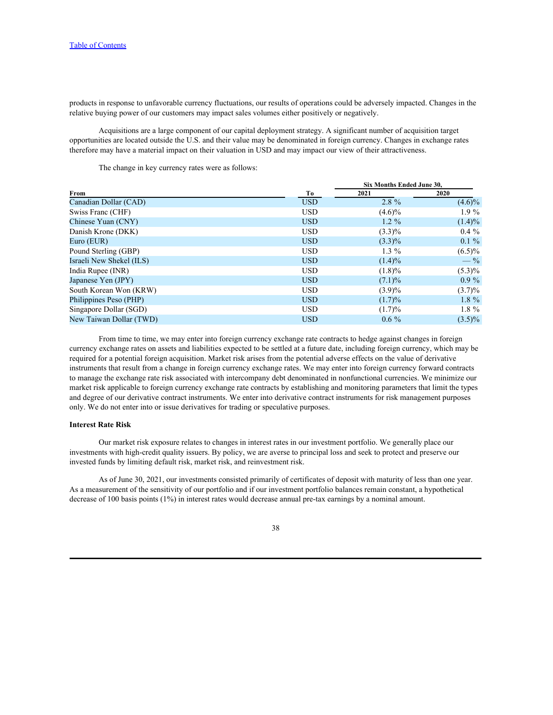products in response to unfavorable currency fluctuations, our results of operations could be adversely impacted. Changes in the relative buying power of our customers may impact sales volumes either positively or negatively.

Acquisitions are a large component of our capital deployment strategy. A significant number of acquisition target opportunities are located outside the U.S. and their value may be denominated in foreign currency. Changes in exchange rates therefore may have a material impact on their valuation in USD and may impact our view of their attractiveness.

The change in key currency rates were as follows:

|                          |            | Six Months Ended June 30, |           |
|--------------------------|------------|---------------------------|-----------|
| From                     | Tо         | 2021                      | 2020      |
| Canadian Dollar (CAD)    | <b>USD</b> | $2.8\%$                   | $(4.6)\%$ |
| Swiss Franc (CHF)        | USD        | $(4.6)\%$                 | $1.9\%$   |
| Chinese Yuan (CNY)       | <b>USD</b> | $1.2 \%$                  | $(1.4)\%$ |
| Danish Krone (DKK)       | USD        | $(3.3)\%$                 | $0.4\%$   |
| Euro (EUR)               | <b>USD</b> | $(3.3)\%$                 | $0.1 \%$  |
| Pound Sterling (GBP)     | <b>USD</b> | $1.3\%$                   | $(6.5)\%$ |
| Israeli New Shekel (ILS) | <b>USD</b> | $(1.4)\%$                 | $-$ %     |
| India Rupee (INR)        | USD.       | $(1.8)\%$                 | $(5.3)\%$ |
| Japanese Yen (JPY)       | <b>USD</b> | $(7.1)\%$                 | $0.9\%$   |
| South Korean Won (KRW)   | USD        | $(3.9)\%$                 | $(3.7)\%$ |
| Philippines Peso (PHP)   | <b>USD</b> | $(1.7)\%$                 | $1.8\%$   |
| Singapore Dollar (SGD)   | USD        | (1.7)%                    | 1.8 %     |
| New Taiwan Dollar (TWD)  | USD        | $0.6\%$                   | $(3.5)\%$ |

From time to time, we may enter into foreign currency exchange rate contracts to hedge against changes in foreign currency exchange rates on assets and liabilities expected to be settled at a future date, including foreign currency, which may be required for a potential foreign acquisition. Market risk arises from the potential adverse effects on the value of derivative instruments that result from a change in foreign currency exchange rates. We may enter into foreign currency forward contracts to manage the exchange rate risk associated with intercompany debt denominated in nonfunctional currencies. We minimize our market risk applicable to foreign currency exchange rate contracts by establishing and monitoring parameters that limit the types and degree of our derivative contract instruments. We enter into derivative contract instruments for risk management purposes only. We do not enter into or issue derivatives for trading or speculative purposes.

### **Interest Rate Risk**

Our market risk exposure relates to changes in interest rates in our investment portfolio. We generally place our investments with high-credit quality issuers. By policy, we are averse to principal loss and seek to protect and preserve our invested funds by limiting default risk, market risk, and reinvestment risk.

As of June 30, 2021, our investments consisted primarily of certificates of deposit with maturity of less than one year. As a measurement of the sensitivity of our portfolio and if our investment portfolio balances remain constant, a hypothetical decrease of 100 basis points (1%) in interest rates would decrease annual pre-tax earnings by a nominal amount.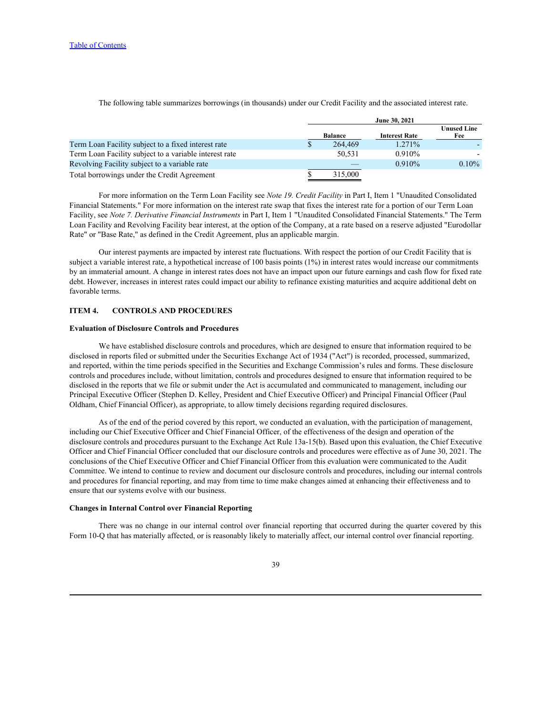|                                                        |                          | June 30, 2021        |                           |
|--------------------------------------------------------|--------------------------|----------------------|---------------------------|
|                                                        | <b>Balance</b>           | <b>Interest Rate</b> | <b>Unused Line</b><br>Fee |
| Term Loan Facility subject to a fixed interest rate    | 264,469                  | 1.271%               |                           |
| Term Loan Facility subject to a variable interest rate | 50,531                   | 0.910%               |                           |
| Revolving Facility subject to a variable rate          | $\overline{\phantom{a}}$ | 0.910%               | 0.10%                     |
| Total borrowings under the Credit Agreement            | 315,000                  |                      |                           |

The following table summarizes borrowings (in thousands) under our Credit Facility and the associated interest rate.

For more information on the Term Loan Facility see *Note 19. Credit Facility* in Part I, Item 1 "Unaudited Consolidated Financial Statements." For more information on the interest rate swap that fixes the interest rate for a portion of our Term Loan Facility, see *Note 7. Derivative Financial Instruments* in Part I, Item 1 "Unaudited Consolidated Financial Statements." The Term Loan Facility and Revolving Facility bear interest, at the option of the Company, at a rate based on a reserve adjusted "Eurodollar Rate" or "Base Rate," as defined in the Credit Agreement, plus an applicable margin.

Our interest payments are impacted by interest rate fluctuations. With respect the portion of our Credit Facility that is subject a variable interest rate, a hypothetical increase of 100 basis points (1%) in interest rates would increase our commitments by an immaterial amount. A change in interest rates does not have an impact upon our future earnings and cash flow for fixed rate debt. However, increases in interest rates could impact our ability to refinance existing maturities and acquire additional debt on favorable terms.

### <span id="page-38-0"></span>**ITEM 4. CONTROLS AND PROCEDURES**

#### **Evaluation of Disclosure Controls and Procedures**

We have established disclosure controls and procedures, which are designed to ensure that information required to be disclosed in reports filed or submitted under the Securities Exchange Act of 1934 ("Act") is recorded, processed, summarized, and reported, within the time periods specified in the Securities and Exchange Commission's rules and forms. These disclosure controls and procedures include, without limitation, controls and procedures designed to ensure that information required to be disclosed in the reports that we file or submit under the Act is accumulated and communicated to management, including our Principal Executive Officer (Stephen D. Kelley, President and Chief Executive Officer) and Principal Financial Officer (Paul Oldham, Chief Financial Officer), as appropriate, to allow timely decisions regarding required disclosures.

As of the end of the period covered by this report, we conducted an evaluation, with the participation of management, including our Chief Executive Officer and Chief Financial Officer, of the effectiveness of the design and operation of the disclosure controls and procedures pursuant to the Exchange Act Rule 13a-15(b). Based upon this evaluation, the Chief Executive Officer and Chief Financial Officer concluded that our disclosure controls and procedures were effective as of June 30, 2021. The conclusions of the Chief Executive Officer and Chief Financial Officer from this evaluation were communicated to the Audit Committee. We intend to continue to review and document our disclosure controls and procedures, including our internal controls and procedures for financial reporting, and may from time to time make changes aimed at enhancing their effectiveness and to ensure that our systems evolve with our business.

#### **Changes in Internal Control over Financial Reporting**

There was no change in our internal control over financial reporting that occurred during the quarter covered by this Form 10-Q that has materially affected, or is reasonably likely to materially affect, our internal control over financial reporting.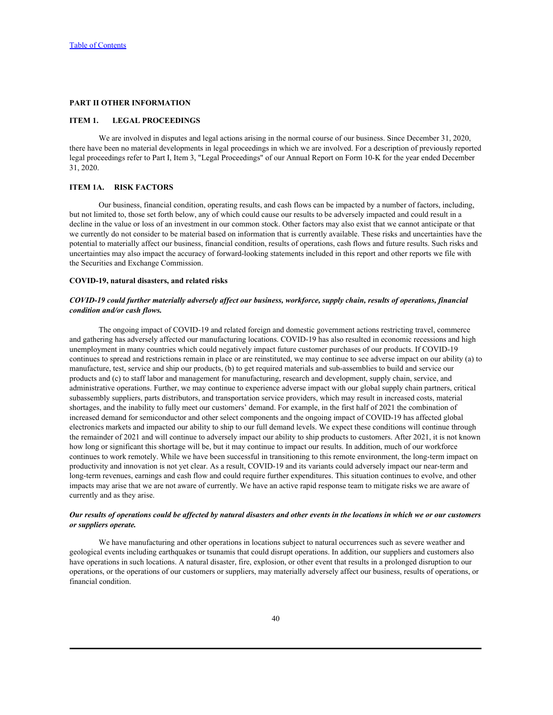### <span id="page-39-0"></span>**PART II OTHER INFORMATION**

### <span id="page-39-1"></span>**ITEM 1. LEGAL PROCEEDINGS**

We are involved in disputes and legal actions arising in the normal course of our business. Since December 31, 2020, there have been no material developments in legal proceedings in which we are involved. For a description of previously reported legal proceedings refer to Part I, Item 3, "Legal Proceedings" of our Annual Report on Form 10-K for the year ended December 31, 2020.

### <span id="page-39-2"></span>**ITEM 1A. RISK FACTORS**

Our business, financial condition, operating results, and cash flows can be impacted by a number of factors, including, but not limited to, those set forth below, any of which could cause our results to be adversely impacted and could result in a decline in the value or loss of an investment in our common stock. Other factors may also exist that we cannot anticipate or that we currently do not consider to be material based on information that is currently available. These risks and uncertainties have the potential to materially affect our business, financial condition, results of operations, cash flows and future results. Such risks and uncertainties may also impact the accuracy of forward-looking statements included in this report and other reports we file with the Securities and Exchange Commission.

#### **COVID-19, natural disasters, and related risks**

#### *COVID-19 could further materially adversely affect our business, workforce, supply chain, results of operations, financial condition and/or cash flows.*

The ongoing impact of COVID-19 and related foreign and domestic government actions restricting travel, commerce and gathering has adversely affected our manufacturing locations. COVID-19 has also resulted in economic recessions and high unemployment in many countries which could negatively impact future customer purchases of our products. If COVID-19 continues to spread and restrictions remain in place or are reinstituted, we may continue to see adverse impact on our ability (a) to manufacture, test, service and ship our products, (b) to get required materials and sub-assemblies to build and service our products and (c) to staff labor and management for manufacturing, research and development, supply chain, service, and administrative operations. Further, we may continue to experience adverse impact with our global supply chain partners, critical subassembly suppliers, parts distributors, and transportation service providers, which may result in increased costs, material shortages, and the inability to fully meet our customers' demand. For example, in the first half of 2021 the combination of increased demand for semiconductor and other select components and the ongoing impact of COVID-19 has affected global electronics markets and impacted our ability to ship to our full demand levels. We expect these conditions will continue through the remainder of 2021 and will continue to adversely impact our ability to ship products to customers. After 2021, it is not known how long or significant this shortage will be, but it may continue to impact our results. In addition, much of our workforce continues to work remotely. While we have been successful in transitioning to this remote environment, the long-term impact on productivity and innovation is not yet clear. As a result, COVID-19 and its variants could adversely impact our near-term and long-term revenues, earnings and cash flow and could require further expenditures. This situation continues to evolve, and other impacts may arise that we are not aware of currently. We have an active rapid response team to mitigate risks we are aware of currently and as they arise.

### *Our results of operations could be affected by natural disasters and other events in the locations in which we or our customers or suppliers operate.*

We have manufacturing and other operations in locations subject to natural occurrences such as severe weather and geological events including earthquakes or tsunamis that could disrupt operations. In addition, our suppliers and customers also have operations in such locations. A natural disaster, fire, explosion, or other event that results in a prolonged disruption to our operations, or the operations of our customers or suppliers, may materially adversely affect our business, results of operations, or financial condition.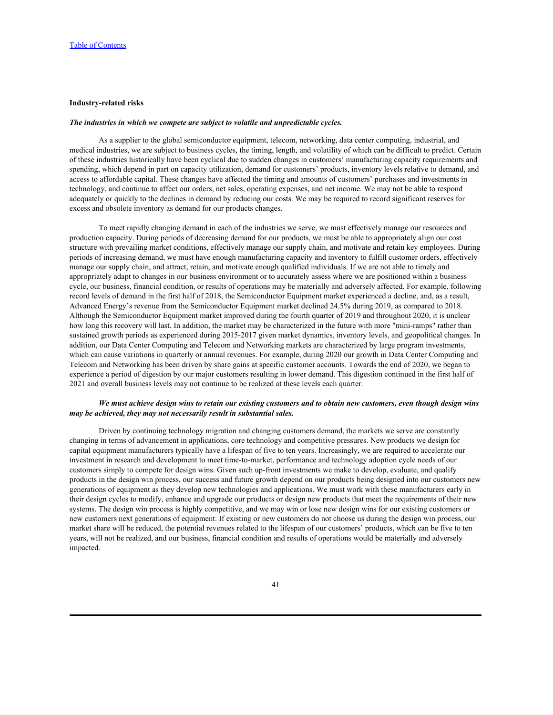### **Industry-related risks**

#### *The industries in which we compete are subject to volatile and unpredictable cycles.*

As a supplier to the global semiconductor equipment, telecom, networking, data center computing, industrial, and medical industries, we are subject to business cycles, the timing, length, and volatility of which can be difficult to predict. Certain of these industries historically have been cyclical due to sudden changes in customers' manufacturing capacity requirements and spending, which depend in part on capacity utilization, demand for customers' products, inventory levels relative to demand, and access to affordable capital. These changes have affected the timing and amounts of customers' purchases and investments in technology, and continue to affect our orders, net sales, operating expenses, and net income. We may not be able to respond adequately or quickly to the declines in demand by reducing our costs. We may be required to record significant reserves for excess and obsolete inventory as demand for our products changes.

To meet rapidly changing demand in each of the industries we serve, we must effectively manage our resources and production capacity. During periods of decreasing demand for our products, we must be able to appropriately align our cost structure with prevailing market conditions, effectively manage our supply chain, and motivate and retain key employees. During periods of increasing demand, we must have enough manufacturing capacity and inventory to fulfill customer orders, effectively manage our supply chain, and attract, retain, and motivate enough qualified individuals. If we are not able to timely and appropriately adapt to changes in our business environment or to accurately assess where we are positioned within a business cycle, our business, financial condition, or results of operations may be materially and adversely affected. For example, following record levels of demand in the first half of 2018, the Semiconductor Equipment market experienced a decline, and, as a result, Advanced Energy's revenue from the Semiconductor Equipment market declined 24.5% during 2019, as compared to 2018. Although the Semiconductor Equipment market improved during the fourth quarter of 2019 and throughout 2020, it is unclear how long this recovery will last. In addition, the market may be characterized in the future with more "mini-ramps" rather than sustained growth periods as experienced during 2015-2017 given market dynamics, inventory levels, and geopolitical changes. In addition, our Data Center Computing and Telecom and Networking markets are characterized by large program investments, which can cause variations in quarterly or annual revenues. For example, during 2020 our growth in Data Center Computing and Telecom and Networking has been driven by share gains at specific customer accounts. Towards the end of 2020, we began to experience a period of digestion by our major customers resulting in lower demand. This digestion continued in the first half of 2021 and overall business levels may not continue to be realized at these levels each quarter.

#### *We must achieve design wins to retain our existing customers and to obtain new customers, even though design wins may be achieved, they may not necessarily result in substantial sales.*

Driven by continuing technology migration and changing customers demand, the markets we serve are constantly changing in terms of advancement in applications, core technology and competitive pressures. New products we design for capital equipment manufacturers typically have a lifespan of five to ten years. Increasingly, we are required to accelerate our investment in research and development to meet time-to-market, performance and technology adoption cycle needs of our customers simply to compete for design wins. Given such up-front investments we make to develop, evaluate, and qualify products in the design win process, our success and future growth depend on our products being designed into our customers new generations of equipment as they develop new technologies and applications. We must work with these manufacturers early in their design cycles to modify, enhance and upgrade our products or design new products that meet the requirements of their new systems. The design win process is highly competitive, and we may win or lose new design wins for our existing customers or new customers next generations of equipment. If existing or new customers do not choose us during the design win process, our market share will be reduced, the potential revenues related to the lifespan of our customers' products, which can be five to ten years, will not be realized, and our business, financial condition and results of operations would be materially and adversely impacted.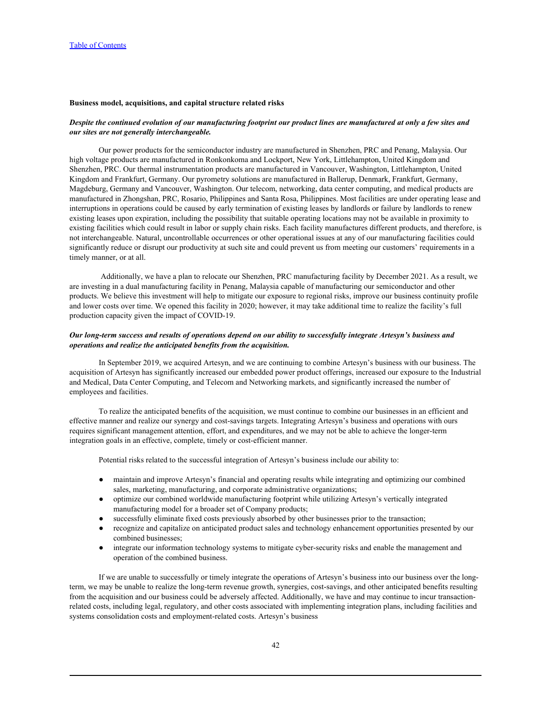### **Business model, acquisitions, and capital structure related risks**

### *Despite the continued evolution of our manufacturing footprint our product lines are manufactured at only a few sites and our sites are not generally interchangeable.*

Our power products for the semiconductor industry are manufactured in Shenzhen, PRC and Penang, Malaysia. Our high voltage products are manufactured in Ronkonkoma and Lockport, New York, Littlehampton, United Kingdom and Shenzhen, PRC. Our thermal instrumentation products are manufactured in Vancouver, Washington, Littlehampton, United Kingdom and Frankfurt, Germany. Our pyrometry solutions are manufactured in Ballerup, Denmark, Frankfurt, Germany, Magdeburg, Germany and Vancouver, Washington. Our telecom, networking, data center computing, and medical products are manufactured in Zhongshan, PRC, Rosario, Philippines and Santa Rosa, Philippines. Most facilities are under operating lease and interruptions in operations could be caused by early termination of existing leases by landlords or failure by landlords to renew existing leases upon expiration, including the possibility that suitable operating locations may not be available in proximity to existing facilities which could result in labor or supply chain risks. Each facility manufactures different products, and therefore, is not interchangeable. Natural, uncontrollable occurrences or other operational issues at any of our manufacturing facilities could significantly reduce or disrupt our productivity at such site and could prevent us from meeting our customers' requirements in a timely manner, or at all.

 Additionally, we have a plan to relocate our Shenzhen, PRC manufacturing facility by December 2021. As a result, we are investing in a dual manufacturing facility in Penang, Malaysia capable of manufacturing our semiconductor and other products. We believe this investment will help to mitigate our exposure to regional risks, improve our business continuity profile and lower costs over time. We opened this facility in 2020; however, it may take additional time to realize the facility's full production capacity given the impact of COVID-19.

### *Our long-term success and results of operations depend on our ability to successfully integrate Artesyn's business and operations and realize the anticipated benefits from the acquisition.*

In September 2019, we acquired Artesyn, and we are continuing to combine Artesyn's business with our business. The acquisition of Artesyn has significantly increased our embedded power product offerings, increased our exposure to the Industrial and Medical, Data Center Computing, and Telecom and Networking markets, and significantly increased the number of employees and facilities.

To realize the anticipated benefits of the acquisition, we must continue to combine our businesses in an efficient and effective manner and realize our synergy and cost-savings targets. Integrating Artesyn's business and operations with ours requires significant management attention, effort, and expenditures, and we may not be able to achieve the longer-term integration goals in an effective, complete, timely or cost-efficient manner.

Potential risks related to the successful integration of Artesyn's business include our ability to:

- maintain and improve Artesyn's financial and operating results while integrating and optimizing our combined sales, marketing, manufacturing, and corporate administrative organizations;
- optimize our combined worldwide manufacturing footprint while utilizing Artesyn's vertically integrated manufacturing model for a broader set of Company products;
- successfully eliminate fixed costs previously absorbed by other businesses prior to the transaction;
- recognize and capitalize on anticipated product sales and technology enhancement opportunities presented by our combined businesses;
- integrate our information technology systems to mitigate cyber-security risks and enable the management and operation of the combined business.

If we are unable to successfully or timely integrate the operations of Artesyn's business into our business over the longterm, we may be unable to realize the long-term revenue growth, synergies, cost-savings, and other anticipated benefits resulting from the acquisition and our business could be adversely affected. Additionally, we have and may continue to incur transactionrelated costs, including legal, regulatory, and other costs associated with implementing integration plans, including facilities and systems consolidation costs and employment-related costs. Artesyn's business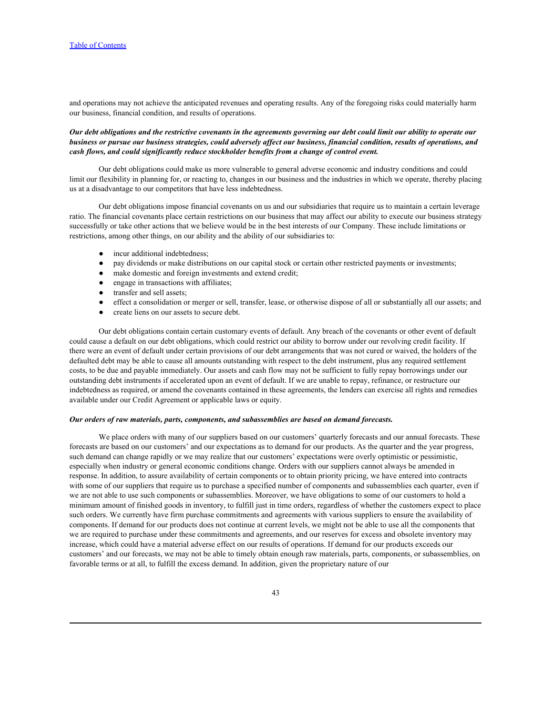and operations may not achieve the anticipated revenues and operating results. Any of the foregoing risks could materially harm our business, financial condition, and results of operations.

### *Our debt obligations and the restrictive covenants in the agreements governing our debt could limit our ability to operate our business or pursue our business strategies, could adversely affect our business, financial condition, results of operations, and cash flows, and could significantly reduce stockholder benefits from a change of control event.*

Our debt obligations could make us more vulnerable to general adverse economic and industry conditions and could limit our flexibility in planning for, or reacting to, changes in our business and the industries in which we operate, thereby placing us at a disadvantage to our competitors that have less indebtedness.

Our debt obligations impose financial covenants on us and our subsidiaries that require us to maintain a certain leverage ratio. The financial covenants place certain restrictions on our business that may affect our ability to execute our business strategy successfully or take other actions that we believe would be in the best interests of our Company. These include limitations or restrictions, among other things, on our ability and the ability of our subsidiaries to:

- 
- incur additional indebtedness;<br>• pay dividends or make distributions on our capital stock or certain other restricted payments or investments;
- make domestic and foreign investments and extend credit;
- engage in transactions with affiliates;
- transfer and sell assets;
- effect a consolidation or merger or sell, transfer, lease, or otherwise dispose of all or substantially all our assets; and
- create liens on our assets to secure debt.

Our debt obligations contain certain customary events of default. Any breach of the covenants or other event of default could cause a default on our debt obligations, which could restrict our ability to borrow under our revolving credit facility. If there were an event of default under certain provisions of our debt arrangements that was not cured or waived, the holders of the defaulted debt may be able to cause all amounts outstanding with respect to the debt instrument, plus any required settlement costs, to be due and payable immediately. Our assets and cash flow may not be sufficient to fully repay borrowings under our outstanding debt instruments if accelerated upon an event of default. If we are unable to repay, refinance, or restructure our indebtedness as required, or amend the covenants contained in these agreements, the lenders can exercise all rights and remedies available under our Credit Agreement or applicable laws or equity.

#### *Our orders of raw materials, parts, components, and subassemblies are based on demand forecasts.*

We place orders with many of our suppliers based on our customers' quarterly forecasts and our annual forecasts. These forecasts are based on our customers' and our expectations as to demand for our products. As the quarter and the year progress, such demand can change rapidly or we may realize that our customers' expectations were overly optimistic or pessimistic, especially when industry or general economic conditions change. Orders with our suppliers cannot always be amended in response. In addition, to assure availability of certain components or to obtain priority pricing, we have entered into contracts with some of our suppliers that require us to purchase a specified number of components and subassemblies each quarter, even if we are not able to use such components or subassemblies. Moreover, we have obligations to some of our customers to hold a minimum amount of finished goods in inventory, to fulfill just in time orders, regardless of whether the customers expect to place such orders. We currently have firm purchase commitments and agreements with various suppliers to ensure the availability of components. If demand for our products does not continue at current levels, we might not be able to use all the components that we are required to purchase under these commitments and agreements, and our reserves for excess and obsolete inventory may increase, which could have a material adverse effect on our results of operations. If demand for our products exceeds our customers' and our forecasts, we may not be able to timely obtain enough raw materials, parts, components, or subassemblies, on favorable terms or at all, to fulfill the excess demand. In addition, given the proprietary nature of our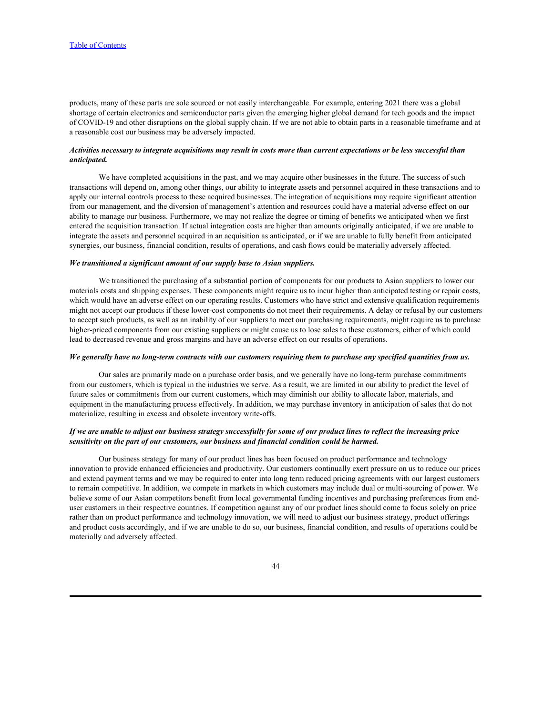products, many of these parts are sole sourced or not easily interchangeable. For example, entering 2021 there was a global shortage of certain electronics and semiconductor parts given the emerging higher global demand for tech goods and the impact of COVID-19 and other disruptions on the global supply chain. If we are not able to obtain parts in a reasonable timeframe and at a reasonable cost our business may be adversely impacted.

### *Activities necessary to integrate acquisitions may result in costs more than current expectations or be less successful than anticipated.*

We have completed acquisitions in the past, and we may acquire other businesses in the future. The success of such transactions will depend on, among other things, our ability to integrate assets and personnel acquired in these transactions and to apply our internal controls process to these acquired businesses. The integration of acquisitions may require significant attention from our management, and the diversion of management's attention and resources could have a material adverse effect on our ability to manage our business. Furthermore, we may not realize the degree or timing of benefits we anticipated when we first entered the acquisition transaction. If actual integration costs are higher than amounts originally anticipated, if we are unable to integrate the assets and personnel acquired in an acquisition as anticipated, or if we are unable to fully benefit from anticipated synergies, our business, financial condition, results of operations, and cash flows could be materially adversely affected.

#### *We transitioned a significant amount of our supply base to Asian suppliers.*

We transitioned the purchasing of a substantial portion of components for our products to Asian suppliers to lower our materials costs and shipping expenses. These components might require us to incur higher than anticipated testing or repair costs, which would have an adverse effect on our operating results. Customers who have strict and extensive qualification requirements might not accept our products if these lower-cost components do not meet their requirements. A delay or refusal by our customers to accept such products, as well as an inability of our suppliers to meet our purchasing requirements, might require us to purchase higher-priced components from our existing suppliers or might cause us to lose sales to these customers, either of which could lead to decreased revenue and gross margins and have an adverse effect on our results of operations.

#### *We generally have no long-term contracts with our customers requiring them to purchase any specified quantities from us.*

Our sales are primarily made on a purchase order basis, and we generally have no long-term purchase commitments from our customers, which is typical in the industries we serve. As a result, we are limited in our ability to predict the level of future sales or commitments from our current customers, which may diminish our ability to allocate labor, materials, and equipment in the manufacturing process effectively. In addition, we may purchase inventory in anticipation of sales that do not materialize, resulting in excess and obsolete inventory write-offs.

### *If we are unable to adjust our business strategy successfully for some of our product lines to reflect the increasing price sensitivity on the part of our customers, our business and financial condition could be harmed.*

Our business strategy for many of our product lines has been focused on product performance and technology innovation to provide enhanced efficiencies and productivity. Our customers continually exert pressure on us to reduce our prices and extend payment terms and we may be required to enter into long term reduced pricing agreements with our largest customers to remain competitive. In addition, we compete in markets in which customers may include dual or multi-sourcing of power. We believe some of our Asian competitors benefit from local governmental funding incentives and purchasing preferences from enduser customers in their respective countries. If competition against any of our product lines should come to focus solely on price rather than on product performance and technology innovation, we will need to adjust our business strategy, product offerings and product costs accordingly, and if we are unable to do so, our business, financial condition, and results of operations could be materially and adversely affected.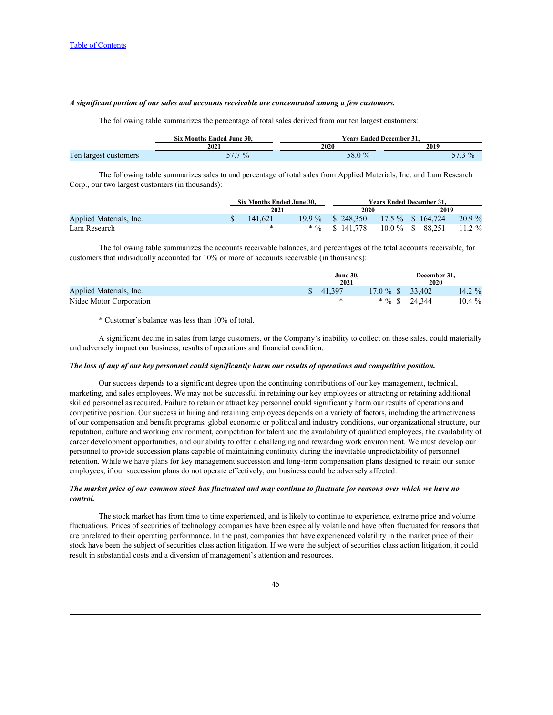### *A significant portion of our sales and accounts receivable are concentrated among a few customers.*

The following table summarizes the percentage of total sales derived from our ten largest customers:

|                                           | June 30.<br>Ended<br>. Month<br>SІX | .<br>ears                        | ; Ended December 31. |  |  |
|-------------------------------------------|-------------------------------------|----------------------------------|----------------------|--|--|
|                                           | 2021                                | 2020                             | 2019                 |  |  |
| n.<br>l en<br>customers<br>larges<br>LU L | 5770<br>$\prime$ $\prime$           | 58.0<br>$\overline{\phantom{a}}$ | $- - -$              |  |  |

The following table summarizes sales to and percentage of total sales from Applied Materials, Inc. and Lam Research Corp., our two largest customers (in thousands):

|                         | Six Months Ended June 30. |          |           |           | <b>Years Ended December 31.</b> |           |  |
|-------------------------|---------------------------|----------|-----------|-----------|---------------------------------|-----------|--|
|                         | 2021                      |          | 2020      |           | 2019                            |           |  |
| Applied Materials, Inc. | 141,621                   | $19.9\%$ | 248,350   | $17.5 \%$ | 164,724                         | 20.9 %    |  |
| Lam Research            |                           | * %      | \$141.778 | $10.0 \%$ | 88.251                          | $11.2 \%$ |  |

The following table summarizes the accounts receivable balances, and percentages of the total accounts receivable, for customers that individually accounted for 10% or more of accounts receivable (in thousands):

| June 30,<br>2021<br>December 31,<br>2020                                |
|-------------------------------------------------------------------------|
| Applied Materials, Inc.<br>33,402<br>41,397<br>$17.0\%$ \$<br>$14.2 \%$ |
| Nidec Motor Corporation<br>$10.4\%$<br>$* 0/2$<br>24,344                |

\* Customer's balance was less than 10% of total.

A significant decline in sales from large customers, or the Company's inability to collect on these sales, could materially and adversely impact our business, results of operations and financial condition.

#### *The loss of any of our key personnel could significantly harm our results of operations and competitive position.*

Our success depends to a significant degree upon the continuing contributions of our key management, technical, marketing, and sales employees. We may not be successful in retaining our key employees or attracting or retaining additional skilled personnel as required. Failure to retain or attract key personnel could significantly harm our results of operations and competitive position. Our success in hiring and retaining employees depends on a variety of factors, including the attractiveness of our compensation and benefit programs, global economic or political and industry conditions, our organizational structure, our reputation, culture and working environment, competition for talent and the availability of qualified employees, the availability of career development opportunities, and our ability to offer a challenging and rewarding work environment. We must develop our personnel to provide succession plans capable of maintaining continuity during the inevitable unpredictability of personnel retention. While we have plans for key management succession and long-term compensation plans designed to retain our senior employees, if our succession plans do not operate effectively, our business could be adversely affected.

#### *The market price of our common stock has fluctuated and may continue to fluctuate for reasons over which we have no control.*

The stock market has from time to time experienced, and is likely to continue to experience, extreme price and volume fluctuations. Prices of securities of technology companies have been especially volatile and have often fluctuated for reasons that are unrelated to their operating performance. In the past, companies that have experienced volatility in the market price of their stock have been the subject of securities class action litigation. If we were the subject of securities class action litigation, it could result in substantial costs and a diversion of management's attention and resources.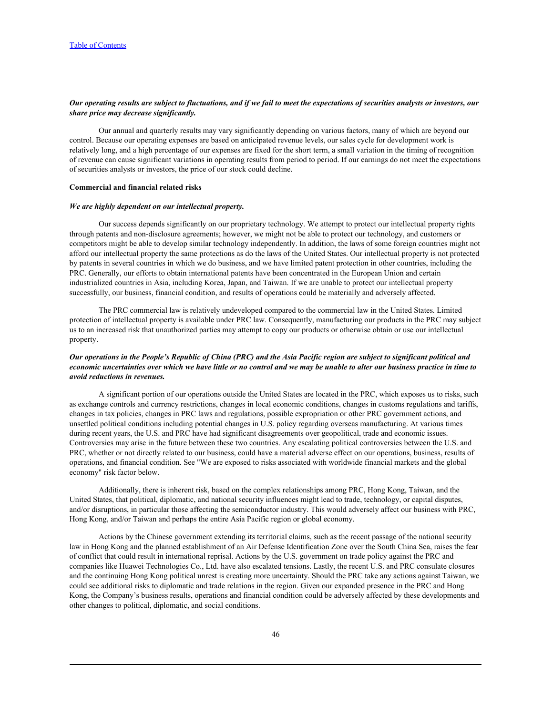### *Our operating results are subject to fluctuations, and if we fail to meet the expectations of securities analysts or investors, our share price may decrease significantly.*

Our annual and quarterly results may vary significantly depending on various factors, many of which are beyond our control. Because our operating expenses are based on anticipated revenue levels, our sales cycle for development work is relatively long, and a high percentage of our expenses are fixed for the short term, a small variation in the timing of recognition of revenue can cause significant variations in operating results from period to period. If our earnings do not meet the expectations of securities analysts or investors, the price of our stock could decline.

#### **Commercial and financial related risks**

#### *We are highly dependent on our intellectual property.*

Our success depends significantly on our proprietary technology. We attempt to protect our intellectual property rights through patents and non-disclosure agreements; however, we might not be able to protect our technology, and customers or competitors might be able to develop similar technology independently. In addition, the laws of some foreign countries might not afford our intellectual property the same protections as do the laws of the United States. Our intellectual property is not protected by patents in several countries in which we do business, and we have limited patent protection in other countries, including the PRC. Generally, our efforts to obtain international patents have been concentrated in the European Union and certain industrialized countries in Asia, including Korea, Japan, and Taiwan. If we are unable to protect our intellectual property successfully, our business, financial condition, and results of operations could be materially and adversely affected.

The PRC commercial law is relatively undeveloped compared to the commercial law in the United States. Limited protection of intellectual property is available under PRC law. Consequently, manufacturing our products in the PRC may subject us to an increased risk that unauthorized parties may attempt to copy our products or otherwise obtain or use our intellectual property.

### *Our operations in the People's Republic of China (PRC) and the Asia Pacific region are subject to significant political and economic uncertainties over which we have little or no control and we may be unable to alter our business practice in time to avoid reductions in revenues.*

A significant portion of our operations outside the United States are located in the PRC, which exposes us to risks, such as exchange controls and currency restrictions, changes in local economic conditions, changes in customs regulations and tariffs, changes in tax policies, changes in PRC laws and regulations, possible expropriation or other PRC government actions, and unsettled political conditions including potential changes in U.S. policy regarding overseas manufacturing. At various times during recent years, the U.S. and PRC have had significant disagreements over geopolitical, trade and economic issues. Controversies may arise in the future between these two countries. Any escalating political controversies between the U.S. and PRC, whether or not directly related to our business, could have a material adverse effect on our operations, business, results of operations, and financial condition. See "We are exposed to risks associated with worldwide financial markets and the global economy" risk factor below.

Additionally, there is inherent risk, based on the complex relationships among PRC, Hong Kong, Taiwan, and the United States, that political, diplomatic, and national security influences might lead to trade, technology, or capital disputes, and/or disruptions, in particular those affecting the semiconductor industry. This would adversely affect our business with PRC, Hong Kong, and/or Taiwan and perhaps the entire Asia Pacific region or global economy.

Actions by the Chinese government extending its territorial claims, such as the recent passage of the national security law in Hong Kong and the planned establishment of an Air Defense Identification Zone over the South China Sea, raises the fear of conflict that could result in international reprisal. Actions by the U.S. government on trade policy against the PRC and companies like Huawei Technologies Co., Ltd. have also escalated tensions. Lastly, the recent U.S. and PRC consulate closures and the continuing Hong Kong political unrest is creating more uncertainty. Should the PRC take any actions against Taiwan, we could see additional risks to diplomatic and trade relations in the region. Given our expanded presence in the PRC and Hong Kong, the Company's business results, operations and financial condition could be adversely affected by these developments and other changes to political, diplomatic, and social conditions.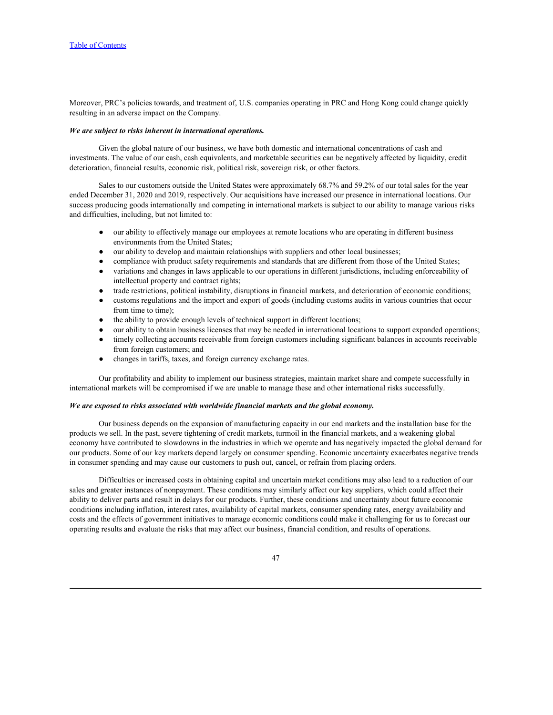Moreover, PRC's policies towards, and treatment of, U.S. companies operating in PRC and Hong Kong could change quickly resulting in an adverse impact on the Company.

#### *We are subject to risks inherent in international operations.*

Given the global nature of our business, we have both domestic and international concentrations of cash and investments. The value of our cash, cash equivalents, and marketable securities can be negatively affected by liquidity, credit deterioration, financial results, economic risk, political risk, sovereign risk, or other factors.

Sales to our customers outside the United States were approximately 68.7% and 59.2% of our total sales for the year ended December 31, 2020 and 2019, respectively. Our acquisitions have increased our presence in international locations. Our success producing goods internationally and competing in international markets is subject to our ability to manage various risks and difficulties, including, but not limited to:

- our ability to effectively manage our employees at remote locations who are operating in different business environments from the United States;
- our ability to develop and maintain relationships with suppliers and other local businesses;
- compliance with product safety requirements and standards that are different from those of the United States;
- variations and changes in laws applicable to our operations in different jurisdictions, including enforceability of intellectual property and contract rights;
- trade restrictions, political instability, disruptions in financial markets, and deterioration of economic conditions;
- customs regulations and the import and export of goods (including customs audits in various countries that occur from time to time);
- the ability to provide enough levels of technical support in different locations;
- our ability to obtain business licenses that may be needed in international locations to support expanded operations;
- timely collecting accounts receivable from foreign customers including significant balances in accounts receivable from foreign customers; and
- changes in tariffs, taxes, and foreign currency exchange rates.

Our profitability and ability to implement our business strategies, maintain market share and compete successfully in international markets will be compromised if we are unable to manage these and other international risks successfully.

#### *We are exposed to risks associated with worldwide financial markets and the global economy.*

Our business depends on the expansion of manufacturing capacity in our end markets and the installation base for the products we sell. In the past, severe tightening of credit markets, turmoil in the financial markets, and a weakening global economy have contributed to slowdowns in the industries in which we operate and has negatively impacted the global demand for our products. Some of our key markets depend largely on consumer spending. Economic uncertainty exacerbates negative trends in consumer spending and may cause our customers to push out, cancel, or refrain from placing orders.

Difficulties or increased costs in obtaining capital and uncertain market conditions may also lead to a reduction of our sales and greater instances of nonpayment. These conditions may similarly affect our key suppliers, which could affect their ability to deliver parts and result in delays for our products. Further, these conditions and uncertainty about future economic conditions including inflation, interest rates, availability of capital markets, consumer spending rates, energy availability and costs and the effects of government initiatives to manage economic conditions could make it challenging for us to forecast our operating results and evaluate the risks that may affect our business, financial condition, and results of operations.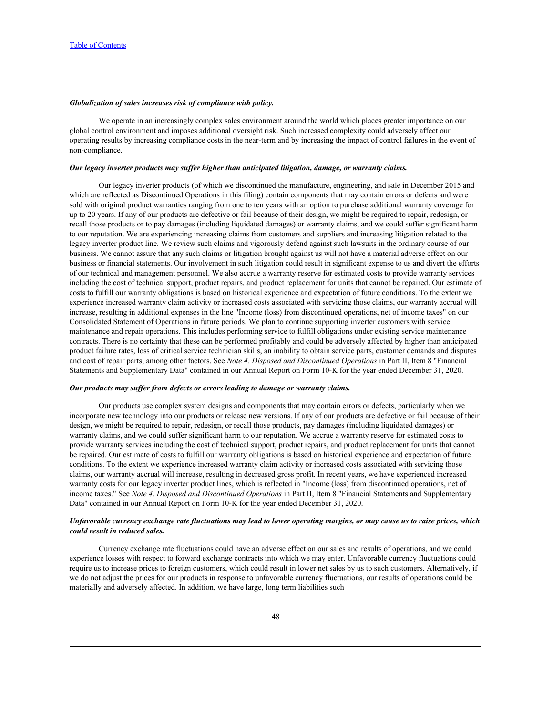## *Globalization of sales increases risk of compliance with policy.*

We operate in an increasingly complex sales environment around the world which places greater importance on our global control environment and imposes additional oversight risk. Such increased complexity could adversely affect our operating results by increasing compliance costs in the near-term and by increasing the impact of control failures in the event of non-compliance.

#### *Our legacy inverter products may suffer higher than anticipated litigation, damage, or warranty claims.*

Our legacy inverter products (of which we discontinued the manufacture, engineering, and sale in December 2015 and which are reflected as Discontinued Operations in this filing) contain components that may contain errors or defects and were sold with original product warranties ranging from one to ten years with an option to purchase additional warranty coverage for up to 20 years. If any of our products are defective or fail because of their design, we might be required to repair, redesign, or recall those products or to pay damages (including liquidated damages) or warranty claims, and we could suffer significant harm to our reputation. We are experiencing increasing claims from customers and suppliers and increasing litigation related to the legacy inverter product line. We review such claims and vigorously defend against such lawsuits in the ordinary course of our business. We cannot assure that any such claims or litigation brought against us will not have a material adverse effect on our business or financial statements. Our involvement in such litigation could result in significant expense to us and divert the efforts of our technical and management personnel. We also accrue a warranty reserve for estimated costs to provide warranty services including the cost of technical support, product repairs, and product replacement for units that cannot be repaired. Our estimate of costs to fulfill our warranty obligations is based on historical experience and expectation of future conditions. To the extent we experience increased warranty claim activity or increased costs associated with servicing those claims, our warranty accrual will increase, resulting in additional expenses in the line "Income (loss) from discontinued operations, net of income taxes" on our Consolidated Statement of Operations in future periods. We plan to continue supporting inverter customers with service maintenance and repair operations. This includes performing service to fulfill obligations under existing service maintenance contracts. There is no certainty that these can be performed profitably and could be adversely affected by higher than anticipated product failure rates, loss of critical service technician skills, an inability to obtain service parts, customer demands and disputes and cost of repair parts, among other factors. See *Note 4. Disposed and Discontinued Operations* in Part II, Item 8 "Financial Statements and Supplementary Data" contained in our Annual Report on Form 10-K for the year ended December 31, 2020.

#### *Our products may suffer from defects or errors leading to damage or warranty claims.*

Our products use complex system designs and components that may contain errors or defects, particularly when we incorporate new technology into our products or release new versions. If any of our products are defective or fail because of their design, we might be required to repair, redesign, or recall those products, pay damages (including liquidated damages) or warranty claims, and we could suffer significant harm to our reputation. We accrue a warranty reserve for estimated costs to provide warranty services including the cost of technical support, product repairs, and product replacement for units that cannot be repaired. Our estimate of costs to fulfill our warranty obligations is based on historical experience and expectation of future conditions. To the extent we experience increased warranty claim activity or increased costs associated with servicing those claims, our warranty accrual will increase, resulting in decreased gross profit. In recent years, we have experienced increased warranty costs for our legacy inverter product lines, which is reflected in "Income (loss) from discontinued operations, net of income taxes." See *Note 4. Disposed and Discontinued Operations* in Part II, Item 8 "Financial Statements and Supplementary Data" contained in our Annual Report on Form 10-K for the year ended December 31, 2020.

### *Unfavorable currency exchange rate fluctuations may lead to lower operating margins, or may cause us to raise prices, which could result in reduced sales.*

Currency exchange rate fluctuations could have an adverse effect on our sales and results of operations, and we could experience losses with respect to forward exchange contracts into which we may enter. Unfavorable currency fluctuations could require us to increase prices to foreign customers, which could result in lower net sales by us to such customers. Alternatively, if we do not adjust the prices for our products in response to unfavorable currency fluctuations, our results of operations could be materially and adversely affected. In addition, we have large, long term liabilities such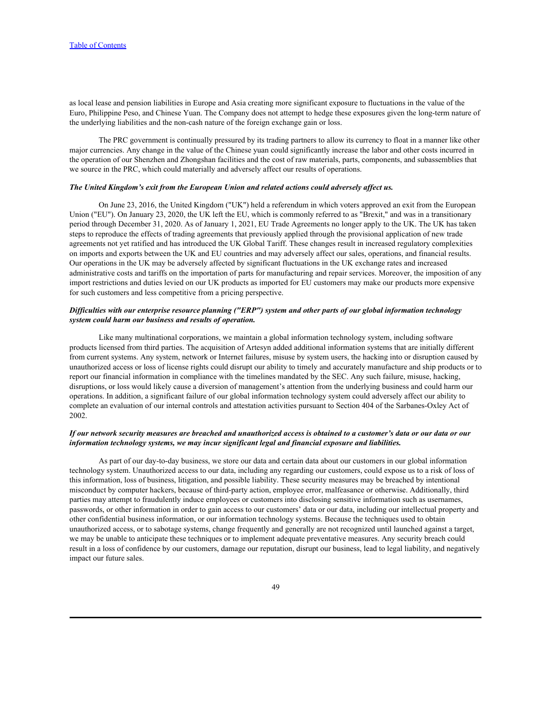as local lease and pension liabilities in Europe and Asia creating more significant exposure to fluctuations in the value of the Euro, Philippine Peso, and Chinese Yuan. The Company does not attempt to hedge these exposures given the long-term nature of the underlying liabilities and the non-cash nature of the foreign exchange gain or loss.

The PRC government is continually pressured by its trading partners to allow its currency to float in a manner like other major currencies. Any change in the value of the Chinese yuan could significantly increase the labor and other costs incurred in the operation of our Shenzhen and Zhongshan facilities and the cost of raw materials, parts, components, and subassemblies that we source in the PRC, which could materially and adversely affect our results of operations.

#### *The United Kingdom's exit from the European Union and related actions could adversely affect us.*

On June 23, 2016, the United Kingdom ("UK") held a referendum in which voters approved an exit from the European Union ("EU"). On January 23, 2020, the UK left the EU, which is commonly referred to as "Brexit," and was in a transitionary period through December 31, 2020. As of January 1, 2021, EU Trade Agreements no longer apply to the UK. The UK has taken steps to reproduce the effects of trading agreements that previously applied through the provisional application of new trade agreements not yet ratified and has introduced the UK Global Tariff. These changes result in increased regulatory complexities on imports and exports between the UK and EU countries and may adversely affect our sales, operations, and financial results. Our operations in the UK may be adversely affected by significant fluctuations in the UK exchange rates and increased administrative costs and tariffs on the importation of parts for manufacturing and repair services. Moreover, the imposition of any import restrictions and duties levied on our UK products as imported for EU customers may make our products more expensive for such customers and less competitive from a pricing perspective.

### *Difficulties with our enterprise resource planning ("ERP") system and other parts of our global information technology system could harm our business and results of operation.*

Like many multinational corporations, we maintain a global information technology system, including software products licensed from third parties. The acquisition of Artesyn added additional information systems that are initially different from current systems. Any system, network or Internet failures, misuse by system users, the hacking into or disruption caused by unauthorized access or loss of license rights could disrupt our ability to timely and accurately manufacture and ship products or to report our financial information in compliance with the timelines mandated by the SEC. Any such failure, misuse, hacking, disruptions, or loss would likely cause a diversion of management's attention from the underlying business and could harm our operations. In addition, a significant failure of our global information technology system could adversely affect our ability to complete an evaluation of our internal controls and attestation activities pursuant to Section 404 of the Sarbanes-Oxley Act of 2002.

### *If our network security measures are breached and unauthorized access is obtained to a customer's data or our data or our information technology systems, we may incur significant legal and financial exposure and liabilities.*

As part of our day-to-day business, we store our data and certain data about our customers in our global information technology system. Unauthorized access to our data, including any regarding our customers, could expose us to a risk of loss of this information, loss of business, litigation, and possible liability. These security measures may be breached by intentional misconduct by computer hackers, because of third-party action, employee error, malfeasance or otherwise. Additionally, third parties may attempt to fraudulently induce employees or customers into disclosing sensitive information such as usernames, passwords, or other information in order to gain access to our customers' data or our data, including our intellectual property and other confidential business information, or our information technology systems. Because the techniques used to obtain unauthorized access, or to sabotage systems, change frequently and generally are not recognized until launched against a target, we may be unable to anticipate these techniques or to implement adequate preventative measures. Any security breach could result in a loss of confidence by our customers, damage our reputation, disrupt our business, lead to legal liability, and negatively impact our future sales.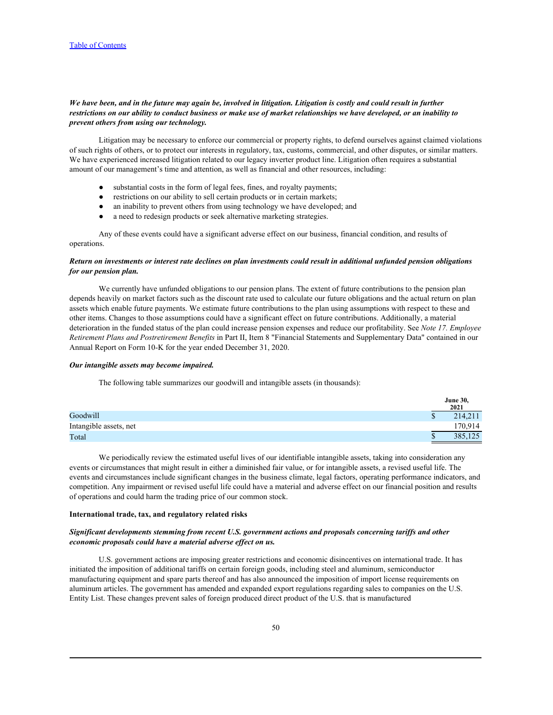### *We have been, and in the future may again be, involved in litigation. Litigation is costly and could result in further restrictions on our ability to conduct business or make use of market relationships we have developed, or an inability to prevent others from using our technology.*

Litigation may be necessary to enforce our commercial or property rights, to defend ourselves against claimed violations of such rights of others, or to protect our interests in regulatory, tax, customs, commercial, and other disputes, or similar matters. We have experienced increased litigation related to our legacy inverter product line. Litigation often requires a substantial amount of our management's time and attention, as well as financial and other resources, including:

- substantial costs in the form of legal fees, fines, and royalty payments;
- restrictions on our ability to sell certain products or in certain markets;
- an inability to prevent others from using technology we have developed; and
- a need to redesign products or seek alternative marketing strategies.

Any of these events could have a significant adverse effect on our business, financial condition, and results of operations.

### *Return on investments or interest rate declines on plan investments could result in additional unfunded pension obligations for our pension plan.*

We currently have unfunded obligations to our pension plans. The extent of future contributions to the pension plan depends heavily on market factors such as the discount rate used to calculate our future obligations and the actual return on plan assets which enable future payments. We estimate future contributions to the plan using assumptions with respect to these and other items. Changes to those assumptions could have a significant effect on future contributions. Additionally, a material deterioration in the funded status of the plan could increase pension expenses and reduce our profitability. See *Note 17. Employee Retirement Plans and Postretirement Benefits* in Part II, Item 8 "Financial Statements and Supplementary Data" contained in our Annual Report on Form 10-K for the year ended December 31, 2020.

#### *Our intangible assets may become impaired.*

The following table summarizes our goodwill and intangible assets (in thousands):

|                        | June 30,<br>2021 |
|------------------------|------------------|
|                        |                  |
| Goodwill               | 214,211          |
| Intangible assets, net | 170,914          |
| Total                  | 385,125          |

We periodically review the estimated useful lives of our identifiable intangible assets, taking into consideration any events or circumstances that might result in either a diminished fair value, or for intangible assets, a revised useful life. The events and circumstances include significant changes in the business climate, legal factors, operating performance indicators, and competition. Any impairment or revised useful life could have a material and adverse effect on our financial position and results of operations and could harm the trading price of our common stock.

#### **International trade, tax, and regulatory related risks**

### *Significant developments stemming from recent U.S. government actions and proposals concerning tariffs and other economic proposals could have a material adverse effect on us.*

U.S. government actions are imposing greater restrictions and economic disincentives on international trade. It has initiated the imposition of additional tariffs on certain foreign goods, including steel and aluminum, semiconductor manufacturing equipment and spare parts thereof and has also announced the imposition of import license requirements on aluminum articles. The government has amended and expanded export regulations regarding sales to companies on the U.S. Entity List. These changes prevent sales of foreign produced direct product of the U.S. that is manufactured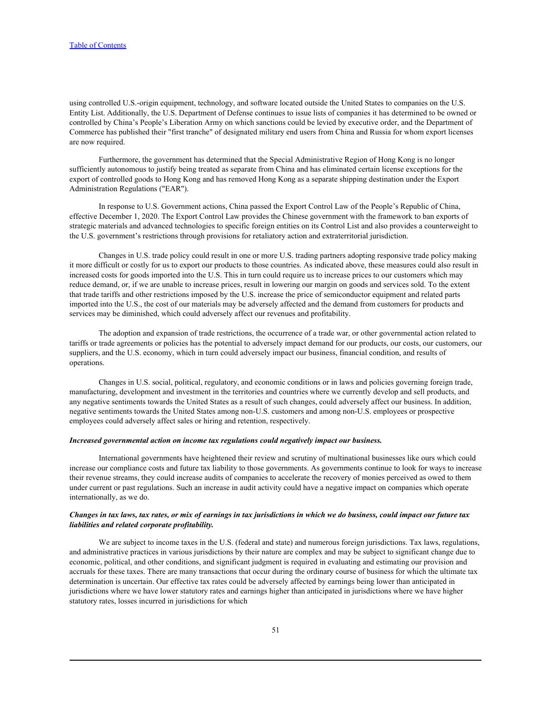using controlled U.S.-origin equipment, technology, and software located outside the United States to companies on the U.S. Entity List. Additionally, the U.S. Department of Defense continues to issue lists of companies it has determined to be owned or controlled by China's People's Liberation Army on which sanctions could be levied by executive order, and the Department of Commerce has published their "first tranche" of designated military end users from China and Russia for whom export licenses are now required.

Furthermore, the government has determined that the Special Administrative Region of Hong Kong is no longer sufficiently autonomous to justify being treated as separate from China and has eliminated certain license exceptions for the export of controlled goods to Hong Kong and has removed Hong Kong as a separate shipping destination under the Export Administration Regulations ("EAR").

In response to U.S. Government actions, China passed the Export Control Law of the People's Republic of China, effective December 1, 2020. The Export Control Law provides the Chinese government with the framework to ban exports of strategic materials and advanced technologies to specific foreign entities on its Control List and also provides a counterweight to the U.S. government's restrictions through provisions for retaliatory action and extraterritorial jurisdiction.

Changes in U.S. trade policy could result in one or more U.S. trading partners adopting responsive trade policy making it more difficult or costly for us to export our products to those countries. As indicated above, these measures could also result in increased costs for goods imported into the U.S. This in turn could require us to increase prices to our customers which may reduce demand, or, if we are unable to increase prices, result in lowering our margin on goods and services sold. To the extent that trade tariffs and other restrictions imposed by the U.S. increase the price of semiconductor equipment and related parts imported into the U.S., the cost of our materials may be adversely affected and the demand from customers for products and services may be diminished, which could adversely affect our revenues and profitability.

The adoption and expansion of trade restrictions, the occurrence of a trade war, or other governmental action related to tariffs or trade agreements or policies has the potential to adversely impact demand for our products, our costs, our customers, our suppliers, and the U.S. economy, which in turn could adversely impact our business, financial condition, and results of operations.

Changes in U.S. social, political, regulatory, and economic conditions or in laws and policies governing foreign trade, manufacturing, development and investment in the territories and countries where we currently develop and sell products, and any negative sentiments towards the United States as a result of such changes, could adversely affect our business. In addition, negative sentiments towards the United States among non-U.S. customers and among non-U.S. employees or prospective employees could adversely affect sales or hiring and retention, respectively.

### *Increased governmental action on income tax regulations could negatively impact our business.*

International governments have heightened their review and scrutiny of multinational businesses like ours which could increase our compliance costs and future tax liability to those governments. As governments continue to look for ways to increase their revenue streams, they could increase audits of companies to accelerate the recovery of monies perceived as owed to them under current or past regulations. Such an increase in audit activity could have a negative impact on companies which operate internationally, as we do.

### *Changes in tax laws, tax rates, or mix of earnings in tax jurisdictions in which we do business, could impact our future tax liabilities and related corporate profitability.*

We are subject to income taxes in the U.S. (federal and state) and numerous foreign jurisdictions. Tax laws, regulations, and administrative practices in various jurisdictions by their nature are complex and may be subject to significant change due to economic, political, and other conditions, and significant judgment is required in evaluating and estimating our provision and accruals for these taxes. There are many transactions that occur during the ordinary course of business for which the ultimate tax determination is uncertain. Our effective tax rates could be adversely affected by earnings being lower than anticipated in jurisdictions where we have lower statutory rates and earnings higher than anticipated in jurisdictions where we have higher statutory rates, losses incurred in jurisdictions for which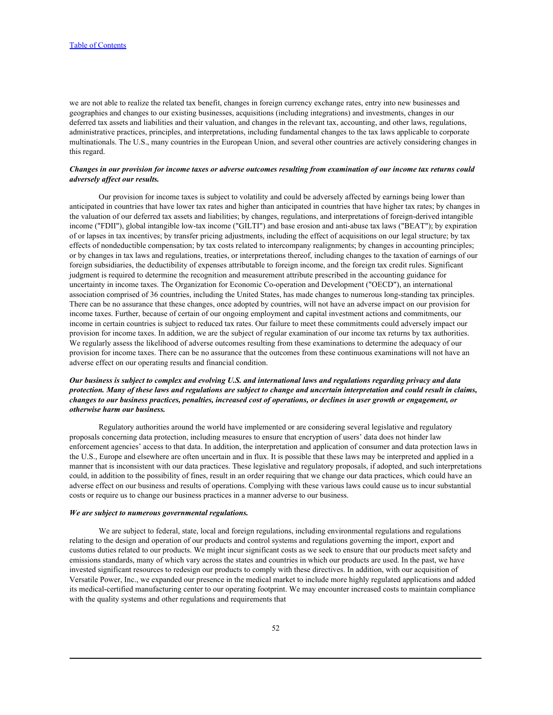we are not able to realize the related tax benefit, changes in foreign currency exchange rates, entry into new businesses and geographies and changes to our existing businesses, acquisitions (including integrations) and investments, changes in our deferred tax assets and liabilities and their valuation, and changes in the relevant tax, accounting, and other laws, regulations, administrative practices, principles, and interpretations, including fundamental changes to the tax laws applicable to corporate multinationals. The U.S., many countries in the European Union, and several other countries are actively considering changes in this regard.

### *Changes in our provision for income taxes or adverse outcomes resulting from examination of our income tax returns could adversely affect our results.*

Our provision for income taxes is subject to volatility and could be adversely affected by earnings being lower than anticipated in countries that have lower tax rates and higher than anticipated in countries that have higher tax rates; by changes in the valuation of our deferred tax assets and liabilities; by changes, regulations, and interpretations of foreign-derived intangible income ("FDII"), global intangible low-tax income ("GILTI") and base erosion and anti-abuse tax laws ("BEAT"); by expiration of or lapses in tax incentives; by transfer pricing adjustments, including the effect of acquisitions on our legal structure; by tax effects of nondeductible compensation; by tax costs related to intercompany realignments; by changes in accounting principles; or by changes in tax laws and regulations, treaties, or interpretations thereof, including changes to the taxation of earnings of our foreign subsidiaries, the deductibility of expenses attributable to foreign income, and the foreign tax credit rules. Significant judgment is required to determine the recognition and measurement attribute prescribed in the accounting guidance for uncertainty in income taxes. The Organization for Economic Co-operation and Development ("OECD"), an international association comprised of 36 countries, including the United States, has made changes to numerous long-standing tax principles. There can be no assurance that these changes, once adopted by countries, will not have an adverse impact on our provision for income taxes. Further, because of certain of our ongoing employment and capital investment actions and commitments, our income in certain countries is subject to reduced tax rates. Our failure to meet these commitments could adversely impact our provision for income taxes. In addition, we are the subject of regular examination of our income tax returns by tax authorities. We regularly assess the likelihood of adverse outcomes resulting from these examinations to determine the adequacy of our provision for income taxes. There can be no assurance that the outcomes from these continuous examinations will not have an adverse effect on our operating results and financial condition.

### *Our business is subject to complex and evolving U.S. and international laws and regulations regarding privacy and data protection. Many of these laws and regulations are subject to change and uncertain interpretation and could result in claims, changes to our business practices, penalties, increased cost of operations, or declines in user growth or engagement, or otherwise harm our business.*

Regulatory authorities around the world have implemented or are considering several legislative and regulatory proposals concerning data protection, including measures to ensure that encryption of users' data does not hinder law enforcement agencies' access to that data. In addition, the interpretation and application of consumer and data protection laws in the U.S., Europe and elsewhere are often uncertain and in flux. It is possible that these laws may be interpreted and applied in a manner that is inconsistent with our data practices. These legislative and regulatory proposals, if adopted, and such interpretations could, in addition to the possibility of fines, result in an order requiring that we change our data practices, which could have an adverse effect on our business and results of operations. Complying with these various laws could cause us to incur substantial costs or require us to change our business practices in a manner adverse to our business.

#### *We are subject to numerous governmental regulations.*

We are subject to federal, state, local and foreign regulations, including environmental regulations and regulations relating to the design and operation of our products and control systems and regulations governing the import, export and customs duties related to our products. We might incur significant costs as we seek to ensure that our products meet safety and emissions standards, many of which vary across the states and countries in which our products are used. In the past, we have invested significant resources to redesign our products to comply with these directives. In addition, with our acquisition of Versatile Power, Inc., we expanded our presence in the medical market to include more highly regulated applications and added its medical-certified manufacturing center to our operating footprint. We may encounter increased costs to maintain compliance with the quality systems and other regulations and requirements that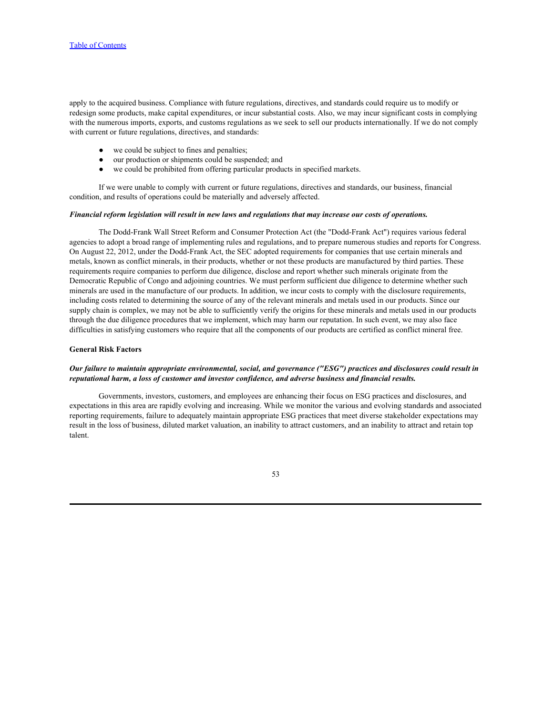apply to the acquired business. Compliance with future regulations, directives, and standards could require us to modify or redesign some products, make capital expenditures, or incur substantial costs. Also, we may incur significant costs in complying with the numerous imports, exports, and customs regulations as we seek to sell our products internationally. If we do not comply with current or future regulations, directives, and standards:

- we could be subject to fines and penalties;
- our production or shipments could be suspended; and
- we could be prohibited from offering particular products in specified markets.

If we were unable to comply with current or future regulations, directives and standards, our business, financial condition, and results of operations could be materially and adversely affected.

### *Financial reform legislation will result in new laws and regulations that may increase our costs of operations.*

The Dodd-Frank Wall Street Reform and Consumer Protection Act (the "Dodd-Frank Act") requires various federal agencies to adopt a broad range of implementing rules and regulations, and to prepare numerous studies and reports for Congress. On August 22, 2012, under the Dodd-Frank Act, the SEC adopted requirements for companies that use certain minerals and metals, known as conflict minerals, in their products, whether or not these products are manufactured by third parties. These requirements require companies to perform due diligence, disclose and report whether such minerals originate from the Democratic Republic of Congo and adjoining countries. We must perform sufficient due diligence to determine whether such minerals are used in the manufacture of our products. In addition, we incur costs to comply with the disclosure requirements, including costs related to determining the source of any of the relevant minerals and metals used in our products. Since our supply chain is complex, we may not be able to sufficiently verify the origins for these minerals and metals used in our products through the due diligence procedures that we implement, which may harm our reputation. In such event, we may also face difficulties in satisfying customers who require that all the components of our products are certified as conflict mineral free.

#### **General Risk Factors**

### *Our failure to maintain appropriate environmental, social, and governance ("ESG") practices and disclosures could result in reputational harm, a loss of customer and investor confidence, and adverse business and financial results.*

Governments, investors, customers, and employees are enhancing their focus on ESG practices and disclosures, and expectations in this area are rapidly evolving and increasing. While we monitor the various and evolving standards and associated reporting requirements, failure to adequately maintain appropriate ESG practices that meet diverse stakeholder expectations may result in the loss of business, diluted market valuation, an inability to attract customers, and an inability to attract and retain top talent.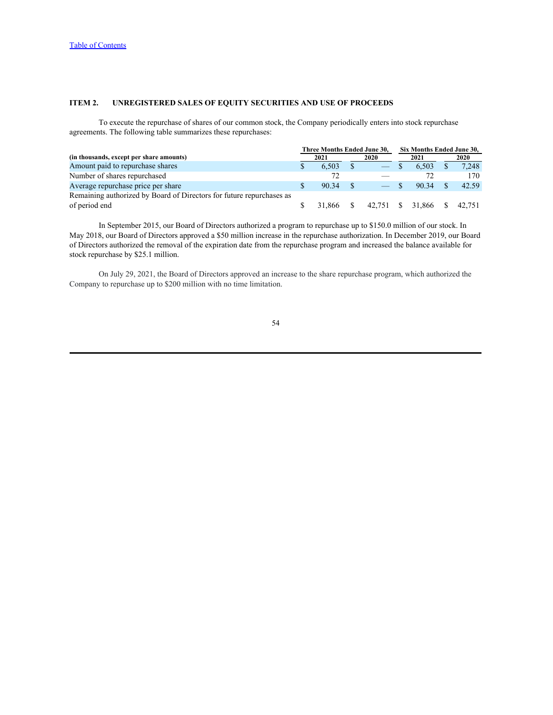### <span id="page-53-0"></span>**ITEM 2. UNREGISTERED SALES OF EQUITY SECURITIES AND USE OF PROCEEDS**

To execute the repurchase of shares of our common stock, the Company periodically enters into stock repurchase agreements. The following table summarizes these repurchases:

|                                                                      | Three Months Ended June 30, |  |                                 |  | Six Months Ended June 30, |  |        |  |
|----------------------------------------------------------------------|-----------------------------|--|---------------------------------|--|---------------------------|--|--------|--|
| (in thousands, except per share amounts)                             | 2021                        |  | 2020                            |  | 2021                      |  | 2020   |  |
| Amount paid to repurchase shares                                     | 6.503                       |  | $\overline{\phantom{0}}$        |  | 6,503                     |  | 7,248  |  |
| Number of shares repurchased                                         |                             |  | $\hspace{0.1mm}-\hspace{0.1mm}$ |  |                           |  | 170    |  |
| Average repurchase price per share                                   | 90.34                       |  | $\hspace{0.05cm}$               |  | 90.34                     |  | 42.59  |  |
| Remaining authorized by Board of Directors for future repurchases as |                             |  |                                 |  |                           |  |        |  |
| of period end                                                        | 31.866                      |  | 42.751                          |  | <b>1.866</b>              |  | 42.751 |  |

In September 2015, our Board of Directors authorized a program to repurchase up to \$150.0 million of our stock. In May 2018, our Board of Directors approved a \$50 million increase in the repurchase authorization. In December 2019, our Board of Directors authorized the removal of the expiration date from the repurchase program and increased the balance available for stock repurchase by \$25.1 million.

On July 29, 2021, the Board of Directors approved an increase to the share repurchase program, which authorized the Company to repurchase up to \$200 million with no time limitation.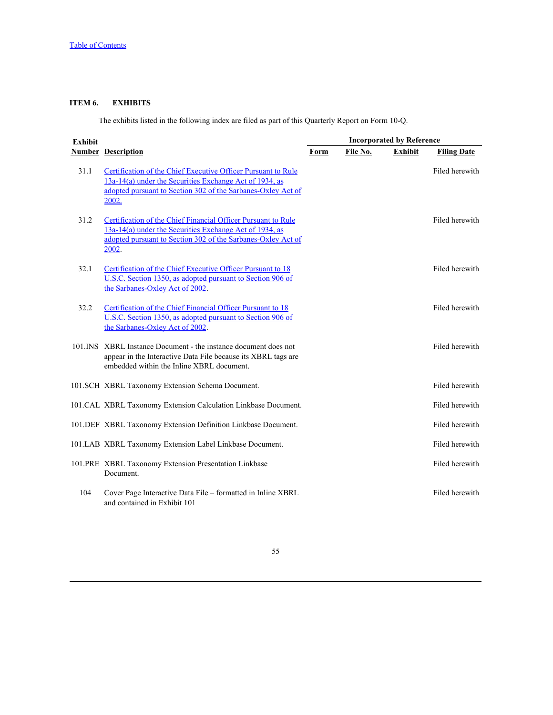## <span id="page-54-0"></span>**ITEM 6. EXHIBITS**

The exhibits listed in the following index are filed as part of this Quarterly Report on Form 10-Q.

| <b>Exhibit</b> |                                                                                                                                                                                                   | <b>Incorporated by Reference</b> |          |                |                    |  |  |  |  |  |
|----------------|---------------------------------------------------------------------------------------------------------------------------------------------------------------------------------------------------|----------------------------------|----------|----------------|--------------------|--|--|--|--|--|
|                | <b>Number Description</b>                                                                                                                                                                         | <b>Form</b>                      | File No. | <b>Exhibit</b> | <b>Filing Date</b> |  |  |  |  |  |
| 31.1           | Certification of the Chief Executive Officer Pursuant to Rule<br>13a-14(a) under the Securities Exchange Act of 1934, as<br>adopted pursuant to Section 302 of the Sarbanes-Oxley Act of<br>2002. |                                  |          |                | Filed herewith     |  |  |  |  |  |
| 31.2           | Certification of the Chief Financial Officer Pursuant to Rule<br>13a-14(a) under the Securities Exchange Act of 1934, as<br>adopted pursuant to Section 302 of the Sarbanes-Oxley Act of<br>2002. |                                  |          |                | Filed herewith     |  |  |  |  |  |
| 32.1           | Certification of the Chief Executive Officer Pursuant to 18<br>U.S.C. Section 1350, as adopted pursuant to Section 906 of<br>the Sarbanes-Oxley Act of 2002.                                      |                                  |          |                | Filed herewith     |  |  |  |  |  |
| 32.2           | Certification of the Chief Financial Officer Pursuant to 18<br>U.S.C. Section 1350, as adopted pursuant to Section 906 of<br>the Sarbanes-Oxley Act of 2002.                                      |                                  |          |                | Filed herewith     |  |  |  |  |  |
|                | 101.INS XBRL Instance Document - the instance document does not<br>appear in the Interactive Data File because its XBRL tags are<br>embedded within the Inline XBRL document.                     |                                  |          |                | Filed herewith     |  |  |  |  |  |
|                | 101.SCH XBRL Taxonomy Extension Schema Document.                                                                                                                                                  |                                  |          |                | Filed herewith     |  |  |  |  |  |
|                | 101.CAL XBRL Taxonomy Extension Calculation Linkbase Document.                                                                                                                                    |                                  |          |                | Filed herewith     |  |  |  |  |  |
|                | 101.DEF XBRL Taxonomy Extension Definition Linkbase Document.                                                                                                                                     |                                  |          |                | Filed herewith     |  |  |  |  |  |
|                | 101.LAB XBRL Taxonomy Extension Label Linkbase Document.                                                                                                                                          |                                  |          |                | Filed herewith     |  |  |  |  |  |
|                | 101.PRE XBRL Taxonomy Extension Presentation Linkbase<br>Document.                                                                                                                                |                                  |          |                | Filed herewith     |  |  |  |  |  |
| 104            | Cover Page Interactive Data File – formatted in Inline XBRL<br>and contained in Exhibit 101                                                                                                       |                                  |          |                | Filed herewith     |  |  |  |  |  |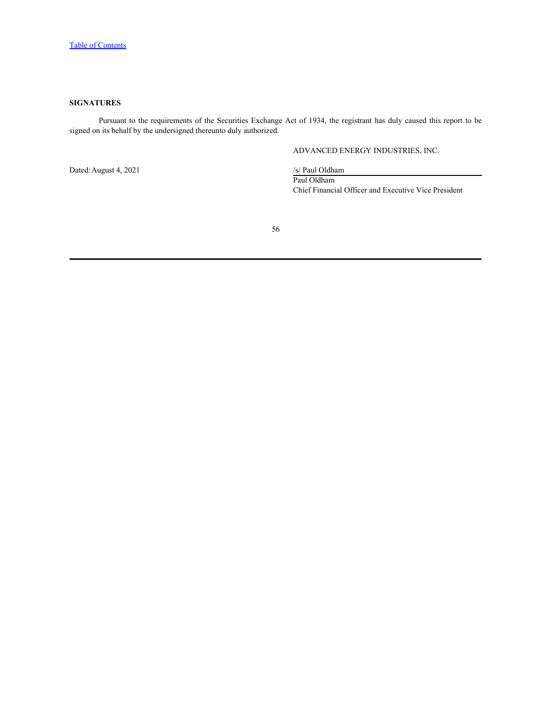## <span id="page-55-0"></span>**SIGNATURES**

Pursuant to the requirements of the Securities Exchange Act of 1934, the registrant has duly caused this report to be signed on its behalf by the undersigned thereunto duly authorized.

## ADVANCED ENERGY INDUSTRIES, INC.

Dated: August 4, 2021 /s/ Paul Oldham

Paul Oldham Chief Financial Officer and Executive Vice President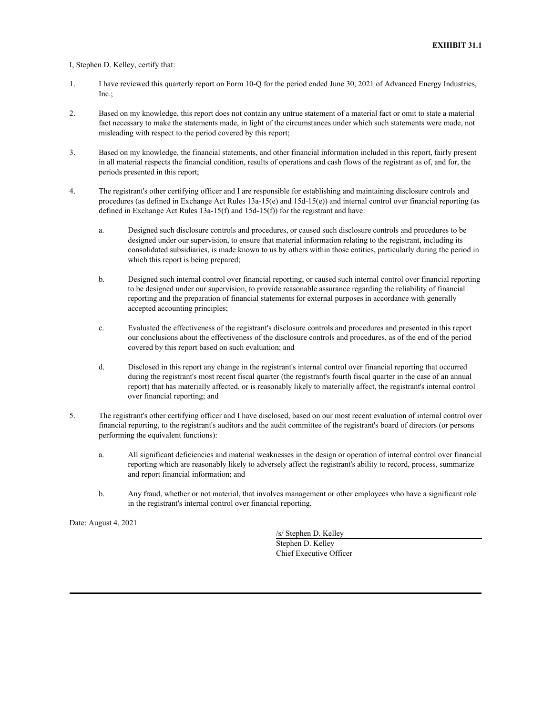<span id="page-56-0"></span>I, Stephen D. Kelley, certify that:

- 1. I have reviewed this quarterly report on Form 10-Q for the period ended June 30, 2021 of Advanced Energy Industries, Inc.;
- 2. Based on my knowledge, this report does not contain any untrue statement of a material fact or omit to state a material fact necessary to make the statements made, in light of the circumstances under which such statements were made, not misleading with respect to the period covered by this report;
- 3. Based on my knowledge, the financial statements, and other financial information included in this report, fairly present in all material respects the financial condition, results of operations and cash flows of the registrant as of, and for, the periods presented in this report;
- 4. The registrant's other certifying officer and I are responsible for establishing and maintaining disclosure controls and procedures (as defined in Exchange Act Rules 13a-15(e) and 15d-15(e)) and internal control over financial reporting (as defined in Exchange Act Rules 13a-15(f) and 15d-15(f)) for the registrant and have:
	- a. Designed such disclosure controls and procedures, or caused such disclosure controls and procedures to be designed under our supervision, to ensure that material information relating to the registrant, including its consolidated subsidiaries, is made known to us by others within those entities, particularly during the period in which this report is being prepared;
	- b. Designed such internal control over financial reporting, or caused such internal control over financial reporting to be designed under our supervision, to provide reasonable assurance regarding the reliability of financial reporting and the preparation of financial statements for external purposes in accordance with generally accepted accounting principles;
	- c. Evaluated the effectiveness of the registrant's disclosure controls and procedures and presented in this report our conclusions about the effectiveness of the disclosure controls and procedures, as of the end of the period covered by this report based on such evaluation; and
	- d. Disclosed in this report any change in the registrant's internal control over financial reporting that occurred during the registrant's most recent fiscal quarter (the registrant's fourth fiscal quarter in the case of an annual report) that has materially affected, or is reasonably likely to materially affect, the registrant's internal control over financial reporting; and
- 5. The registrant's other certifying officer and I have disclosed, based on our most recent evaluation of internal control over financial reporting, to the registrant's auditors and the audit committee of the registrant's board of directors (or persons performing the equivalent functions):
	- a. All significant deficiencies and material weaknesses in the design or operation of internal control over financial reporting which are reasonably likely to adversely affect the registrant's ability to record, process, summarize and report financial information; and
	- b. Any fraud, whether or not material, that involves management or other employees who have a significant role in the registrant's internal control over financial reporting.

Date: August 4, 2021

/s/ Stephen D. Kelley

Stephen D. Kelley Chief Executive Officer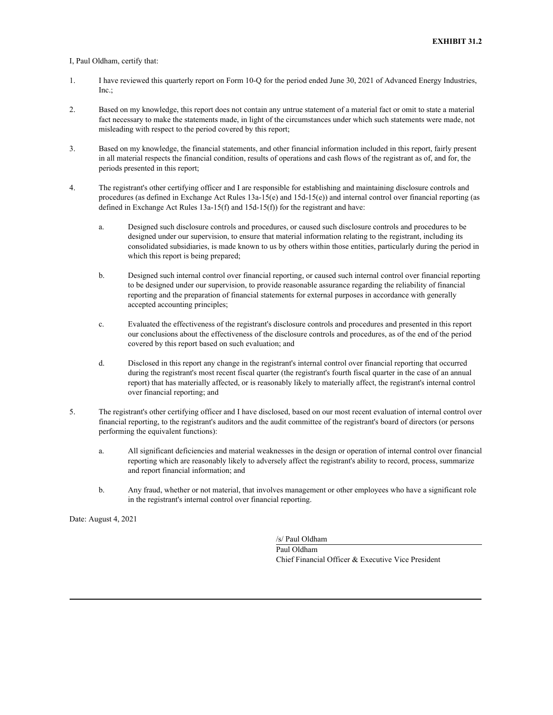### <span id="page-57-0"></span>I, Paul Oldham, certify that:

- 1. I have reviewed this quarterly report on Form 10-Q for the period ended June 30, 2021 of Advanced Energy Industries, Inc.;
- 2. Based on my knowledge, this report does not contain any untrue statement of a material fact or omit to state a material fact necessary to make the statements made, in light of the circumstances under which such statements were made, not misleading with respect to the period covered by this report;
- 3. Based on my knowledge, the financial statements, and other financial information included in this report, fairly present in all material respects the financial condition, results of operations and cash flows of the registrant as of, and for, the periods presented in this report;
- 4. The registrant's other certifying officer and I are responsible for establishing and maintaining disclosure controls and procedures (as defined in Exchange Act Rules 13a-15(e) and 15d-15(e)) and internal control over financial reporting (as defined in Exchange Act Rules 13a-15(f) and 15d-15(f)) for the registrant and have:
	- a. Designed such disclosure controls and procedures, or caused such disclosure controls and procedures to be designed under our supervision, to ensure that material information relating to the registrant, including its consolidated subsidiaries, is made known to us by others within those entities, particularly during the period in which this report is being prepared;
	- b. Designed such internal control over financial reporting, or caused such internal control over financial reporting to be designed under our supervision, to provide reasonable assurance regarding the reliability of financial reporting and the preparation of financial statements for external purposes in accordance with generally accepted accounting principles;
	- c. Evaluated the effectiveness of the registrant's disclosure controls and procedures and presented in this report our conclusions about the effectiveness of the disclosure controls and procedures, as of the end of the period covered by this report based on such evaluation; and
	- d. Disclosed in this report any change in the registrant's internal control over financial reporting that occurred during the registrant's most recent fiscal quarter (the registrant's fourth fiscal quarter in the case of an annual report) that has materially affected, or is reasonably likely to materially affect, the registrant's internal control over financial reporting; and
- 5. The registrant's other certifying officer and I have disclosed, based on our most recent evaluation of internal control over financial reporting, to the registrant's auditors and the audit committee of the registrant's board of directors (or persons performing the equivalent functions):
	- a. All significant deficiencies and material weaknesses in the design or operation of internal control over financial reporting which are reasonably likely to adversely affect the registrant's ability to record, process, summarize and report financial information; and
	- b. Any fraud, whether or not material, that involves management or other employees who have a significant role in the registrant's internal control over financial reporting.

Date: August 4, 2021

/s/ Paul Oldham Paul Oldham Chief Financial Officer & Executive Vice President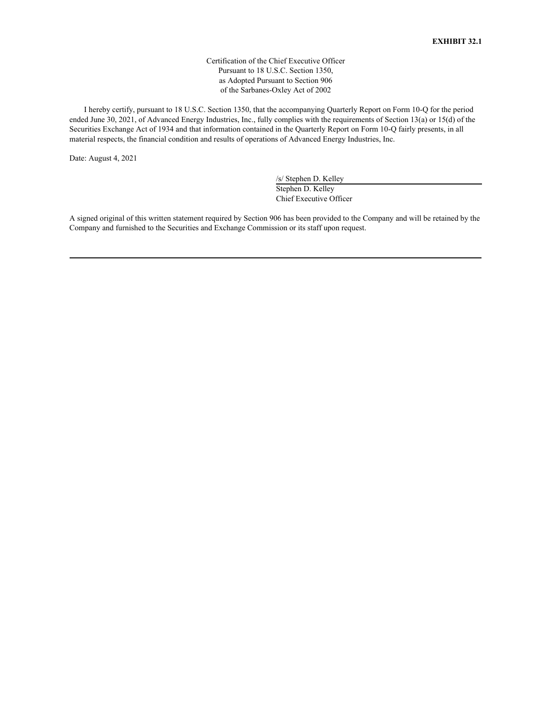Certification of the Chief Executive Officer Pursuant to 18 U.S.C. Section 1350, as Adopted Pursuant to Section 906 of the Sarbanes-Oxley Act of 2002

<span id="page-58-0"></span>I hereby certify, pursuant to 18 U.S.C. Section 1350, that the accompanying Quarterly Report on Form 10-Q for the period ended June 30, 2021, of Advanced Energy Industries, Inc., fully complies with the requirements of Section 13(a) or 15(d) of the Securities Exchange Act of 1934 and that information contained in the Quarterly Report on Form 10-Q fairly presents, in all material respects, the financial condition and results of operations of Advanced Energy Industries, Inc.

Date: August 4, 2021

/s/ Stephen D. Kelley Stephen D. Kelley Chief Executive Officer

A signed original of this written statement required by Section 906 has been provided to the Company and will be retained by the Company and furnished to the Securities and Exchange Commission or its staff upon request.